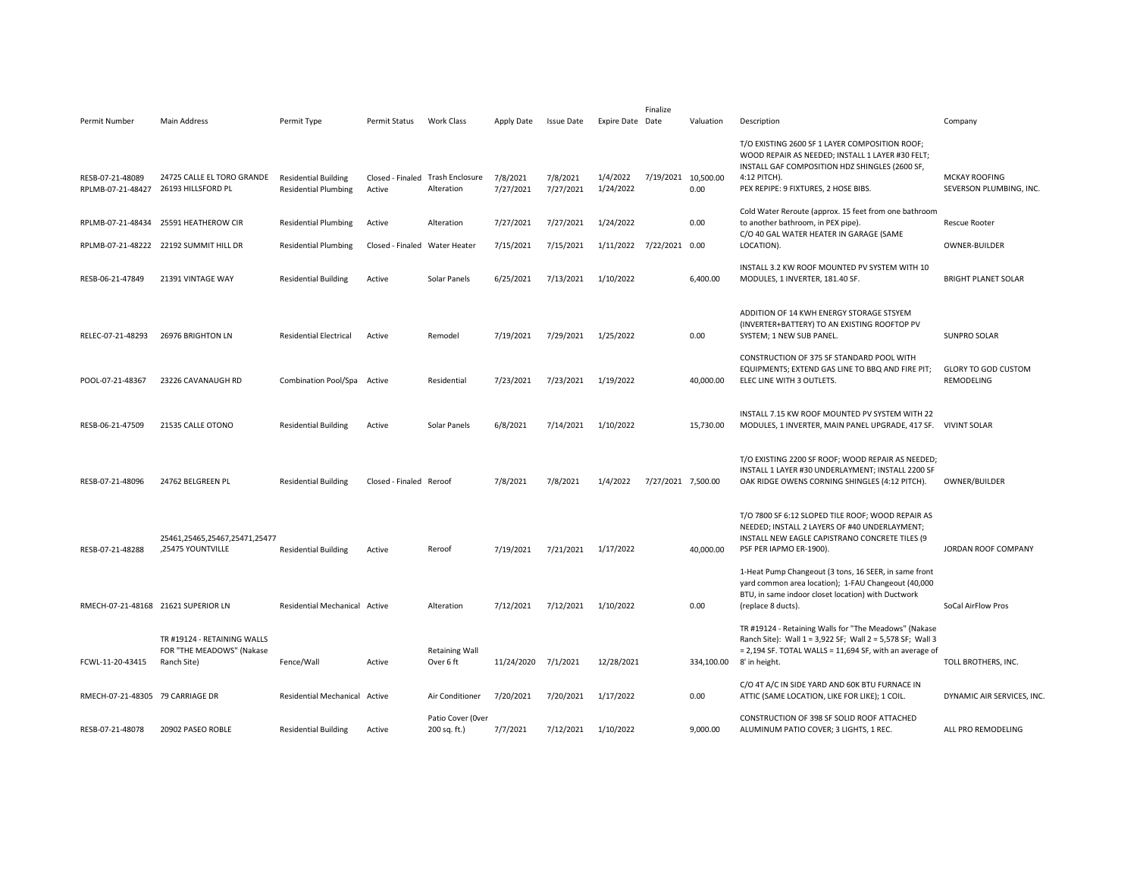| Permit Number                         | Main Address                                                            | Permit Type                                                | Permit Status                 | Work Class                                     | Apply Date            | <b>Issue Date</b>     | Expire Date Date         | Finalize            | Valuation  | Description                                                                                                                                                                                                  | Company                                         |
|---------------------------------------|-------------------------------------------------------------------------|------------------------------------------------------------|-------------------------------|------------------------------------------------|-----------------------|-----------------------|--------------------------|---------------------|------------|--------------------------------------------------------------------------------------------------------------------------------------------------------------------------------------------------------------|-------------------------------------------------|
| RESB-07-21-48089<br>RPLMB-07-21-48427 | 24725 CALLE EL TORO GRANDE<br>26193 HILLSFORD PL                        | <b>Residential Building</b><br><b>Residential Plumbing</b> | Active                        | Closed - Finaled Trash Enclosure<br>Alteration | 7/8/2021<br>7/27/2021 | 7/8/2021<br>7/27/2021 | 1/4/2022<br>1/24/2022    | 7/19/2021 10,500.00 | 0.00       | T/O EXISTING 2600 SF 1 LAYER COMPOSITION ROOF;<br>WOOD REPAIR AS NEEDED; INSTALL 1 LAYER #30 FELT;<br>INSTALL GAF COMPOSITION HDZ SHINGLES (2600 SF,<br>4:12 PITCH).<br>PEX REPIPE: 9 FIXTURES, 2 HOSE BIBS. | <b>MCKAY ROOFING</b><br>SEVERSON PLUMBING, INC. |
|                                       | RPLMB-07-21-48434 25591 HEATHEROW CIR                                   | <b>Residential Plumbing</b>                                | Active                        | Alteration                                     | 7/27/2021             | 7/27/2021             | 1/24/2022                |                     | 0.00       | Cold Water Reroute (approx. 15 feet from one bathroom<br>to another bathroom, in PEX pipe).<br>C/O 40 GAL WATER HEATER IN GARAGE (SAME                                                                       | <b>Rescue Rooter</b>                            |
|                                       | RPLMB-07-21-48222 22192 SUMMIT HILL DR                                  | <b>Residential Plumbing</b>                                | Closed - Finaled Water Heater |                                                | 7/15/2021             | 7/15/2021             | 1/11/2022 7/22/2021 0.00 |                     |            | LOCATION).                                                                                                                                                                                                   | <b>OWNER-BUILDER</b>                            |
| RESB-06-21-47849                      | 21391 VINTAGE WAY                                                       | <b>Residential Building</b>                                | Active                        | Solar Panels                                   | 6/25/2021             | 7/13/2021             | 1/10/2022                |                     | 6,400.00   | INSTALL 3.2 KW ROOF MOUNTED PV SYSTEM WITH 10<br>MODULES, 1 INVERTER, 181.40 SF.                                                                                                                             | <b>BRIGHT PLANET SOLAR</b>                      |
| RELEC-07-21-48293                     | 26976 BRIGHTON LN                                                       | <b>Residential Electrical</b>                              | Active                        | Remodel                                        | 7/19/2021             | 7/29/2021             | 1/25/2022                |                     | 0.00       | ADDITION OF 14 KWH ENERGY STORAGE STSYEM<br>(INVERTER+BATTERY) TO AN EXISTING ROOFTOP PV<br>SYSTEM; 1 NEW SUB PANEL.                                                                                         | <b>SUNPRO SOLAR</b>                             |
| POOL-07-21-48367                      | 23226 CAVANAUGH RD                                                      | Combination Pool/Spa Active                                |                               | Residential                                    | 7/23/2021             | 7/23/2021             | 1/19/2022                |                     | 40,000.00  | CONSTRUCTION OF 375 SF STANDARD POOL WITH<br>EQUIPMENTS; EXTEND GAS LINE TO BBQ AND FIRE PIT;<br>ELEC LINE WITH 3 OUTLETS.                                                                                   | <b>GLORY TO GOD CUSTOM</b><br>REMODELING        |
| RESB-06-21-47509                      | 21535 CALLE OTONO                                                       | <b>Residential Building</b>                                | Active                        | Solar Panels                                   | 6/8/2021              | 7/14/2021             | 1/10/2022                |                     | 15,730.00  | INSTALL 7.15 KW ROOF MOUNTED PV SYSTEM WITH 22<br>MODULES, 1 INVERTER, MAIN PANEL UPGRADE, 417 SF. VIVINT SOLAR                                                                                              |                                                 |
| RESB-07-21-48096                      | 24762 BELGREEN PL                                                       | <b>Residential Building</b>                                | Closed - Finaled Reroof       |                                                | 7/8/2021              | 7/8/2021              | 1/4/2022                 | 7/27/2021 7,500.00  |            | T/O EXISTING 2200 SF ROOF; WOOD REPAIR AS NEEDED;<br>INSTALL 1 LAYER #30 UNDERLAYMENT; INSTALL 2200 SF<br>OAK RIDGE OWENS CORNING SHINGLES (4:12 PITCH).                                                     | OWNER/BUILDER                                   |
| RESB-07-21-48288                      | 25461,25465,25467,25471,25477<br>,25475 YOUNTVILLE                      | <b>Residential Building</b>                                | Active                        | Reroof                                         | 7/19/2021             | 7/21/2021             | 1/17/2022                |                     | 40,000.00  | T/O 7800 SF 6:12 SLOPED TILE ROOF; WOOD REPAIR AS<br>NEEDED; INSTALL 2 LAYERS OF #40 UNDERLAYMENT;<br>INSTALL NEW EAGLE CAPISTRANO CONCRETE TILES (9<br>PSF PER IAPMO ER-1900).                              | JORDAN ROOF COMPANY                             |
| RMECH-07-21-48168 21621 SUPERIOR LN   |                                                                         | Residential Mechanical Active                              |                               | Alteration                                     | 7/12/2021             | 7/12/2021             | 1/10/2022                |                     | 0.00       | 1-Heat Pump Changeout (3 tons, 16 SEER, in same front<br>yard common area location); 1-FAU Changeout (40,000<br>BTU, in same indoor closet location) with Ductwork<br>(replace 8 ducts).                     | SoCal AirFlow Pros                              |
| FCWL-11-20-43415                      | TR #19124 - RETAINING WALLS<br>FOR "THE MEADOWS" (Nakase<br>Ranch Site) | Fence/Wall                                                 | Active                        | <b>Retaining Wall</b><br>Over 6 ft             | 11/24/2020            | 7/1/2021              | 12/28/2021               |                     | 334,100.00 | TR #19124 - Retaining Walls for "The Meadows" (Nakase<br>Ranch Site): Wall 1 = 3,922 SF; Wall 2 = 5,578 SF; Wall 3<br>$= 2,194$ SF. TOTAL WALLS = 11,694 SF, with an average of<br>8' in height.             | TOLL BROTHERS, INC.                             |
| RMECH-07-21-48305 79 CARRIAGE DR      |                                                                         | <b>Residential Mechanical</b>                              | Active                        | Air Conditioner                                | 7/20/2021             | 7/20/2021             | 1/17/2022                |                     | 0.00       | C/O 4T A/C IN SIDE YARD AND 60K BTU FURNACE IN<br>ATTIC (SAME LOCATION, LIKE FOR LIKE); 1 COIL.                                                                                                              | DYNAMIC AIR SERVICES, INC                       |
|                                       |                                                                         |                                                            |                               |                                                |                       |                       |                          |                     |            | CONSTRUCTION OF 398 SF SOLID ROOF ATTACHED                                                                                                                                                                   |                                                 |
| RESB-07-21-48078                      | 20902 PASEO ROBLE                                                       | <b>Residential Building</b>                                | Active                        | Patio Cover (Over<br>200 sq. ft.)              | 7/7/2021              | 7/12/2021             | 1/10/2022                |                     | 9,000.00   | ALUMINUM PATIO COVER; 3 LIGHTS, 1 REC.                                                                                                                                                                       | ALL PRO REMODELING                              |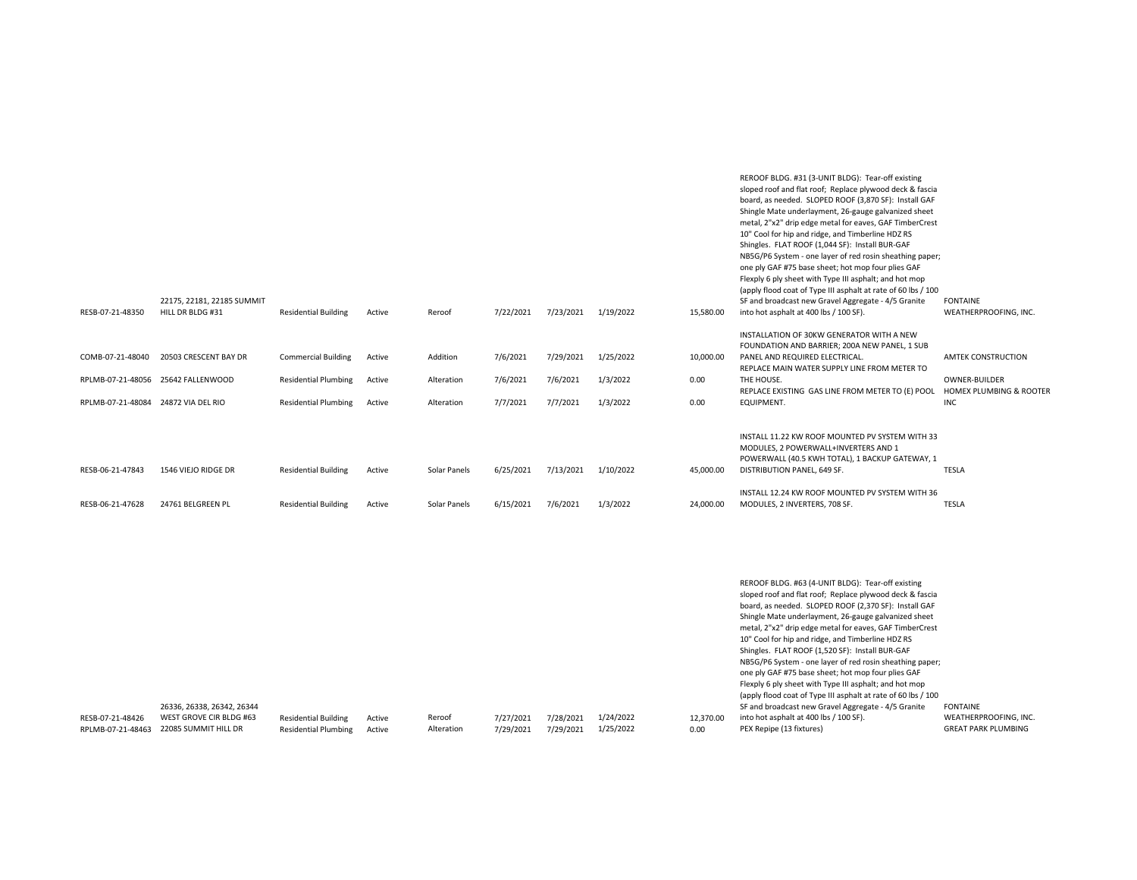| RESB-07-21-48350                     | 22175, 22181, 22185 SUMMIT<br>HILL DR BLDG #31                                                  | <b>Residential Building</b>                                | Active           | Reroof                       | 7/22/2021              | 7/23/2021 1/19/2022    |                        | 15,580.00              | REROOF BLDG. #31 (3-UNIT BLDG): Tear-off existing<br>sloped roof and flat roof; Replace plywood deck & fascia<br>board, as needed. SLOPED ROOF (3,870 SF): Install GAF<br>Shingle Mate underlayment, 26-gauge galvanized sheet<br>metal, 2"x2" drip edge metal for eaves, GAF TimberCrest<br>10" Cool for hip and ridge, and Timberline HDZ RS<br>Shingles. FLAT ROOF (1,044 SF): Install BUR-GAF<br>NB5G/P6 System - one layer of red rosin sheathing paper;<br>one ply GAF #75 base sheet; hot mop four plies GAF<br>Flexply 6 ply sheet with Type III asphalt; and hot mop<br>(apply flood coat of Type III asphalt at rate of 60 lbs / 100<br>SF and broadcast new Gravel Aggregate - 4/5 Granite<br>into hot asphalt at 400 lbs / 100 SF).<br>INSTALLATION OF 30KW GENERATOR WITH A NEW<br>FOUNDATION AND BARRIER; 200A NEW PANEL, 1 SUB | <b>FONTAINE</b><br>WEATHERPROOFING, INC.                               |
|--------------------------------------|-------------------------------------------------------------------------------------------------|------------------------------------------------------------|------------------|------------------------------|------------------------|------------------------|------------------------|------------------------|-----------------------------------------------------------------------------------------------------------------------------------------------------------------------------------------------------------------------------------------------------------------------------------------------------------------------------------------------------------------------------------------------------------------------------------------------------------------------------------------------------------------------------------------------------------------------------------------------------------------------------------------------------------------------------------------------------------------------------------------------------------------------------------------------------------------------------------------------|------------------------------------------------------------------------|
| COMB-07-21-48040                     | 20503 CRESCENT BAY DR                                                                           | <b>Commercial Building</b>                                 | Active           | Addition                     | 7/6/2021               | 7/29/2021              | 1/25/2022              | 10,000.00              | PANEL AND REQUIRED ELECTRICAL.<br>REPLACE MAIN WATER SUPPLY LINE FROM METER TO                                                                                                                                                                                                                                                                                                                                                                                                                                                                                                                                                                                                                                                                                                                                                                | <b>AMTEK CONSTRUCTION</b>                                              |
|                                      | RPLMB-07-21-48056 25642 FALLENWOOD                                                              | <b>Residential Plumbing</b>                                | Active           | Alteration                   | 7/6/2021               | 7/6/2021               | 1/3/2022               | 0.00                   | THE HOUSE.<br>REPLACE EXISTING GAS LINE FROM METER TO (E) POOL                                                                                                                                                                                                                                                                                                                                                                                                                                                                                                                                                                                                                                                                                                                                                                                | OWNER-BUILDER<br>HOMEX PLUMBING & ROOTER                               |
| RPLMB-07-21-48084 24872 VIA DEL RIO  |                                                                                                 | <b>Residential Plumbing</b>                                | Active           | Alteration                   | 7/7/2021               | 7/7/2021               | 1/3/2022               | 0.00                   | EQUIPMENT.                                                                                                                                                                                                                                                                                                                                                                                                                                                                                                                                                                                                                                                                                                                                                                                                                                    | <b>INC</b>                                                             |
| RESB-06-21-47843<br>RESB-06-21-47628 | 1546 VIEJO RIDGE DR<br>24761 BELGREEN PL                                                        | <b>Residential Building</b><br><b>Residential Building</b> | Active<br>Active | Solar Panels<br>Solar Panels | 6/25/2021<br>6/15/2021 | 7/13/2021<br>7/6/2021  | 1/10/2022<br>1/3/2022  | 45,000.00<br>24,000.00 | INSTALL 11.22 KW ROOF MOUNTED PV SYSTEM WITH 33<br>MODULES, 2 POWERWALL+INVERTERS AND 1<br>POWERWALL (40.5 KWH TOTAL), 1 BACKUP GATEWAY, 1<br>DISTRIBUTION PANEL, 649 SF.<br>INSTALL 12.24 KW ROOF MOUNTED PV SYSTEM WITH 36<br>MODULES, 2 INVERTERS, 708 SF.                                                                                                                                                                                                                                                                                                                                                                                                                                                                                                                                                                                 | TESLA<br><b>TESLA</b>                                                  |
| RESB-07-21-48426                     | 26336, 26338, 26342, 26344<br>WEST GROVE CIR BLDG #63<br>RPLMB-07-21-48463 22085 SUMMIT HILL DR | <b>Residential Building</b><br><b>Residential Plumbing</b> | Active<br>Active | Reroof<br>Alteration         | 7/27/2021<br>7/29/2021 | 7/28/2021<br>7/29/2021 | 1/24/2022<br>1/25/2022 | 12,370.00<br>0.00      | REROOF BLDG. #63 (4-UNIT BLDG): Tear-off existing<br>sloped roof and flat roof; Replace plywood deck & fascia<br>board, as needed. SLOPED ROOF (2,370 SF): Install GAF<br>Shingle Mate underlayment, 26-gauge galvanized sheet<br>metal, 2"x2" drip edge metal for eaves, GAF TimberCrest<br>10" Cool for hip and ridge, and Timberline HDZ RS<br>Shingles. FLAT ROOF (1,520 SF): Install BUR-GAF<br>NB5G/P6 System - one layer of red rosin sheathing paper;<br>one ply GAF #75 base sheet; hot mop four plies GAF<br>Flexply 6 ply sheet with Type III asphalt; and hot mop<br>(apply flood coat of Type III asphalt at rate of 60 lbs / 100<br>SF and broadcast new Gravel Aggregate - 4/5 Granite<br>into hot asphalt at 400 lbs / 100 SF).<br>PEX Repipe (13 fixtures)                                                                   | <b>FONTAINE</b><br>WEATHERPROOFING, INC.<br><b>GREAT PARK PLUMBING</b> |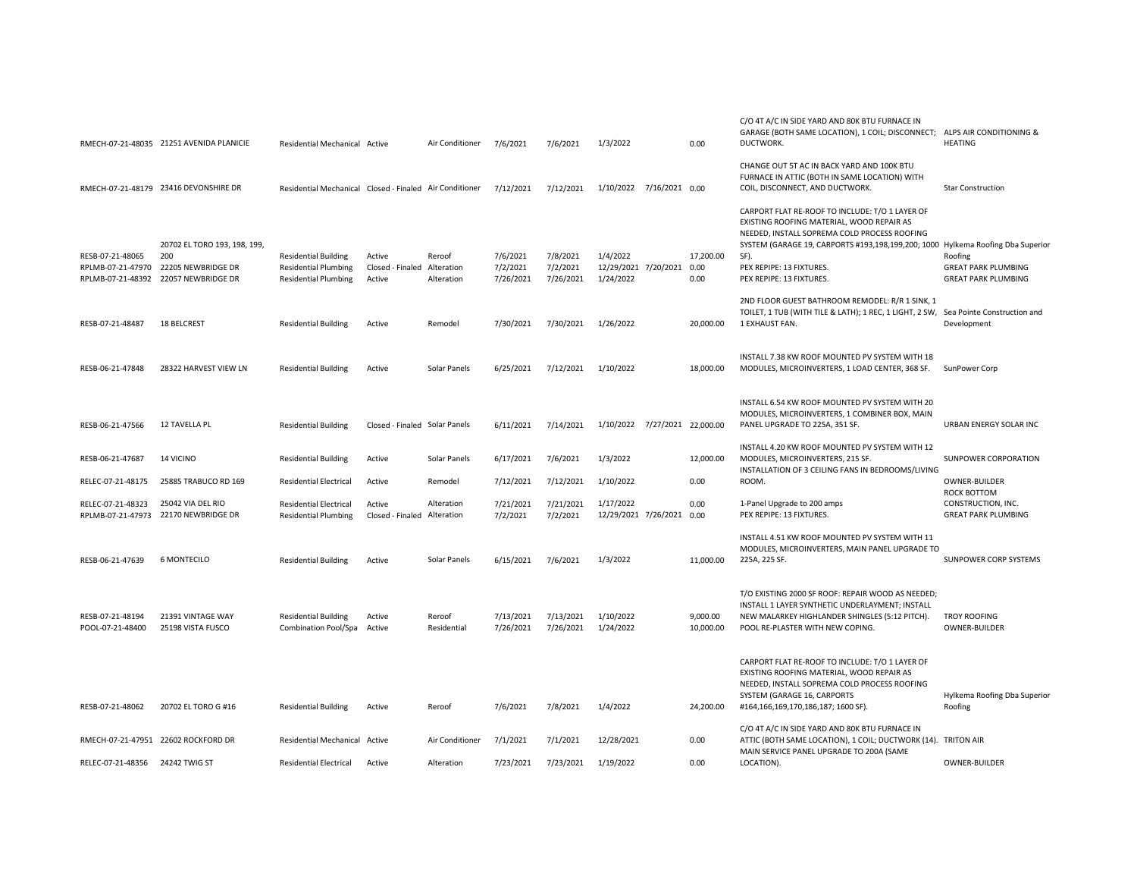|                                                             | RMECH-07-21-48035 21251 AVENIDA PLANICIE                                        | Residential Mechanical Active                                                                 |                                                 | Air Conditioner       | 7/6/2021                           | 7/6/2021                           | 1/3/2022                                            | 0.00                  | C/O 4T A/C IN SIDE YARD AND 80K BTU FURNACE IN<br>GARAGE (BOTH SAME LOCATION), 1 COIL; DISCONNECT;<br>DUCTWORK.                                                                                                                                                                                 | ALPS AIR CONDITIONING &<br><b>HEATING</b>                                        |
|-------------------------------------------------------------|---------------------------------------------------------------------------------|-----------------------------------------------------------------------------------------------|-------------------------------------------------|-----------------------|------------------------------------|------------------------------------|-----------------------------------------------------|-----------------------|-------------------------------------------------------------------------------------------------------------------------------------------------------------------------------------------------------------------------------------------------------------------------------------------------|----------------------------------------------------------------------------------|
|                                                             | RMECH-07-21-48179 23416 DEVONSHIRE DR                                           | Residential Mechanical Closed - Finaled Air Conditioner                                       |                                                 |                       | 7/12/2021                          | 7/12/2021                          | 1/10/2022 7/16/2021 0.00                            |                       | CHANGE OUT 5T AC IN BACK YARD AND 100K BTU<br>FURNACE IN ATTIC (BOTH IN SAME LOCATION) WITH<br>COIL, DISCONNECT, AND DUCTWORK.                                                                                                                                                                  | <b>Star Construction</b>                                                         |
| RESB-07-21-48065<br>RPLMB-07-21-47970<br>RPLMB-07-21-48392  | 20702 EL TORO 193, 198, 199,<br>200<br>22205 NEWBRIDGE DR<br>22057 NEWBRIDGE DR | <b>Residential Building</b><br><b>Residential Plumbing</b><br><b>Residential Plumbing</b>     | Active<br>Closed - Finaled Alteration<br>Active | Reroof<br>Alteration  | 7/6/2021<br>7/2/2021<br>7/26/2021  | 7/8/2021<br>7/2/2021<br>7/26/2021  | 1/4/2022<br>12/29/2021 7/20/2021 0.00<br>1/24/2022  | 17,200.00<br>0.00     | CARPORT FLAT RE-ROOF TO INCLUDE: T/O 1 LAYER OF<br>EXISTING ROOFING MATERIAL, WOOD REPAIR AS<br>NEEDED, INSTALL SOPREMA COLD PROCESS ROOFING<br>SYSTEM (GARAGE 19, CARPORTS #193,198,199,200; 1000 Hylkema Roofing Dba Superior<br>SF).<br>PEX REPIPE: 13 FIXTURES.<br>PEX REPIPE: 13 FIXTURES. | Roofing<br><b>GREAT PARK PLUMBING</b><br><b>GREAT PARK PLUMBING</b>              |
| RESB-07-21-48487                                            | 18 BELCREST                                                                     | <b>Residential Building</b>                                                                   | Active                                          | Remodel               | 7/30/2021                          | 7/30/2021                          | 1/26/2022                                           | 20,000.00             | 2ND FLOOR GUEST BATHROOM REMODEL: R/R 1 SINK, 1<br>TOILET, 1 TUB (WITH TILE & LATH); 1 REC, 1 LIGHT, 2 SW, Sea Pointe Construction and<br>1 EXHAUST FAN.                                                                                                                                        | Development                                                                      |
| RESB-06-21-47848                                            | 28322 HARVEST VIEW LN                                                           | <b>Residential Building</b>                                                                   | Active                                          | Solar Panels          | 6/25/2021                          | 7/12/2021                          | 1/10/2022                                           | 18,000.00             | INSTALL 7.38 KW ROOF MOUNTED PV SYSTEM WITH 18<br>MODULES, MICROINVERTERS, 1 LOAD CENTER, 368 SF.                                                                                                                                                                                               | SunPower Corp                                                                    |
| RESB-06-21-47566                                            | 12 TAVELLA PL                                                                   | <b>Residential Building</b>                                                                   | Closed - Finaled Solar Panels                   |                       | 6/11/2021                          | 7/14/2021                          | 1/10/2022 7/27/2021 22,000.00                       |                       | INSTALL 6.54 KW ROOF MOUNTED PV SYSTEM WITH 20<br>MODULES, MICROINVERTERS, 1 COMBINER BOX, MAIN<br>PANEL UPGRADE TO 225A, 351 SF.                                                                                                                                                               | URBAN ENERGY SOLAR INC                                                           |
| RESB-06-21-47687                                            | 14 VICINO                                                                       | <b>Residential Building</b>                                                                   | Active                                          | Solar Panels          | 6/17/2021                          | 7/6/2021                           | 1/3/2022                                            | 12,000.00             | INSTALL 4.20 KW ROOF MOUNTED PV SYSTEM WITH 12<br>MODULES, MICROINVERTERS, 215 SF.<br>INSTALLATION OF 3 CEILING FANS IN BEDROOMS/LIVING                                                                                                                                                         | <b>SUNPOWER CORPORATION</b>                                                      |
| RELEC-07-21-48175<br>RELEC-07-21-48323<br>RPLMB-07-21-47973 | 25885 TRABUCO RD 169<br>25042 VIA DEL RIO<br>22170 NEWBRIDGE DR                 | <b>Residential Electrical</b><br><b>Residential Electrical</b><br><b>Residential Plumbing</b> | Active<br>Active<br>Closed - Finaled Alteration | Remodel<br>Alteration | 7/12/2021<br>7/21/2021<br>7/2/2021 | 7/12/2021<br>7/21/2021<br>7/2/2021 | 1/10/2022<br>1/17/2022<br>12/29/2021 7/26/2021 0.00 | 0.00<br>0.00          | ROOM.<br>1-Panel Upgrade to 200 amps<br>PEX REPIPE: 13 FIXTURES.                                                                                                                                                                                                                                | OWNER-BUILDER<br>ROCK BOTTOM<br>CONSTRUCTION, INC.<br><b>GREAT PARK PLUMBING</b> |
| RESB-06-21-47639                                            | <b>6 MONTECILO</b>                                                              | <b>Residential Building</b>                                                                   | Active                                          | Solar Panels          | 6/15/2021                          | 7/6/2021                           | 1/3/2022                                            | 11,000.00             | INSTALL 4.51 KW ROOF MOUNTED PV SYSTEM WITH 11<br>MODULES, MICROINVERTERS, MAIN PANEL UPGRADE TO<br>225A, 225 SF.                                                                                                                                                                               | SUNPOWER CORP SYSTEMS                                                            |
| RESB-07-21-48194<br>POOL-07-21-48400                        | 21391 VINTAGE WAY<br>25198 VISTA FUSCO                                          | <b>Residential Building</b><br>Combination Pool/Spa                                           | Active<br>Active                                | Reroof<br>Residential | 7/13/2021<br>7/26/2021             | 7/13/2021<br>7/26/2021             | 1/10/2022<br>1/24/2022                              | 9,000.00<br>10,000.00 | T/O EXISTING 2000 SF ROOF: REPAIR WOOD AS NEEDED;<br>INSTALL 1 LAYER SYNTHETIC UNDERLAYMENT; INSTALL<br>NEW MALARKEY HIGHLANDER SHINGLES (5:12 PITCH).<br>POOL RE-PLASTER WITH NEW COPING.                                                                                                      | TROY ROOFING<br>OWNER-BUILDER                                                    |
| RESB-07-21-48062                                            | 20702 EL TORO G #16                                                             | <b>Residential Building</b>                                                                   | Active                                          | Reroof                | 7/6/2021                           | 7/8/2021                           | 1/4/2022                                            | 24,200.00             | CARPORT FLAT RE-ROOF TO INCLUDE: T/O 1 LAYER OF<br>EXISTING ROOFING MATERIAL, WOOD REPAIR AS<br>NEEDED, INSTALL SOPREMA COLD PROCESS ROOFING<br>SYSTEM (GARAGE 16, CARPORTS<br>#164,166,169,170,186,187; 1600 SF).                                                                              | Hylkema Roofing Dba Superior<br>Roofing                                          |
| RMECH-07-21-47951 22602 ROCKFORD DR                         |                                                                                 | Residential Mechanical Active                                                                 |                                                 | Air Conditioner       | 7/1/2021                           | 7/1/2021                           | 12/28/2021                                          | 0.00                  | C/O 4T A/C IN SIDE YARD AND 80K BTU FURNACE IN<br>ATTIC (BOTH SAME LOCATION), 1 COIL; DUCTWORK (14). TRITON AIR                                                                                                                                                                                 |                                                                                  |
| RELEC-07-21-48356 24242 TWIG ST                             |                                                                                 | <b>Residential Electrical</b>                                                                 | Active                                          | Alteration            | 7/23/2021                          | 7/23/2021                          | 1/19/2022                                           | 0.00                  | MAIN SERVICE PANEL UPGRADE TO 200A (SAME<br>LOCATION).                                                                                                                                                                                                                                          | <b>OWNER-BUILDER</b>                                                             |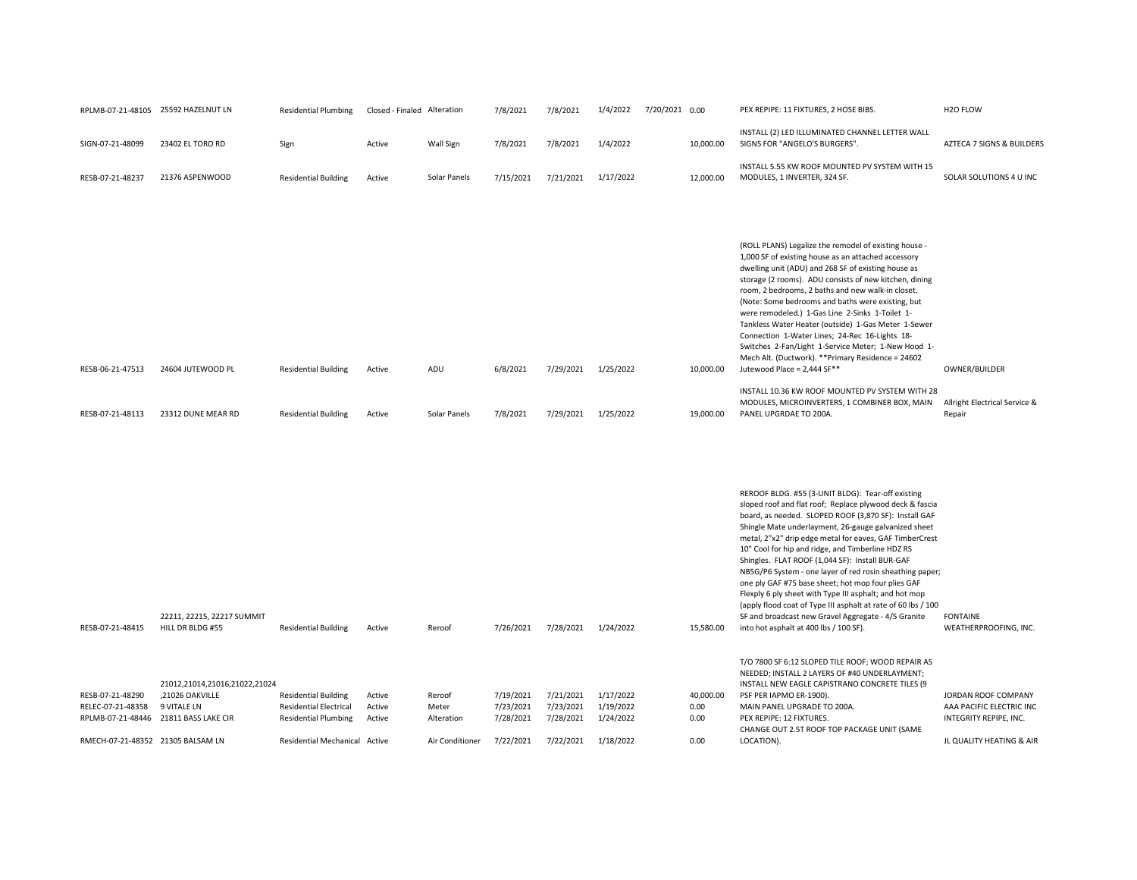| RESB-07-21-48415  | 22211, 22215, 22217 SUMMIT<br>HILL DR BLDG #55 | <b>Residential Building</b>   | Active | Reroof          | 7/26/2021 | 7/28/2021 | 1/24/2022 | 15,580.00 | REROOF BLDG. #55 (3-UNIT BLDG): Tear-off existing<br>sloped roof and flat roof; Replace plywood deck & fascia<br>board, as needed. SLOPED ROOF (3,870 SF): Install GAF<br>Shingle Mate underlayment, 26-gauge galvanized sheet<br>metal, 2"x2" drip edge metal for eaves, GAF TimberCrest<br>10" Cool for hip and ridge, and Timberline HDZ RS<br>Shingles. FLAT ROOF (1,044 SF): Install BUR-GAF<br>NB5G/P6 System - one layer of red rosin sheathing paper;<br>one ply GAF #75 base sheet; hot mop four plies GAF<br>Flexply 6 ply sheet with Type III asphalt; and hot mop<br>(apply flood coat of Type III asphalt at rate of 60 lbs / 100<br>SF and broadcast new Gravel Aggregate - 4/5 Granite<br>into hot asphalt at 400 lbs / 100 SF). | <b>FONTAINE</b><br>WEATHERPROOFING, INC. |
|-------------------|------------------------------------------------|-------------------------------|--------|-----------------|-----------|-----------|-----------|-----------|-------------------------------------------------------------------------------------------------------------------------------------------------------------------------------------------------------------------------------------------------------------------------------------------------------------------------------------------------------------------------------------------------------------------------------------------------------------------------------------------------------------------------------------------------------------------------------------------------------------------------------------------------------------------------------------------------------------------------------------------------|------------------------------------------|
|                   |                                                |                               |        |                 |           |           |           |           | T/O 7800 SF 6:12 SLOPED TILE ROOF; WOOD REPAIR AS                                                                                                                                                                                                                                                                                                                                                                                                                                                                                                                                                                                                                                                                                               |                                          |
|                   | 21012,21014,21016,21022,21024                  |                               |        |                 |           |           |           |           | NEEDED; INSTALL 2 LAYERS OF #40 UNDERLAYMENT;<br>INSTALL NEW EAGLE CAPISTRANO CONCRETE TILES (9                                                                                                                                                                                                                                                                                                                                                                                                                                                                                                                                                                                                                                                 |                                          |
| RESB-07-21-48290  | .21026 OAKVILLE                                | <b>Residential Building</b>   | Active | Reroof          | 7/19/2021 | 7/21/2021 | 1/17/2022 | 40,000.00 | PSF PER IAPMO ER-1900).                                                                                                                                                                                                                                                                                                                                                                                                                                                                                                                                                                                                                                                                                                                         | JORDAN ROOF COMPANY                      |
| RELEC-07-21-48358 | 9 VITALE LN                                    | <b>Residential Electrical</b> | Active | Meter           | 7/23/2021 | 7/23/2021 | 1/19/2022 | 0.00      | MAIN PANEL UPGRADE TO 200A.                                                                                                                                                                                                                                                                                                                                                                                                                                                                                                                                                                                                                                                                                                                     | AAA PACIFIC ELECTRIC INC                 |
| RPLMB-07-21-48446 | 21811 BASS LAKE CIR                            | <b>Residential Plumbing</b>   | Active | Alteration      | 7/28/2021 | 7/28/2021 | 1/24/2022 | 0.00      | PEX REPIPE: 12 FIXTURES.                                                                                                                                                                                                                                                                                                                                                                                                                                                                                                                                                                                                                                                                                                                        | INTEGRITY REPIPE, INC.                   |
|                   |                                                |                               |        |                 |           |           |           |           | CHANGE OUT 2.5T ROOF TOP PACKAGE UNIT (SAME                                                                                                                                                                                                                                                                                                                                                                                                                                                                                                                                                                                                                                                                                                     |                                          |
| RMECH-07-21-48352 | 21305 BALSAM LN                                | Residential Mechanical Active |        | Air Conditioner | 7/22/2021 | 7/22/2021 | 1/18/2022 | 0.00      | LOCATION).                                                                                                                                                                                                                                                                                                                                                                                                                                                                                                                                                                                                                                                                                                                                      | JL QUALITY HEATING & AIR                 |

|                  |                    |                             |        |              |           |           |           |           | INSTALL 5.55 KW ROOF MOUNTED PV SYSTEM WITH 15         |                               |
|------------------|--------------------|-----------------------------|--------|--------------|-----------|-----------|-----------|-----------|--------------------------------------------------------|-------------------------------|
| RESB-07-21-48237 | 21376 ASPENWOOD    | <b>Residential Building</b> | Active | Solar Panels | 7/15/2021 | 7/21/2021 | 1/17/2022 | 12,000.00 | MODULES, 1 INVERTER, 324 SF.                           | SOLAR SOLUTIONS 4 U INC       |
|                  |                    |                             |        |              |           |           |           |           |                                                        |                               |
|                  |                    |                             |        |              |           |           |           |           |                                                        |                               |
|                  |                    |                             |        |              |           |           |           |           |                                                        |                               |
|                  |                    |                             |        |              |           |           |           |           |                                                        |                               |
|                  |                    |                             |        |              |           |           |           |           |                                                        |                               |
|                  |                    |                             |        |              |           |           |           |           |                                                        |                               |
|                  |                    |                             |        |              |           |           |           |           |                                                        |                               |
|                  |                    |                             |        |              |           |           |           |           | (ROLL PLANS) Legalize the remodel of existing house -  |                               |
|                  |                    |                             |        |              |           |           |           |           | 1,000 SF of existing house as an attached accessory    |                               |
|                  |                    |                             |        |              |           |           |           |           |                                                        |                               |
|                  |                    |                             |        |              |           |           |           |           | dwelling unit (ADU) and 268 SF of existing house as    |                               |
|                  |                    |                             |        |              |           |           |           |           | storage (2 rooms). ADU consists of new kitchen, dining |                               |
|                  |                    |                             |        |              |           |           |           |           | room, 2 bedrooms, 2 baths and new walk-in closet.      |                               |
|                  |                    |                             |        |              |           |           |           |           | (Note: Some bedrooms and baths were existing, but      |                               |
|                  |                    |                             |        |              |           |           |           |           |                                                        |                               |
|                  |                    |                             |        |              |           |           |           |           | were remodeled.) 1-Gas Line 2-Sinks 1-Toilet 1-        |                               |
|                  |                    |                             |        |              |           |           |           |           | Tankless Water Heater (outside) 1-Gas Meter 1-Sewer    |                               |
|                  |                    |                             |        |              |           |           |           |           | Connection 1-Water Lines; 24-Rec 16-Lights 18-         |                               |
|                  |                    |                             |        |              |           |           |           |           | Switches 2-Fan/Light 1-Service Meter; 1-New Hood 1-    |                               |
|                  |                    |                             |        |              |           |           |           |           |                                                        |                               |
|                  |                    |                             |        |              |           |           |           |           | Mech Alt. (Ductwork). ** Primary Residence = 24602     |                               |
| RESB-06-21-47513 | 24604 JUTEWOOD PL  | <b>Residential Building</b> | Active | ADU          | 6/8/2021  | 7/29/2021 | 1/25/2022 | 10,000.00 | Jutewood Place = 2,444 SF**                            | OWNER/BUILDER                 |
|                  |                    |                             |        |              |           |           |           |           |                                                        |                               |
|                  |                    |                             |        |              |           |           |           |           | INSTALL 10.36 KW ROOF MOUNTED PV SYSTEM WITH 28        |                               |
|                  |                    |                             |        |              |           |           |           |           |                                                        |                               |
|                  |                    |                             |        |              |           |           |           |           | MODULES, MICROINVERTERS, 1 COMBINER BOX, MAIN          | Allright Electrical Service & |
| RESB-07-21-48113 | 23312 DUNE MEAR RD | <b>Residential Building</b> | Active | Solar Panels | 7/8/2021  | 7/29/2021 | 1/25/2022 | 19,000.00 | PANEL UPGRDAE TO 200A.                                 | Repair                        |

|                         | RPLMB-07-21-48105 25592 HAZELNUT LN | <b>Residential Plumbing</b> | Closed - Finaled Alteration |              | 7/8/2021  | 7/8/2021  | 1/4/2022  | 7/20/2021 0.00 | PEX REPIPE: 11 FIXTURES, 2 HOSE BIBS.                                            | H <sub>20</sub> FLOW       |
|-------------------------|-------------------------------------|-----------------------------|-----------------------------|--------------|-----------|-----------|-----------|----------------|----------------------------------------------------------------------------------|----------------------------|
| SIGN-07-21-48099        | 23402 EL TORO RD                    | Sigr                        | Active                      | Wall Sign    | 7/8/2021  | 7/8/2021  | 1/4/2022  | 10.000.00      | INSTALL (2) LED ILLUMINATED CHANNEL LETTER WALL<br>SIGNS FOR "ANGELO'S BURGERS". | AZTECA 7 SIGNS & BUILDERS  |
| <b>DECD 07 71 40727</b> | <b>21276 ACDEMIMIOOD</b>            | <b>Docidontial Duilding</b> | $A$ ctivo                   | Color Danole | 7/10/2021 | 7/21/2021 | 1/17/2022 | 12.000.00      | INSTALL 5.55 KW ROOF MOUNTED PV SYSTEM WITH 15<br>MODULEC 1 INVEDTED 224 CE      | COLAD COLLITIONIC A LLINIC |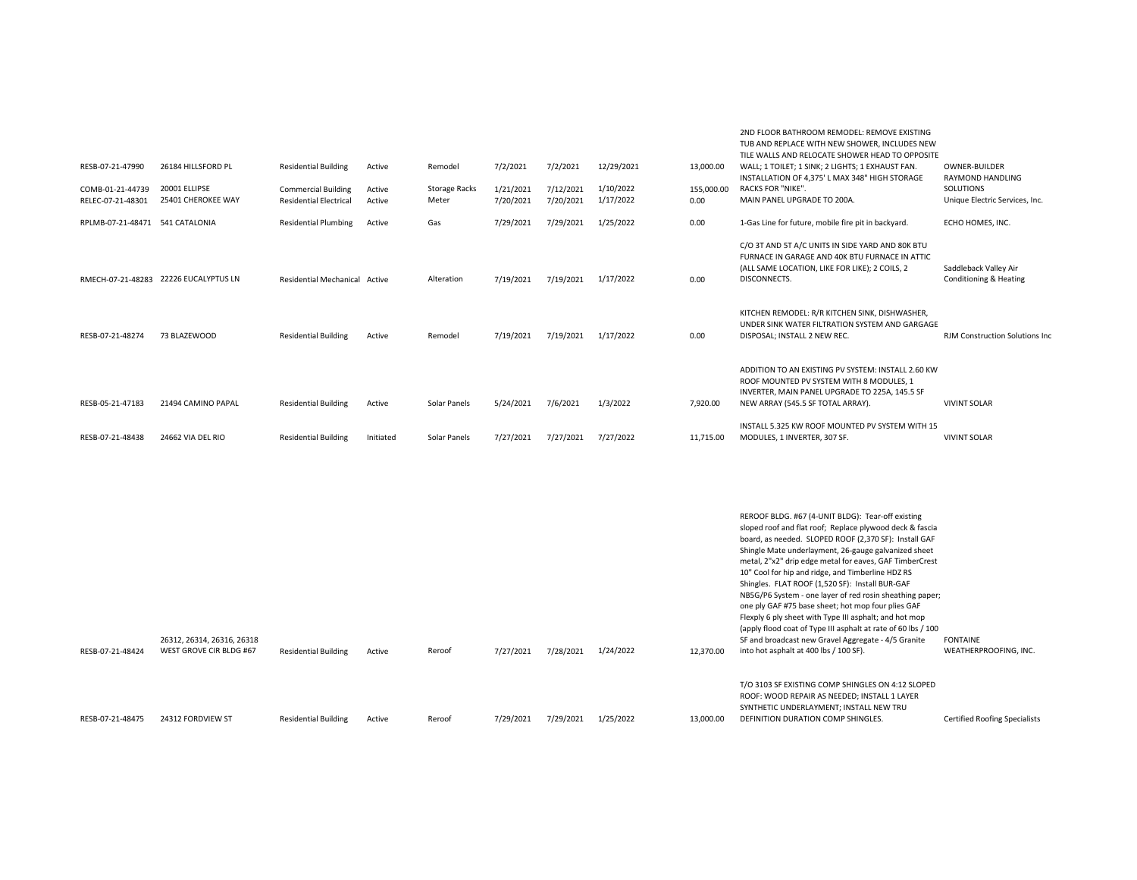|                                       |                                     |                                                             |                  |                               |                        |                        |                        |                    | TUB AND REPLACE WITH NEW SHOWER. INCLUDES NEW<br>TILE WALLS AND RELOCATE SHOWER HEAD TO OPPOSITE                                                                                      |                                                            |
|---------------------------------------|-------------------------------------|-------------------------------------------------------------|------------------|-------------------------------|------------------------|------------------------|------------------------|--------------------|---------------------------------------------------------------------------------------------------------------------------------------------------------------------------------------|------------------------------------------------------------|
| RESB-07-21-47990                      | 26184 HILLSFORD PL                  | <b>Residential Building</b>                                 | Active           | Remodel                       | 7/2/2021               | 7/2/2021               | 12/29/2021             | 13,000.00          | WALL; 1 TOILET; 1 SINK; 2 LIGHTS; 1 EXHAUST FAN.<br>INSTALLATION OF 4.375' L MAX 348" HIGH STORAGE                                                                                    | <b>OWNER-BUILDER</b><br><b>RAYMOND HANDLING</b>            |
| COMB-01-21-44739<br>RELEC-07-21-48301 | 20001 ELLIPSE<br>25401 CHEROKEE WAY | <b>Commercial Building</b><br><b>Residential Electrical</b> | Active<br>Active | <b>Storage Racks</b><br>Meter | 1/21/2021<br>7/20/2021 | 7/12/2021<br>7/20/2021 | 1/10/2022<br>1/17/2022 | 155,000,00<br>0.00 | <b>RACKS FOR "NIKE".</b><br>MAIN PANEL UPGRADE TO 200A.                                                                                                                               | SOLUTIONS<br>Unique Electric Services, Inc.                |
| RPLMB-07-21-48471 541 CATALONIA       |                                     | <b>Residential Plumbing</b>                                 | Active           | Gas                           | 7/29/2021              | 7/29/2021              | 1/25/2022              | 0.00               | 1-Gas Line for future, mobile fire pit in backyard.                                                                                                                                   | ECHO HOMES, INC.                                           |
| RMECH-07-21-48283                     | 22226 EUCALYPTUS LN                 | <b>Residential Mechanical</b>                               | Active           | Alteration                    | 7/19/2021              | 7/19/2021              | 1/17/2022              | 0.00               | C/O 3T AND 5T A/C UNITS IN SIDE YARD AND 80K BTU<br>FURNACE IN GARAGE AND 40K BTU FURNACE IN ATTIC.<br>(ALL SAME LOCATION, LIKE FOR LIKE); 2 COILS, 2<br>DISCONNECTS.                 | Saddleback Valley Air<br><b>Conditioning &amp; Heating</b> |
| RESB-07-21-48274                      | 73 BLAZEWOOD                        | <b>Residential Building</b>                                 | Active           | Remodel                       | 7/19/2021              | 7/19/2021              | 1/17/2022              | 0.00               | KITCHEN REMODEL: R/R KITCHEN SINK, DISHWASHER,<br>UNDER SINK WATER FILTRATION SYSTEM AND GARGAGE<br>DISPOSAL: INSTALL 2 NEW REC.                                                      | <b>RJM Construction Solutions Inc.</b>                     |
| RESB-05-21-47183                      | 21494 CAMINO PAPAL                  | <b>Residential Building</b>                                 | Active           | Solar Panels                  | 5/24/2021              | 7/6/2021               | 1/3/2022               | 7.920.00           | ADDITION TO AN EXISTING PV SYSTEM: INSTALL 2.60 KW<br>ROOF MOUNTED PV SYSTEM WITH 8 MODULES. 1<br>INVERTER. MAIN PANEL UPGRADE TO 225A. 145.5 SF<br>NEW ARRAY (545.5 SF TOTAL ARRAY). | <b>VIVINT SOLAR</b>                                        |
| RESB-07-21-48438                      | 24662 VIA DEL RIO                   | <b>Residential Building</b>                                 | Initiated        | Solar Panels                  | 7/27/2021              | 7/27/2021              | 7/27/2022              | 11,715.00          | INSTALL 5.325 KW ROOF MOUNTED PV SYSTEM WITH 15<br>MODULES, 1 INVERTER, 307 SF.                                                                                                       | <b>VIVINT SOLAR</b>                                        |

2ND FLOOR BATHROOM REMODEL: REMOVE EXISTING

|                  |                                                       |                             |        |        |           |           |           |           | REROOF BLDG. #67 (4-UNIT BLDG): Tear-off existing<br>sloped roof and flat roof; Replace plywood deck & fascia<br>board, as needed. SLOPED ROOF (2,370 SF): Install GAF<br>Shingle Mate underlayment, 26-gauge galvanized sheet<br>metal, 2"x2" drip edge metal for eaves, GAF TimberCrest |                                          |
|------------------|-------------------------------------------------------|-----------------------------|--------|--------|-----------|-----------|-----------|-----------|-------------------------------------------------------------------------------------------------------------------------------------------------------------------------------------------------------------------------------------------------------------------------------------------|------------------------------------------|
|                  |                                                       |                             |        |        |           |           |           |           | 10" Cool for hip and ridge, and Timberline HDZ RS<br>Shingles. FLAT ROOF (1,520 SF): Install BUR-GAF<br>NB5G/P6 System - one layer of red rosin sheathing paper;<br>one ply GAF #75 base sheet; hot mop four plies GAF<br>Flexply 6 ply sheet with Type III asphalt; and hot mop          |                                          |
| RESB-07-21-48424 | 26312, 26314, 26316, 26318<br>WEST GROVE CIR BLDG #67 | <b>Residential Building</b> | Active | Reroof | 7/27/2021 | 7/28/2021 | 1/24/2022 | 12,370.00 | (apply flood coat of Type III asphalt at rate of 60 lbs / 100<br>SF and broadcast new Gravel Aggregate - 4/5 Granite<br>into hot asphalt at 400 lbs / 100 SF).                                                                                                                            | <b>FONTAINE</b><br>WEATHERPROOFING. INC. |
| RESB-07-21-48475 | 24312 FORDVIEW ST                                     | <b>Residential Building</b> | Active | Reroof | 7/29/2021 | 7/29/2021 | 1/25/2022 | 13,000.00 | T/O 3103 SF EXISTING COMP SHINGLES ON 4:12 SLOPED<br>ROOF: WOOD REPAIR AS NEEDED; INSTALL 1 LAYER<br>SYNTHETIC UNDERLAYMENT: INSTALL NEW TRU<br>DEFINITION DURATION COMP SHINGLES.                                                                                                        | <b>Certified Roofing Specialists</b>     |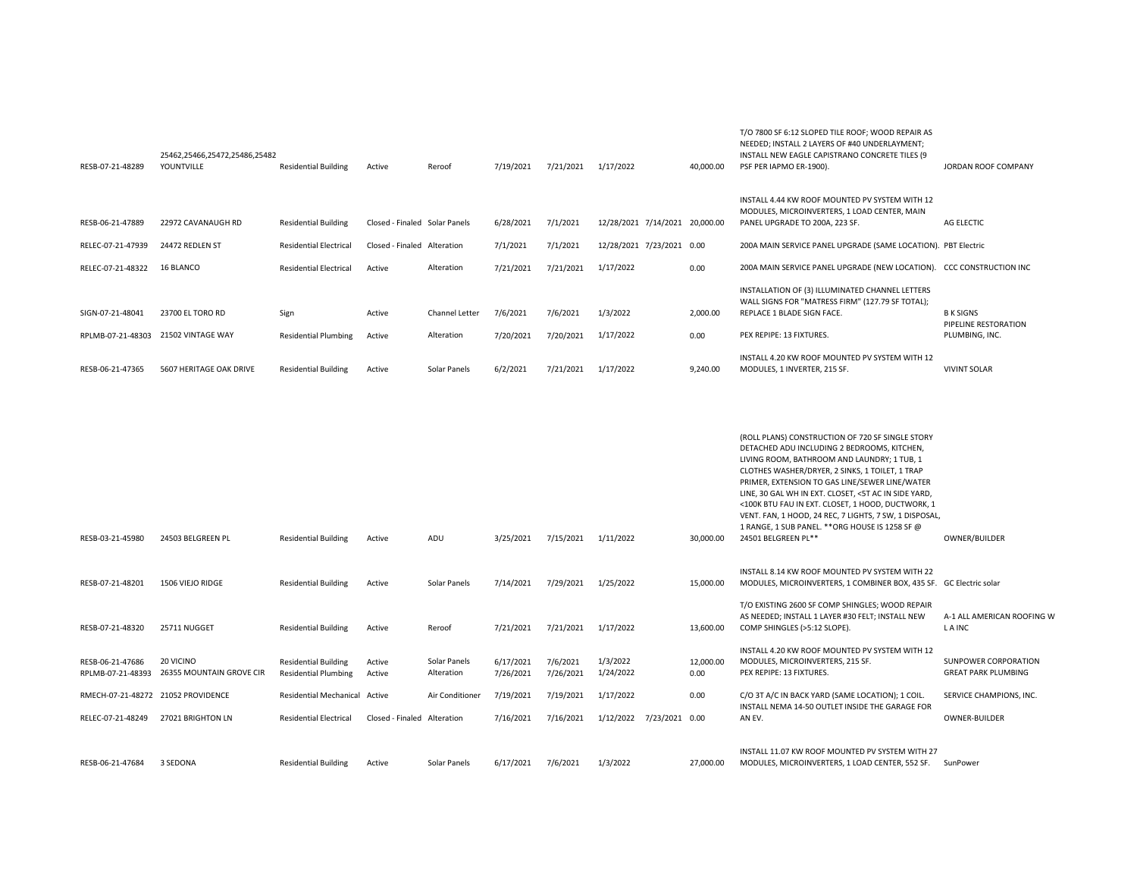|                                       |                                       |                                                            |                               |                            |                        |                       |                                |                   | MODULES, MICROINVERTERS, 1 LOAD CENTER, MAIN                                                                                                                                                                                                                                                                                                                                                                                                                                                         |                                                    |
|---------------------------------------|---------------------------------------|------------------------------------------------------------|-------------------------------|----------------------------|------------------------|-----------------------|--------------------------------|-------------------|------------------------------------------------------------------------------------------------------------------------------------------------------------------------------------------------------------------------------------------------------------------------------------------------------------------------------------------------------------------------------------------------------------------------------------------------------------------------------------------------------|----------------------------------------------------|
| RESB-06-21-47889                      | 22972 CAVANAUGH RD                    | <b>Residential Building</b>                                | Closed - Finaled Solar Panels |                            | 6/28/2021              | 7/1/2021              | 12/28/2021 7/14/2021 20,000.00 |                   | PANEL UPGRADE TO 200A, 223 SF.                                                                                                                                                                                                                                                                                                                                                                                                                                                                       | AG ELECTIC                                         |
| RELEC-07-21-47939                     | 24472 REDLEN ST                       | <b>Residential Electrical</b>                              | Closed - Finaled Alteration   |                            | 7/1/2021               | 7/1/2021              | 12/28/2021 7/23/2021 0.00      |                   | 200A MAIN SERVICE PANEL UPGRADE (SAME LOCATION). PBT Electric                                                                                                                                                                                                                                                                                                                                                                                                                                        |                                                    |
| RELEC-07-21-48322                     | 16 BLANCO                             | <b>Residential Electrical</b>                              | Active                        | Alteration                 | 7/21/2021              | 7/21/2021             | 1/17/2022                      | 0.00              | 200A MAIN SERVICE PANEL UPGRADE (NEW LOCATION). CCC CONSTRUCTION INC                                                                                                                                                                                                                                                                                                                                                                                                                                 |                                                    |
| SIGN-07-21-48041                      | 23700 EL TORO RD                      | Sign                                                       | Active                        | Channel Letter             | 7/6/2021               | 7/6/2021              | 1/3/2022                       | 2,000.00          | INSTALLATION OF (3) ILLUMINATED CHANNEL LETTERS<br>WALL SIGNS FOR "MATRESS FIRM" (127.79 SF TOTAL);<br>REPLACE 1 BLADE SIGN FACE.                                                                                                                                                                                                                                                                                                                                                                    | <b>BK SIGNS</b><br>PIPELINE RESTORATION            |
|                                       | RPLMB-07-21-48303 21502 VINTAGE WAY   | <b>Residential Plumbing</b>                                | Active                        | Alteration                 | 7/20/2021              | 7/20/2021             | 1/17/2022                      | 0.00              | PEX REPIPE: 13 FIXTURES.                                                                                                                                                                                                                                                                                                                                                                                                                                                                             | PLUMBING, INC.                                     |
| RESB-06-21-47365                      | 5607 HERITAGE OAK DRIVE               | <b>Residential Building</b>                                | Active                        | Solar Panels               | 6/2/2021               | 7/21/2021             | 1/17/2022                      | 9,240.00          | INSTALL 4.20 KW ROOF MOUNTED PV SYSTEM WITH 12<br>MODULES, 1 INVERTER, 215 SF.                                                                                                                                                                                                                                                                                                                                                                                                                       | <b>VIVINT SOLAR</b>                                |
| RESB-03-21-45980                      | 24503 BELGREEN PL                     | <b>Residential Building</b>                                | Active                        | ADU                        | 3/25/2021              | 7/15/2021             | 1/11/2022                      | 30,000.00         | (ROLL PLANS) CONSTRUCTION OF 720 SF SINGLE STORY<br>DETACHED ADU INCLUDING 2 BEDROOMS, KITCHEN,<br>LIVING ROOM, BATHROOM AND LAUNDRY; 1 TUB, 1<br>CLOTHES WASHER/DRYER, 2 SINKS, 1 TOILET, 1 TRAP<br>PRIMER, EXTENSION TO GAS LINE/SEWER LINE/WATER<br>LINE, 30 GAL WH IN EXT. CLOSET, <5T AC IN SIDE YARD,<br><100K BTU FAU IN EXT. CLOSET, 1 HOOD, DUCTWORK, 1<br>VENT. FAN, 1 HOOD, 24 REC, 7 LIGHTS, 7 SW, 1 DISPOSAL,<br>1 RANGE, 1 SUB PANEL. ** ORG HOUSE IS 1258 SF @<br>24501 BELGREEN PL** | OWNER/BUILDER                                      |
| RESB-07-21-48201                      | 1506 VIEJO RIDGE                      | <b>Residential Building</b>                                | Active                        | Solar Panels               | 7/14/2021              | 7/29/2021             | 1/25/2022                      | 15,000.00         | INSTALL 8.14 KW ROOF MOUNTED PV SYSTEM WITH 22<br>MODULES, MICROINVERTERS, 1 COMBINER BOX, 435 SF. GC Electric solar                                                                                                                                                                                                                                                                                                                                                                                 |                                                    |
| RESB-07-21-48320                      | 25711 NUGGET                          | <b>Residential Building</b>                                | Active                        | Reroof                     | 7/21/2021              | 7/21/2021             | 1/17/2022                      | 13,600.00         | T/O EXISTING 2600 SF COMP SHINGLES; WOOD REPAIR<br>AS NEEDED; INSTALL 1 LAYER #30 FELT; INSTALL NEW<br>COMP SHINGLES (>5:12 SLOPE).                                                                                                                                                                                                                                                                                                                                                                  | A-1 ALL AMERICAN ROOFING W<br>L A INC              |
| RESB-06-21-47686<br>RPLMB-07-21-48393 | 20 VICINO<br>26355 MOUNTAIN GROVE CIR | <b>Residential Building</b><br><b>Residential Plumbing</b> | Active<br>Active              | Solar Panels<br>Alteration | 6/17/2021<br>7/26/2021 | 7/6/2021<br>7/26/2021 | 1/3/2022<br>1/24/2022          | 12,000.00<br>0.00 | INSTALL 4.20 KW ROOF MOUNTED PV SYSTEM WITH 12<br>MODULES, MICROINVERTERS, 215 SF.<br>PEX REPIPE: 13 FIXTURES.                                                                                                                                                                                                                                                                                                                                                                                       | SUNPOWER CORPORATION<br><b>GREAT PARK PLUMBING</b> |
|                                       | RMECH-07-21-48272 21052 PROVIDENCE    | <b>Residential Mechanical Active</b>                       |                               | Air Conditioner            | 7/19/2021              | 7/19/2021             | 1/17/2022                      | 0.00              | C/O 3T A/C IN BACK YARD (SAME LOCATION); 1 COIL.                                                                                                                                                                                                                                                                                                                                                                                                                                                     | SERVICE CHAMPIONS, INC.                            |
| RELEC-07-21-48249                     | 27021 BRIGHTON LN                     | <b>Residential Electrical</b>                              | Closed - Finaled Alteration   |                            | 7/16/2021              | 7/16/2021             | 1/12/2022 7/23/2021 0.00       |                   | INSTALL NEMA 14-50 OUTLET INSIDE THE GARAGE FOR<br>AN EV.                                                                                                                                                                                                                                                                                                                                                                                                                                            | <b>OWNER-BUILDER</b>                               |
| RESB-06-21-47684                      | 3 SEDONA                              | <b>Residential Building</b>                                | Active                        | Solar Panels               | 6/17/2021              | 7/6/2021              | 1/3/2022                       | 27.000.00         | INSTALL 11.07 KW ROOF MOUNTED PV SYSTEM WITH 27<br>MODULES, MICROINVERTERS, 1 LOAD CENTER, 552 SF.                                                                                                                                                                                                                                                                                                                                                                                                   | SunPower                                           |

Residential Building Active Reroof 7/19/2021 7/21/2021 1/17/2022 40,000.00 PSF PER IAPMO ER-1900).

T/O 7800 SF 6:12 SLOPED TILE ROOF; WOOD REPAIR AS NEEDED; INSTALL 2 LAYERS OF #40 UNDERLAYMENT; INSTALL NEW EAGLE CAPISTRANO CONCRETE TILES (9

INSTALL 4.44 KW ROOF MOUNTED PV SYSTEM WITH 12

JORDAN ROOF COMPANY

RESB-07-21-48289

25462,25466,25472,25486,25482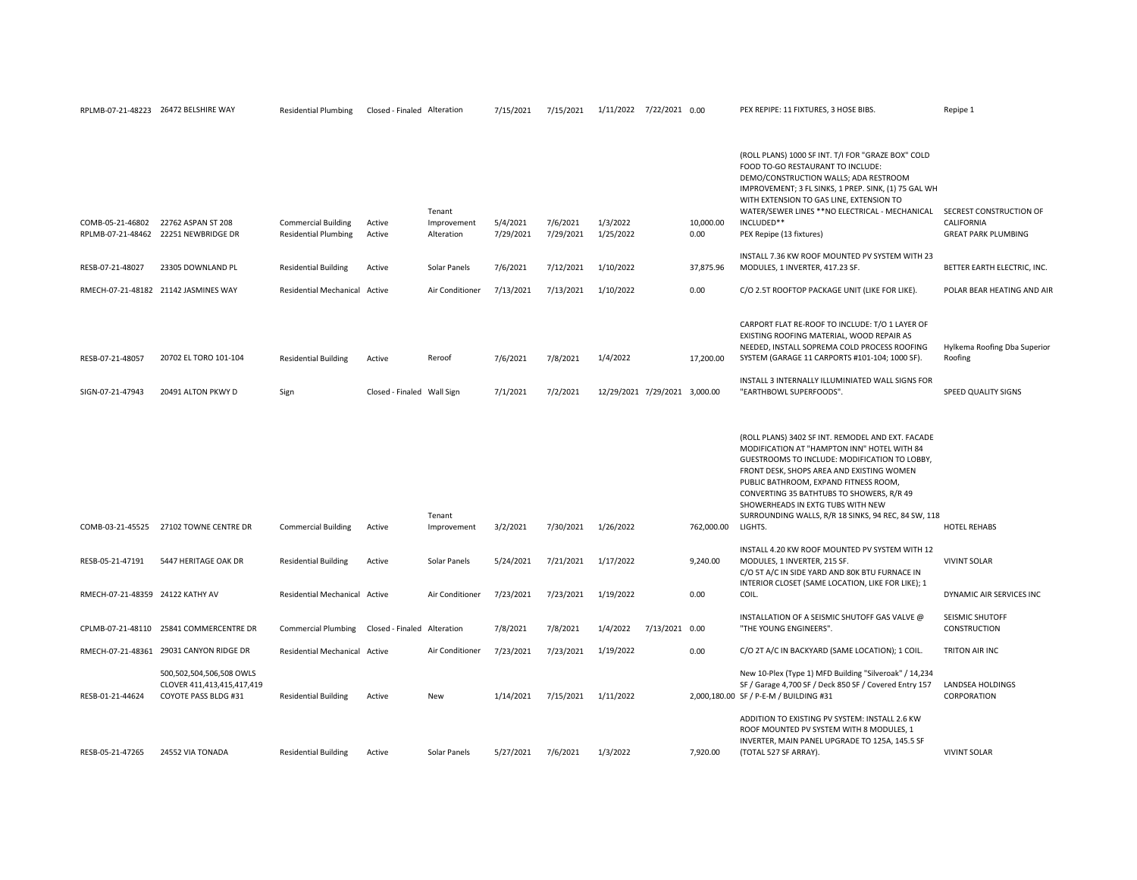| COMB-05-21-46802                     | 22762 ASPAN ST 208<br>RPLMB-07-21-48462 22251 NEWBRIDGE DR                     | <b>Commercial Building</b><br><b>Residential Plumbing</b> | Active<br>Active                     | Tenant<br>Improvement<br>Alteration | 5/4/2021<br>7/29/2021 | 7/6/2021<br>7/29/2021 | 1/3/2022<br>1/25/2022                     |                | 10,000.00<br>0.00 | (ROLL PLANS) 1000 SF INT. T/I FOR "GRAZE BOX" COLD<br>FOOD TO-GO RESTAURANT TO INCLUDE:<br>DEMO/CONSTRUCTION WALLS; ADA RESTROOM<br>IMPROVEMENT; 3 FL SINKS, 1 PREP. SINK, (1) 75 GAL WH<br>WITH EXTENSION TO GAS LINE, EXTENSION TO<br>WATER/SEWER LINES ** NO ELECTRICAL - MECHANICAL<br>INCLUDED**<br>PEX Repipe (13 fixtures)                                                           | SECREST CONSTRUCTION OF<br>CALIFORNIA<br><b>GREAT PARK PLUMBING</b> |
|--------------------------------------|--------------------------------------------------------------------------------|-----------------------------------------------------------|--------------------------------------|-------------------------------------|-----------------------|-----------------------|-------------------------------------------|----------------|-------------------|---------------------------------------------------------------------------------------------------------------------------------------------------------------------------------------------------------------------------------------------------------------------------------------------------------------------------------------------------------------------------------------------|---------------------------------------------------------------------|
| RESB-07-21-48027                     | 23305 DOWNLAND PL                                                              | <b>Residential Building</b>                               | Active                               | Solar Panels                        | 7/6/2021              | 7/12/2021             | 1/10/2022                                 |                | 37,875.96         | INSTALL 7.36 KW ROOF MOUNTED PV SYSTEM WITH 23<br>MODULES, 1 INVERTER, 417.23 SF.                                                                                                                                                                                                                                                                                                           | BETTER EARTH ELECTRIC, INC.                                         |
|                                      | RMECH-07-21-48182 21142 JASMINES WAY                                           | Residential Mechanical Active                             |                                      | Air Conditioner                     | 7/13/2021             | 7/13/2021             | 1/10/2022                                 |                | 0.00              | C/O 2.5T ROOFTOP PACKAGE UNIT (LIKE FOR LIKE).                                                                                                                                                                                                                                                                                                                                              | POLAR BEAR HEATING AND AIR                                          |
| RESB-07-21-48057<br>SIGN-07-21-47943 | 20702 EL TORO 101-104<br>20491 ALTON PKWY D                                    | <b>Residential Building</b><br>Sign                       | Active<br>Closed - Finaled Wall Sign | Reroof                              | 7/6/2021<br>7/1/2021  | 7/8/2021<br>7/2/2021  | 1/4/2022<br>12/29/2021 7/29/2021 3,000.00 |                | 17,200.00         | CARPORT FLAT RE-ROOF TO INCLUDE: T/O 1 LAYER OF<br>EXISTING ROOFING MATERIAL, WOOD REPAIR AS<br>NEEDED, INSTALL SOPREMA COLD PROCESS ROOFING<br>SYSTEM (GARAGE 11 CARPORTS #101-104; 1000 SF).<br>INSTALL 3 INTERNALLY ILLUMINIATED WALL SIGNS FOR<br>"EARTHBOWL SUPERFOODS".                                                                                                               | Hylkema Roofing Dba Superior<br>Roofing<br>SPEED QUALITY SIGNS      |
|                                      | COMB-03-21-45525 27102 TOWNE CENTRE DR                                         | <b>Commercial Building</b>                                | Active                               | Tenant<br>Improvement               | 3/2/2021              | 7/30/2021             | 1/26/2022                                 |                | 762,000.00        | (ROLL PLANS) 3402 SF INT. REMODEL AND EXT. FACADE<br>MODIFICATION AT "HAMPTON INN" HOTEL WITH 84<br>GUESTROOMS TO INCLUDE: MODIFICATION TO LOBBY,<br>FRONT DESK, SHOPS AREA AND EXISTING WOMEN<br>PUBLIC BATHROOM, EXPAND FITNESS ROOM,<br>CONVERTING 35 BATHTUBS TO SHOWERS, R/R 49<br>SHOWERHEADS IN EXTG TUBS WITH NEW<br>SURROUNDING WALLS, R/R 18 SINKS, 94 REC, 84 SW, 118<br>LIGHTS. | HOTEL REHABS                                                        |
| RESB-05-21-47191                     | 5447 HERITAGE OAK DR                                                           | <b>Residential Building</b>                               | Active                               | Solar Panels                        | 5/24/2021             | 7/21/2021             | 1/17/2022                                 |                | 9,240.00          | INSTALL 4.20 KW ROOF MOUNTED PV SYSTEM WITH 12<br>MODULES, 1 INVERTER, 215 SF.<br>C/O 5T A/C IN SIDE YARD AND 80K BTU FURNACE IN                                                                                                                                                                                                                                                            | <b>VIVINT SOLAR</b>                                                 |
| RMECH-07-21-48359 24122 KATHY AV     |                                                                                | Residential Mechanical Active                             |                                      | Air Conditioner                     | 7/23/2021             | 7/23/2021             | 1/19/2022                                 |                | 0.00              | INTERIOR CLOSET (SAME LOCATION, LIKE FOR LIKE); 1<br>COIL.                                                                                                                                                                                                                                                                                                                                  | DYNAMIC AIR SERVICES INC                                            |
|                                      | CPLMB-07-21-48110 25841 COMMERCENTRE DR                                        | <b>Commercial Plumbing</b>                                | Closed - Finaled Alteration          |                                     | 7/8/2021              | 7/8/2021              | 1/4/2022                                  | 7/13/2021 0.00 |                   | INSTALLATION OF A SEISMIC SHUTOFF GAS VALVE @<br>"THE YOUNG ENGINEERS".                                                                                                                                                                                                                                                                                                                     | SEISMIC SHUTOFF<br>CONSTRUCTION                                     |
|                                      | RMECH-07-21-48361 29031 CANYON RIDGE DR                                        | Residential Mechanical Active                             |                                      | Air Conditioner                     | 7/23/2021             | 7/23/2021             | 1/19/2022                                 |                | 0.00              | C/O 2T A/C IN BACKYARD (SAME LOCATION); 1 COIL.                                                                                                                                                                                                                                                                                                                                             | TRITON AIR INC                                                      |
| RESB-01-21-44624                     | 500,502,504,506,508 OWLS<br>CLOVER 411,413,415,417,419<br>COYOTE PASS BLDG #31 | <b>Residential Building</b>                               | Active                               | New                                 | 1/14/2021             | 7/15/2021             | 1/11/2022                                 |                |                   | New 10-Plex (Type 1) MFD Building "Silveroak" / 14,234<br>SF / Garage 4,700 SF / Deck 850 SF / Covered Entry 157<br>2,000,180.00 SF / P-E-M / BUILDING #31                                                                                                                                                                                                                                  | LANDSEA HOLDINGS<br>CORPORATION                                     |
| RESB-05-21-47265                     | 24552 VIA TONADA                                                               | <b>Residential Building</b>                               | Active                               | Solar Panels                        | 5/27/2021             | 7/6/2021              | 1/3/2022                                  |                | 7,920.00          | ADDITION TO EXISTING PV SYSTEM: INSTALL 2.6 KW<br>ROOF MOUNTED PV SYSTEM WITH 8 MODULES, 1<br>INVERTER, MAIN PANEL UPGRADE TO 125A, 145.5 SF<br>(TOTAL 527 SF ARRAY).                                                                                                                                                                                                                       | <b>VIVINT SOLAR</b>                                                 |

RPLMB-07-21-48223 26472 BELSHIRE WAY Residential Plumbing Closed - Finaled Alteration 7/15/2021 7/15/2021 1/11/2022 7/22/2021 0.00 PEX REPIPE: 11 FIXTURES, 3 HOSE BIBS. Repipe 1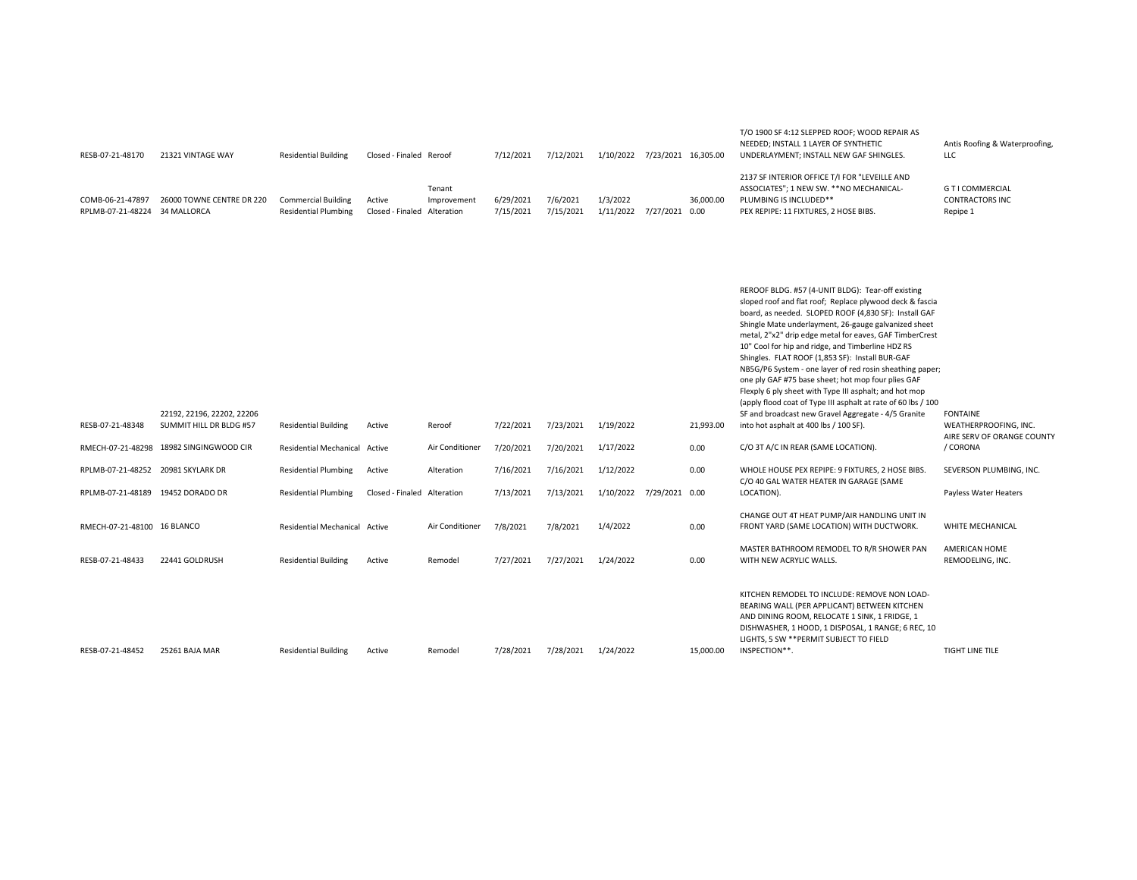| RESB-07-21-48170                      | 21321 VINTAGE WAY                        | <b>Residential Building</b>                               | Closed - Finaled Reroof    |                                     | 7/12/2021              | 7/12/2021             | 1/10/2022             | 7/23/2021 16,305.00 |           | T/O 1900 SF 4:12 SLEPPED ROOF; WOOD REPAIR AS<br>NEEDED; INSTALL 1 LAYER OF SYNTHETIC<br>UNDERLAYMENT; INSTALL NEW GAF SHINGLES.                             | Antis Roofing & Waterproofing,<br><b>LLC</b>           |
|---------------------------------------|------------------------------------------|-----------------------------------------------------------|----------------------------|-------------------------------------|------------------------|-----------------------|-----------------------|---------------------|-----------|--------------------------------------------------------------------------------------------------------------------------------------------------------------|--------------------------------------------------------|
| COMB-06-21-47897<br>RPLMB-07-21-48224 | 26000 TOWNE CENTRE DR 220<br>34 MALLORCA | <b>Commercial Building</b><br><b>Residential Plumbing</b> | Active<br>Closed - Finaled | Tenant<br>Improvement<br>Alteration | 6/29/2021<br>7/15/2021 | 7/6/2021<br>7/15/2021 | 1/3/2022<br>1/11/2022 | 7/27/2021 0.00      | 36,000.00 | 2137 SF INTERIOR OFFICE T/I FOR "LEVEILLE AND<br>ASSOCIATES"; 1 NEW SW. ** NO MECHANICAL-<br>PLUMBING IS INCLUDED**<br>PEX REPIPE: 11 FIXTURES, 2 HOSE BIBS. | G T I COMMERCIAL<br><b>CONTRACTORS INC</b><br>Repipe 1 |

| RESB-07-21-48348                   | 22192, 22196, 22202, 22206<br>SUMMIT HILL DR BLDG #57 | <b>Residential Building</b>   | Active                      | Reroof          | 7/22/2021 | 7/23/2021 | 1/19/2022 |                | 21,993.00 | REROOF BLDG. #57 (4-UNIT BLDG): Tear-off existing<br>sloped roof and flat roof; Replace plywood deck & fascia<br>board, as needed. SLOPED ROOF (4,830 SF): Install GAF<br>Shingle Mate underlayment, 26-gauge galvanized sheet<br>metal, 2"x2" drip edge metal for eaves, GAF TimberCrest<br>10" Cool for hip and ridge, and Timberline HDZ RS<br>Shingles. FLAT ROOF (1,853 SF): Install BUR-GAF<br>NB5G/P6 System - one layer of red rosin sheathing paper;<br>one ply GAF #75 base sheet; hot mop four plies GAF<br>Flexply 6 ply sheet with Type III asphalt; and hot mop<br>(apply flood coat of Type III asphalt at rate of 60 lbs / 100<br>SF and broadcast new Gravel Aggregate - 4/5 Granite<br>into hot asphalt at 400 lbs / 100 SF). | <b>FONTAINE</b><br>WEATHERPROOFING, INC. |
|------------------------------------|-------------------------------------------------------|-------------------------------|-----------------------------|-----------------|-----------|-----------|-----------|----------------|-----------|-------------------------------------------------------------------------------------------------------------------------------------------------------------------------------------------------------------------------------------------------------------------------------------------------------------------------------------------------------------------------------------------------------------------------------------------------------------------------------------------------------------------------------------------------------------------------------------------------------------------------------------------------------------------------------------------------------------------------------------------------|------------------------------------------|
| RMECH-07-21-48298                  | 18982 SINGINGWOOD CIR                                 | <b>Residential Mechanical</b> | Active                      | Air Conditioner | 7/20/2021 | 7/20/2021 | 1/17/2022 |                | 0.00      | C/O 3T A/C IN REAR (SAME LOCATION).                                                                                                                                                                                                                                                                                                                                                                                                                                                                                                                                                                                                                                                                                                             | AIRE SERV OF ORANGE COUNTY<br>/ CORONA   |
|                                    |                                                       |                               |                             |                 |           |           |           |                |           |                                                                                                                                                                                                                                                                                                                                                                                                                                                                                                                                                                                                                                                                                                                                                 |                                          |
| RPLMB-07-21-48252 20981 SKYLARK DR |                                                       | <b>Residential Plumbing</b>   | Active                      | Alteration      | 7/16/2021 | 7/16/2021 | 1/12/2022 |                | 0.00      | WHOLE HOUSE PEX REPIPE: 9 FIXTURES, 2 HOSE BIBS.<br>C/O 40 GAL WATER HEATER IN GARAGE (SAME                                                                                                                                                                                                                                                                                                                                                                                                                                                                                                                                                                                                                                                     | SEVERSON PLUMBING, INC.                  |
| RPLMB-07-21-48189                  | 19452 DORADO DR                                       | <b>Residential Plumbing</b>   | Closed - Finaled Alteration |                 | 7/13/2021 | 7/13/2021 | 1/10/2022 | 7/29/2021 0.00 |           | LOCATION).                                                                                                                                                                                                                                                                                                                                                                                                                                                                                                                                                                                                                                                                                                                                      | Payless Water Heaters                    |
| RMECH-07-21-48100 16 BLANCO        |                                                       | Residential Mechanical Active |                             | Air Conditioner | 7/8/2021  | 7/8/2021  | 1/4/2022  |                | 0.00      | CHANGE OUT 4T HEAT PUMP/AIR HANDLING UNIT IN<br>FRONT YARD (SAME LOCATION) WITH DUCTWORK.                                                                                                                                                                                                                                                                                                                                                                                                                                                                                                                                                                                                                                                       | WHITE MECHANICAL                         |
| RESB-07-21-48433                   | 22441 GOLDRUSH                                        | <b>Residential Building</b>   | Active                      | Remodel         | 7/27/2021 | 7/27/2021 | 1/24/2022 |                | 0.00      | MASTER BATHROOM REMODEL TO R/R SHOWER PAN<br>WITH NEW ACRYLIC WALLS.                                                                                                                                                                                                                                                                                                                                                                                                                                                                                                                                                                                                                                                                            | AMERICAN HOME<br>REMODELING, INC.        |
| RESB-07-21-48452                   | 25261 BAJA MAR                                        | <b>Residential Building</b>   | Active                      | Remodel         | 7/28/2021 | 7/28/2021 | 1/24/2022 |                | 15,000.00 | KITCHEN REMODEL TO INCLUDE: REMOVE NON LOAD-<br>BEARING WALL (PER APPLICANT) BETWEEN KITCHEN<br>AND DINING ROOM, RELOCATE 1 SINK, 1 FRIDGE, 1<br>DISHWASHER, 1 HOOD, 1 DISPOSAL, 1 RANGE; 6 REC, 10<br>LIGHTS, 5 SW ** PERMIT SUBJECT TO FIELD<br>INSPECTION**.                                                                                                                                                                                                                                                                                                                                                                                                                                                                                 | <b>TIGHT LINE TILE</b>                   |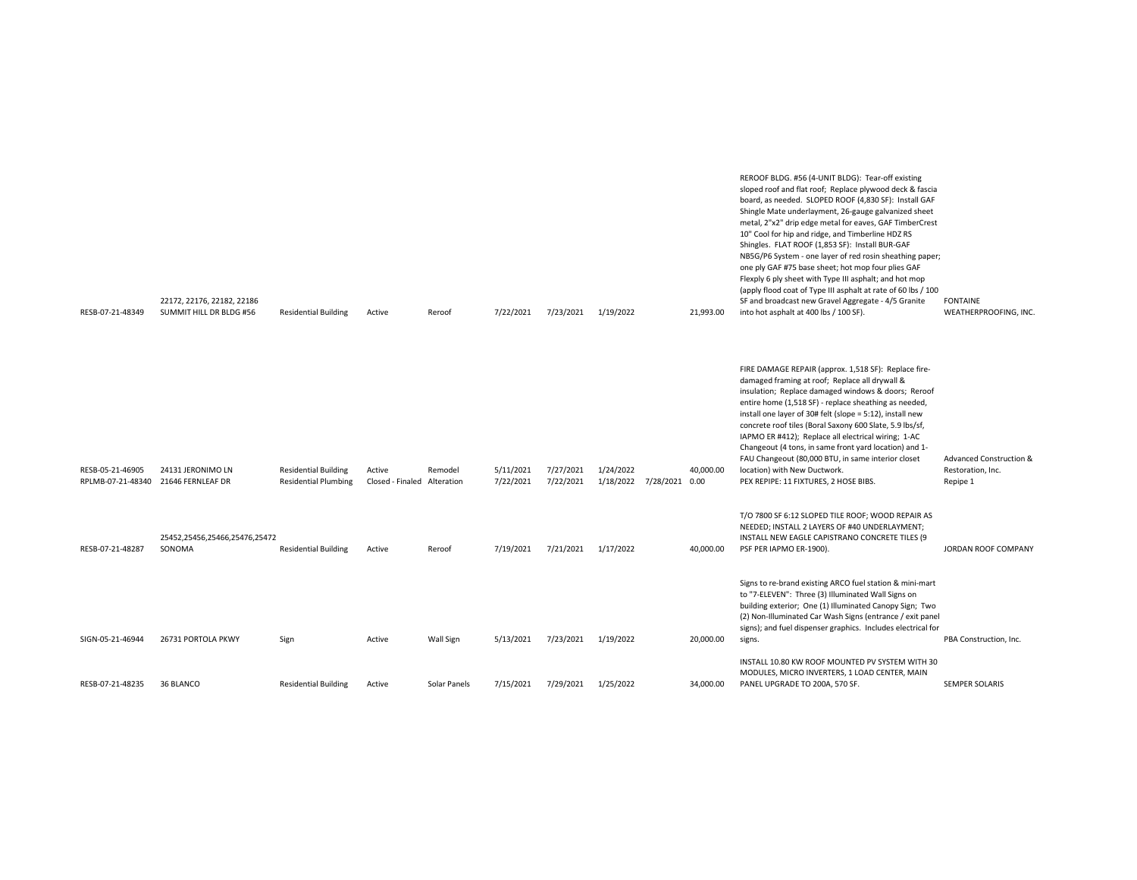| RESB-07-21-48349                      | 22172, 22176, 22182, 22186<br>SUMMIT HILL DR BLDG #56 | <b>Residential Building</b>                                | Active                     | Reroof                | 7/22/2021              | 7/23/2021              | 1/19/2022                                | 21,993.00 | Flexply 6 ply sheet with Type III asphalt; and hot mop<br>(apply flood coat of Type III asphalt at rate of 60 lbs / 100<br>SF and broadcast new Gravel Aggregate - 4/5 Granite<br>into hot asphalt at 400 lbs / 100 SF).                                                                                                                                                                                                                                                                                                                                                                        | <b>FONTAINE</b><br>WEATHERPROOFING, INC.                            |
|---------------------------------------|-------------------------------------------------------|------------------------------------------------------------|----------------------------|-----------------------|------------------------|------------------------|------------------------------------------|-----------|-------------------------------------------------------------------------------------------------------------------------------------------------------------------------------------------------------------------------------------------------------------------------------------------------------------------------------------------------------------------------------------------------------------------------------------------------------------------------------------------------------------------------------------------------------------------------------------------------|---------------------------------------------------------------------|
| RESB-05-21-46905<br>RPLMB-07-21-48340 | 24131 JERONIMO LN<br>21646 FERNLEAF DR                | <b>Residential Building</b><br><b>Residential Plumbing</b> | Active<br>Closed - Finaled | Remodel<br>Alteration | 5/11/2021<br>7/22/2021 | 7/27/2021<br>7/22/2021 | 1/24/2022<br>1/18/2022<br>7/28/2021 0.00 | 40,000.00 | FIRE DAMAGE REPAIR (approx. 1,518 SF): Replace fire-<br>damaged framing at roof; Replace all drywall &<br>insulation; Replace damaged windows & doors; Reroof<br>entire home (1,518 SF) - replace sheathing as needed,<br>install one layer of 30# felt (slope = 5:12), install new<br>concrete roof tiles (Boral Saxony 600 Slate, 5.9 lbs/sf,<br>IAPMO ER #412); Replace all electrical wiring; 1-AC<br>Changeout (4 tons, in same front yard location) and 1-<br>FAU Changeout (80,000 BTU, in same interior closet<br>location) with New Ductwork.<br>PEX REPIPE: 11 FIXTURES, 2 HOSE BIBS. | <b>Advanced Construction &amp;</b><br>Restoration, Inc.<br>Repipe 1 |
| RESB-07-21-48287                      | 25452,25456,25466,25476,25472<br>SONOMA               | <b>Residential Building</b>                                | Active                     | Reroof                | 7/19/2021              | 7/21/2021              | 1/17/2022                                | 40,000.00 | T/O 7800 SF 6:12 SLOPED TILE ROOF; WOOD REPAIR AS<br>NEEDED; INSTALL 2 LAYERS OF #40 UNDERLAYMENT;<br>INSTALL NEW EAGLE CAPISTRANO CONCRETE TILES (9<br>PSF PER IAPMO ER-1900).                                                                                                                                                                                                                                                                                                                                                                                                                 | JORDAN ROOF COMPANY                                                 |
| SIGN-05-21-46944                      | 26731 PORTOLA PKWY                                    | Sign                                                       | Active                     | Wall Sign             | 5/13/2021              | 7/23/2021              | 1/19/2022                                | 20,000.00 | Signs to re-brand existing ARCO fuel station & mini-mart<br>to "7-ELEVEN": Three (3) Illuminated Wall Signs on<br>building exterior; One (1) Illuminated Canopy Sign; Two<br>(2) Non-Illuminated Car Wash Signs (entrance / exit panel<br>signs); and fuel dispenser graphics. Includes electrical for<br>signs.                                                                                                                                                                                                                                                                                | PBA Construction, Inc.                                              |
| RESB-07-21-48235                      | 36 BLANCO                                             | <b>Residential Building</b>                                | Active                     | Solar Panels          | 7/15/2021              | 7/29/2021              | 1/25/2022                                | 34,000.00 | INSTALL 10.80 KW ROOF MOUNTED PV SYSTEM WITH 30<br>MODULES, MICRO INVERTERS, 1 LOAD CENTER, MAIN<br>PANEL UPGRADE TO 200A, 570 SF.                                                                                                                                                                                                                                                                                                                                                                                                                                                              | <b>SEMPER SOLARIS</b>                                               |

|                         |                            |                             |           |               |           |           |           |                  | Shingle Mate underlayment, 26-gauge galvanized sheet                       |                             |
|-------------------------|----------------------------|-----------------------------|-----------|---------------|-----------|-----------|-----------|------------------|----------------------------------------------------------------------------|-----------------------------|
|                         |                            |                             |           |               |           |           |           |                  | metal, 2"x2" drip edge metal for eaves, GAF TimberCrest                    |                             |
|                         |                            |                             |           |               |           |           |           |                  | 10" Cool for hip and ridge, and Timberline HDZ RS                          |                             |
|                         |                            |                             |           |               |           |           |           |                  | Shingles. FLAT ROOF (1,853 SF): Install BUR-GAF                            |                             |
|                         |                            |                             |           |               |           |           |           |                  | NB5G/P6 System - one layer of red rosin sheathing paper;                   |                             |
|                         |                            |                             |           |               |           |           |           |                  | one ply GAF #75 base sheet; hot mop four plies GAF                         |                             |
|                         |                            |                             |           |               |           |           |           |                  | Flexply 6 ply sheet with Type III asphalt; and hot mop                     |                             |
|                         |                            |                             |           |               |           |           |           |                  | (apply flood coat of Type III asphalt at rate of 60 lbs / 100              |                             |
|                         | 22172, 22176, 22182, 22186 |                             |           |               |           |           |           |                  | SF and broadcast new Gravel Aggregate - 4/5 Granite                        | <b>FONTAINE</b>             |
| <b>DECD 07 71 49240</b> | CUMMIT UILL DR RIDG HEC    | <b>Docidontial Duilding</b> | $A$ ctivo | <b>Dornof</b> | 7/22/2021 | 7/22/2021 | 1/10/2022 | <b>21.002.00</b> | $int \cdot \text{right}$ archalt at $400 \text{ lb} \cdot 1100 \text{ CL}$ | <b>WEATHERRROOFING INC.</b> |

REROOF BLDG. #56 (4-UNIT BLDG): Tear-off existing sloped roof and flat roof; Replace plywood deck & fascia board, as needed. SLOPED ROOF (4,830 SF): Install GAF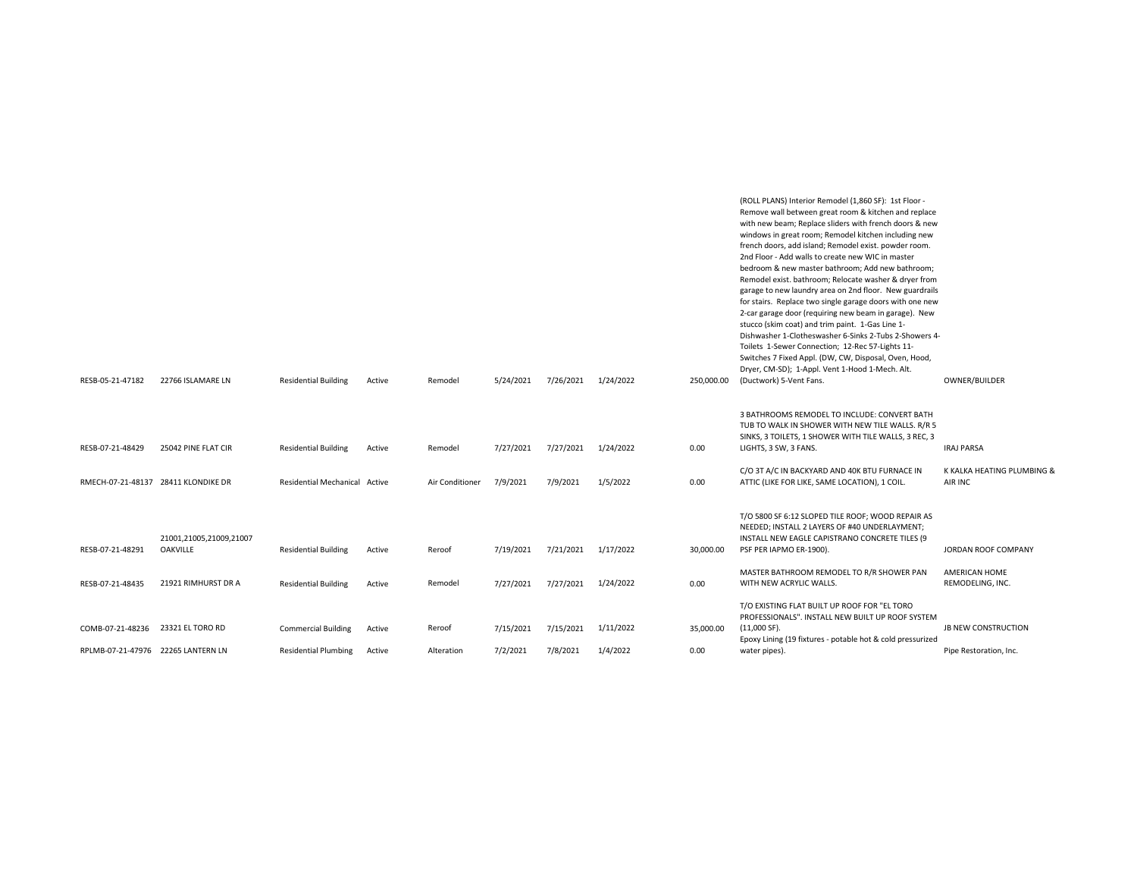| RESB-05-21-47182                                       | 22766 ISLAMARE LN                          | <b>Residential Building</b>                               | Active           | Remodel              | 5/24/2021             | 7/26/2021             | 1/24/2022             | 250,000.00        | garage to new laundry area on 2nd floor. New guardrails<br>for stairs. Replace two single garage doors with one new<br>2-car garage door (requiring new beam in garage). New<br>stucco (skim coat) and trim paint. 1-Gas Line 1-<br>Dishwasher 1-Clotheswasher 6-Sinks 2-Tubs 2-Showers 4-<br>Toilets 1-Sewer Connection; 12-Rec 57-Lights 11-<br>Switches 7 Fixed Appl. (DW, CW, Disposal, Oven, Hood,<br>Dryer, CM-SD); 1-Appl. Vent 1-Hood 1-Mech. Alt.<br>(Ductwork) 5-Vent Fans. | OWNER/BUILDER                                        |
|--------------------------------------------------------|--------------------------------------------|-----------------------------------------------------------|------------------|----------------------|-----------------------|-----------------------|-----------------------|-------------------|---------------------------------------------------------------------------------------------------------------------------------------------------------------------------------------------------------------------------------------------------------------------------------------------------------------------------------------------------------------------------------------------------------------------------------------------------------------------------------------|------------------------------------------------------|
| RESB-07-21-48429                                       | 25042 PINE FLAT CIR                        | <b>Residential Building</b>                               | Active           | Remodel              | 7/27/2021             | 7/27/2021             | 1/24/2022             | 0.00              | 3 BATHROOMS REMODEL TO INCLUDE: CONVERT BATH<br>TUB TO WALK IN SHOWER WITH NEW TILE WALLS. R/R 5<br>SINKS, 3 TOILETS, 1 SHOWER WITH TILE WALLS, 3 REC, 3<br>LIGHTS, 3 SW, 3 FANS.                                                                                                                                                                                                                                                                                                     | <b>IRAJ PARSA</b>                                    |
| RMECH-07-21-48137 28411 KLONDIKE DR                    |                                            | Residential Mechanical Active                             |                  | Air Conditioner      | 7/9/2021              | 7/9/2021              | 1/5/2022              | 0.00              | C/O 3T A/C IN BACKYARD AND 40K BTU FURNACE IN<br>ATTIC (LIKE FOR LIKE, SAME LOCATION), 1 COIL.                                                                                                                                                                                                                                                                                                                                                                                        | K KALKA HEATING PLUMBING &<br>AIR INC                |
| RESB-07-21-48291                                       | 21001,21005,21009,21007<br><b>OAKVILLE</b> | <b>Residential Building</b>                               | Active           | Reroof               | 7/19/2021             | 7/21/2021             | 1/17/2022             | 30,000.00         | T/O 5800 SF 6:12 SLOPED TILE ROOF; WOOD REPAIR AS<br>NEEDED; INSTALL 2 LAYERS OF #40 UNDERLAYMENT;<br>INSTALL NEW EAGLE CAPISTRANO CONCRETE TILES (9<br>PSF PER IAPMO ER-1900).                                                                                                                                                                                                                                                                                                       | JORDAN ROOF COMPANY                                  |
| RESB-07-21-48435                                       | 21921 RIMHURST DR A                        | <b>Residential Building</b>                               | Active           | Remodel              | 7/27/2021             | 7/27/2021             | 1/24/2022             | 0.00              | MASTER BATHROOM REMODEL TO R/R SHOWER PAN<br>WITH NEW ACRYLIC WALLS.                                                                                                                                                                                                                                                                                                                                                                                                                  | AMERICAN HOME<br>REMODELING, INC.                    |
| COMB-07-21-48236<br>RPLMB-07-21-47976 22265 LANTERN LN | 23321 EL TORO RD                           | <b>Commercial Building</b><br><b>Residential Plumbing</b> | Active<br>Active | Reroof<br>Alteration | 7/15/2021<br>7/2/2021 | 7/15/2021<br>7/8/2021 | 1/11/2022<br>1/4/2022 | 35,000.00<br>0.00 | T/O EXISTING FLAT BUILT UP ROOF FOR "EL TORO<br>PROFESSIONALS". INSTALL NEW BUILT UP ROOF SYSTEM<br>(11,000 SF).<br>Epoxy Lining (19 fixtures - potable hot & cold pressurized<br>water pipes).                                                                                                                                                                                                                                                                                       | <b>JB NEW CONSTRUCTION</b><br>Pipe Restoration, Inc. |
|                                                        |                                            |                                                           |                  |                      |                       |                       |                       |                   |                                                                                                                                                                                                                                                                                                                                                                                                                                                                                       |                                                      |

(ROLL PLANS) Interior Remodel (1,860 SF): 1st Floor - Remove wall between great room & kitchen and replace with new beam; Replace sliders with french doors & new windows in great room; Remodel kitchen including new french doors, add island; Remodel exist. powder room. 2nd Floor - Add walls to create new WIC in master bedroom & new master bathroom; Add new bathroom; Remodel exist. bathroom; Relocate washer & dryer from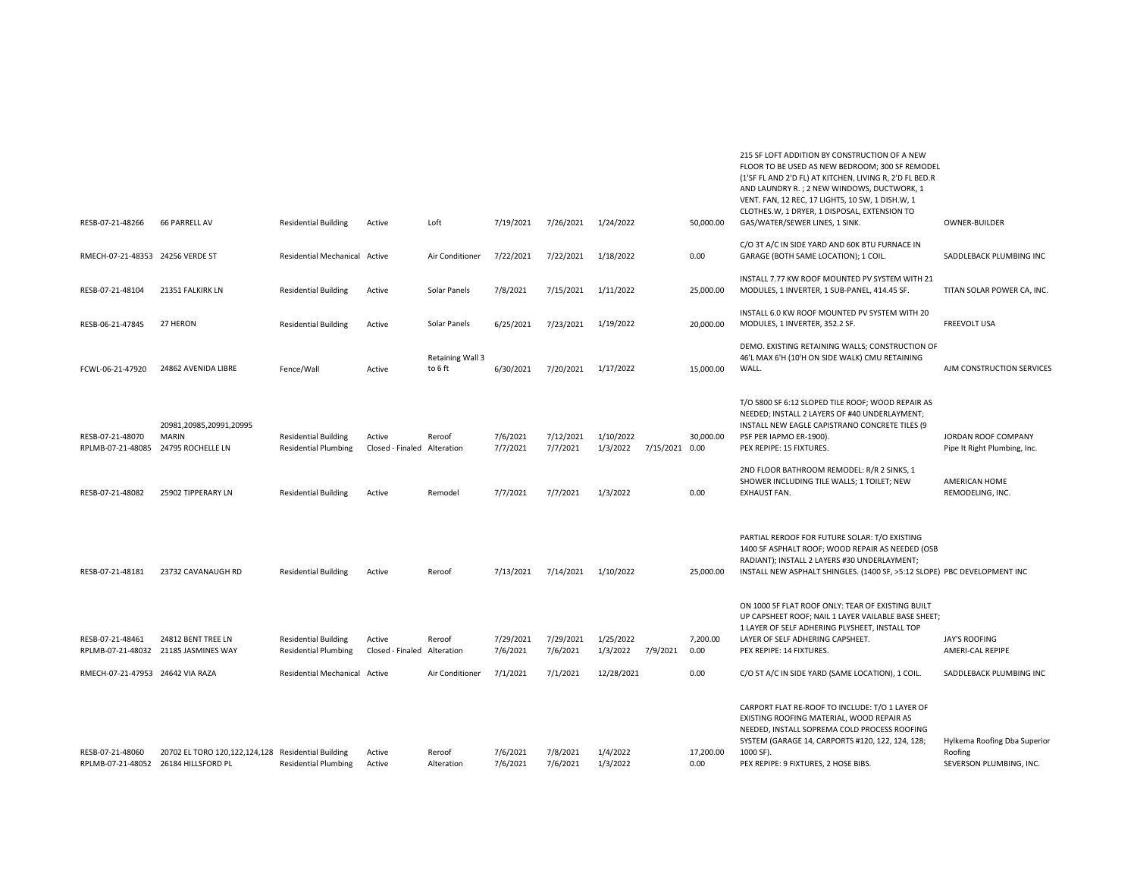| <b>66 PARRELL AV</b><br>Loft<br>RESB-07-21-48266<br><b>Residential Building</b><br>Active                                                                                                                              | 7/19/2021             | 7/26/2021             | 1/24/2022             |                | 50,000.00         | (1'SF FL AND 2'D FL) AT KITCHEN, LIVING R, 2'D FL BED.R<br>AND LAUNDRY R.; 2 NEW WINDOWS, DUCTWORK, 1<br>VENT. FAN, 12 REC, 17 LIGHTS, 10 SW, 1 DISH.W, 1<br>CLOTHES.W, 1 DRYER, 1 DISPOSAL, EXTENSION TO<br>GAS/WATER/SEWER LINES, 1 SINK.                                                             | OWNER-BUILDER                                                        |
|------------------------------------------------------------------------------------------------------------------------------------------------------------------------------------------------------------------------|-----------------------|-----------------------|-----------------------|----------------|-------------------|---------------------------------------------------------------------------------------------------------------------------------------------------------------------------------------------------------------------------------------------------------------------------------------------------------|----------------------------------------------------------------------|
| RMECH-07-21-48353 24256 VERDE ST<br>Residential Mechanical Active<br>Air Conditioner                                                                                                                                   | 7/22/2021             | 7/22/2021             | 1/18/2022             |                | 0.00              | C/O 3T A/C IN SIDE YARD AND 60K BTU FURNACE IN<br>GARAGE (BOTH SAME LOCATION); 1 COIL.                                                                                                                                                                                                                  | SADDLEBACK PLUMBING INC                                              |
| RESB-07-21-48104<br>21351 FALKIRK LN<br><b>Residential Building</b><br>Active<br>Solar Panels                                                                                                                          | 7/8/2021              | 7/15/2021             | 1/11/2022             |                | 25,000.00         | INSTALL 7.77 KW ROOF MOUNTED PV SYSTEM WITH 21<br>MODULES, 1 INVERTER, 1 SUB-PANEL, 414.45 SF.                                                                                                                                                                                                          | TITAN SOLAR POWER CA, INC.                                           |
| RESB-06-21-47845<br>27 HERON<br><b>Residential Building</b><br>Active<br>Solar Panels                                                                                                                                  | 6/25/2021             | 7/23/2021             | 1/19/2022             |                | 20,000.00         | INSTALL 6.0 KW ROOF MOUNTED PV SYSTEM WITH 20<br>MODULES, 1 INVERTER, 352.2 SF.                                                                                                                                                                                                                         | <b>FREEVOLT USA</b>                                                  |
| Retaining Wall 3<br>FCWL-06-21-47920<br>24862 AVENIDA LIBRE<br>Fence/Wall<br>Active<br>to 6 ft                                                                                                                         | 6/30/2021             | 7/20/2021             | 1/17/2022             |                | 15,000.00         | DEMO. EXISTING RETAINING WALLS; CONSTRUCTION OF<br>46'L MAX 6'H (10'H ON SIDE WALK) CMU RETAINING<br>WALL.                                                                                                                                                                                              | AJM CONSTRUCTION SERVICES                                            |
| 20981,20985,20991,20995<br>RESB-07-21-48070<br><b>MARIN</b><br><b>Residential Building</b><br>Active<br>Reroof<br>24795 ROCHELLE LN<br>Closed - Finaled Alteration<br>RPLMB-07-21-48085<br><b>Residential Plumbing</b> | 7/6/2021<br>7/7/2021  | 7/12/2021<br>7/7/2021 | 1/10/2022<br>1/3/2022 | 7/15/2021 0.00 | 30,000.00         | T/O 5800 SF 6:12 SLOPED TILE ROOF; WOOD REPAIR AS<br>NEEDED; INSTALL 2 LAYERS OF #40 UNDERLAYMENT;<br>INSTALL NEW EAGLE CAPISTRANO CONCRETE TILES (9<br>PSF PER IAPMO ER-1900).<br>PEX REPIPE: 15 FIXTURES.<br>2ND FLOOR BATHROOM REMODEL: R/R 2 SINKS, 1<br>SHOWER INCLUDING TILE WALLS; 1 TOILET; NEW | JORDAN ROOF COMPANY<br>Pipe It Right Plumbing, Inc.<br>AMERICAN HOME |
| RESB-07-21-48082<br>25902 TIPPERARY LN<br><b>Residential Building</b><br>Active<br>Remodel                                                                                                                             | 7/7/2021              | 7/7/2021              | 1/3/2022              |                | 0.00              | EXHAUST FAN.                                                                                                                                                                                                                                                                                            | REMODELING, INC.                                                     |
| RESB-07-21-48181<br>23732 CAVANAUGH RD<br><b>Residential Building</b><br>Active<br>Reroof                                                                                                                              | 7/13/2021             | 7/14/2021             | 1/10/2022             |                | 25,000.00         | PARTIAL REROOF FOR FUTURE SOLAR: T/O EXISTING<br>1400 SF ASPHALT ROOF; WOOD REPAIR AS NEEDED (OSB<br>RADIANT); INSTALL 2 LAYERS #30 UNDERLAYMENT;<br>INSTALL NEW ASPHALT SHINGLES. (1400 SF, >5:12 SLOPE) PBC DEVELOPMENT INC                                                                           |                                                                      |
| RESB-07-21-48461<br>24812 BENT TREE LN<br><b>Residential Building</b><br>Active<br>Reroof<br>RPLMB-07-21-48032 21185 JASMINES WAY<br><b>Residential Plumbing</b><br>Closed - Finaled Alteration                        | 7/29/2021<br>7/6/2021 | 7/29/2021<br>7/6/2021 | 1/25/2022<br>1/3/2022 | 7/9/2021       | 7,200.00<br>0.00  | ON 1000 SF FLAT ROOF ONLY: TEAR OF EXISTING BUILT<br>UP CAPSHEET ROOF; NAIL 1 LAYER VAILABLE BASE SHEET;<br>1 LAYER OF SELF ADHERING PLYSHEET, INSTALL TOP<br>LAYER OF SELF ADHERING CAPSHEET.<br>PEX REPIPE: 14 FIXTURES.                                                                              | JAY'S ROOFING<br>AMERI-CAL REPIPE                                    |
| RMECH-07-21-47953 24642 VIA RAZA<br>Residential Mechanical Active<br>Air Conditioner                                                                                                                                   | 7/1/2021              | 7/1/2021              | 12/28/2021            |                | 0.00              | C/O 5T A/C IN SIDE YARD (SAME LOCATION), 1 COIL.                                                                                                                                                                                                                                                        | SADDLEBACK PLUMBING INC                                              |
| RESB-07-21-48060<br>20702 EL TORO 120,122,124,128 Residential Building<br>Active<br>Reroof<br>RPLMB-07-21-48052 26184 HILLSFORD PL<br>Alteration<br><b>Residential Plumbing</b><br>Active                              | 7/6/2021<br>7/6/2021  | 7/8/2021<br>7/6/2021  | 1/4/2022<br>1/3/2022  |                | 17,200.00<br>0.00 | CARPORT FLAT RE-ROOF TO INCLUDE: T/O 1 LAYER OF<br>EXISTING ROOFING MATERIAL, WOOD REPAIR AS<br>NEEDED, INSTALL SOPREMA COLD PROCESS ROOFING<br>SYSTEM (GARAGE 14, CARPORTS #120, 122, 124, 128;<br>1000 SF).<br>PEX REPIPE: 9 FIXTURES, 2 HOSE BIBS.                                                   | Hylkema Roofing Dba Superior<br>Roofing<br>SEVERSON PLUMBING, INC.   |

215 SF LOFT ADDITION BY CONSTRUCTION OF A NEW FLOOR TO BE USED AS NEW BEDROOM; 300 SF REMODEL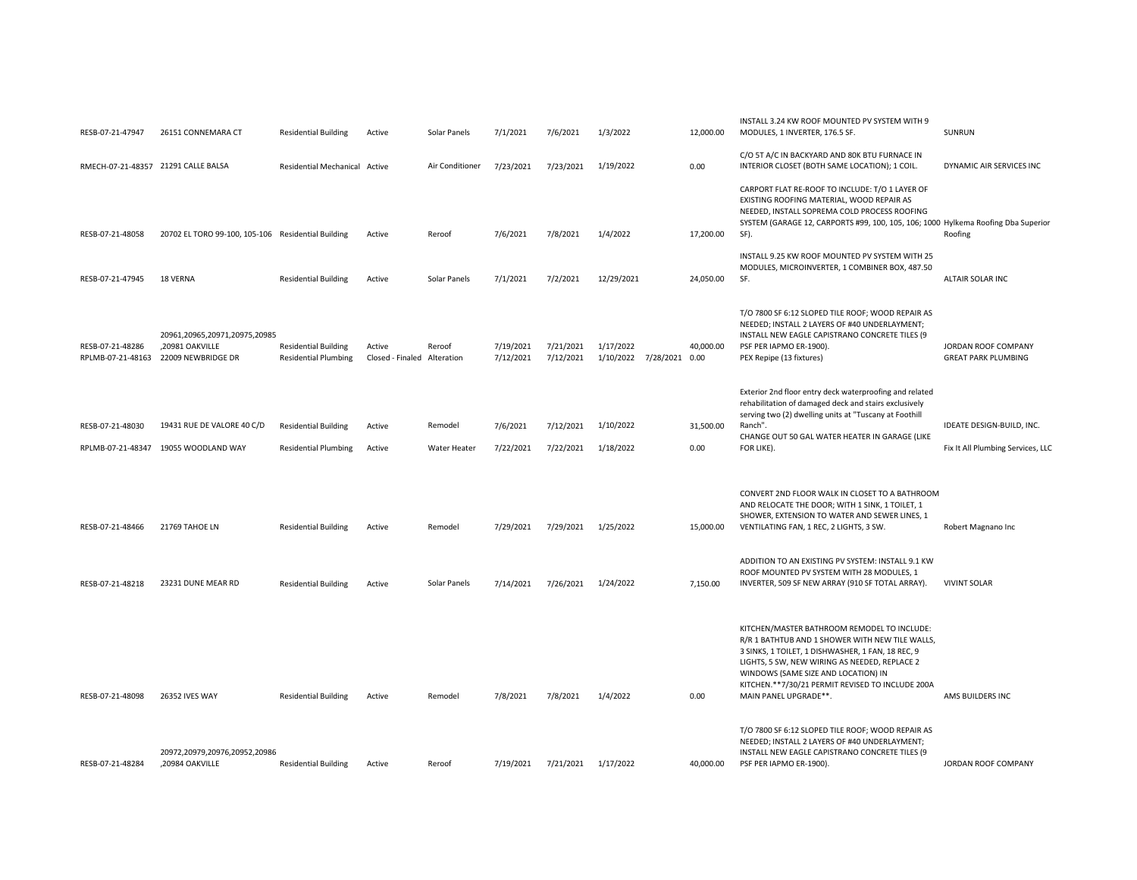| RESB-07-21-47947                      | 26151 CONNEMARA CT                                                     | <b>Residential Building</b>                                | Active                                | Solar Panels                   | 7/1/2021               | 7/6/2021               | 1/3/2022                              | 12,000.00         | INSTALL 3.24 KW ROOF MOUNTED PV SYSTEM WITH 9<br>MODULES, 1 INVERTER, 176.5 SF.                                                                                                                                                                                                                                          | SUNRUN                                                         |
|---------------------------------------|------------------------------------------------------------------------|------------------------------------------------------------|---------------------------------------|--------------------------------|------------------------|------------------------|---------------------------------------|-------------------|--------------------------------------------------------------------------------------------------------------------------------------------------------------------------------------------------------------------------------------------------------------------------------------------------------------------------|----------------------------------------------------------------|
|                                       | RMECH-07-21-48357 21291 CALLE BALSA                                    | Residential Mechanical Active                              |                                       | Air Conditioner                | 7/23/2021              | 7/23/2021              | 1/19/2022                             | 0.00              | C/O 5T A/C IN BACKYARD AND 80K BTU FURNACE IN<br>INTERIOR CLOSET (BOTH SAME LOCATION); 1 COIL.                                                                                                                                                                                                                           | DYNAMIC AIR SERVICES INC                                       |
| RESB-07-21-48058                      | 20702 EL TORO 99-100, 105-106 Residential Building                     |                                                            | Active                                | Reroof                         | 7/6/2021               | 7/8/2021               | 1/4/2022                              | 17,200.00         | CARPORT FLAT RE-ROOF TO INCLUDE: T/O 1 LAYER OF<br>EXISTING ROOFING MATERIAL, WOOD REPAIR AS<br>NEEDED, INSTALL SOPREMA COLD PROCESS ROOFING<br>SYSTEM (GARAGE 12, CARPORTS #99, 100, 105, 106; 1000 Hylkema Roofing Dba Superior<br>SF).                                                                                | Roofing                                                        |
| RESB-07-21-47945                      | 18 VERNA                                                               | <b>Residential Building</b>                                | Active                                | Solar Panels                   | 7/1/2021               | 7/2/2021               | 12/29/2021                            | 24,050.00         | INSTALL 9.25 KW ROOF MOUNTED PV SYSTEM WITH 25<br>MODULES, MICROINVERTER, 1 COMBINER BOX, 487.50<br>SF.                                                                                                                                                                                                                  | ALTAIR SOLAR INC                                               |
| RESB-07-21-48286<br>RPLMB-07-21-48163 | 20961,20965,20971,20975,20985<br>,20981 OAKVILLE<br>22009 NEWBRIDGE DR | <b>Residential Building</b><br><b>Residential Plumbing</b> | Active<br>Closed - Finaled Alteration | Reroof                         | 7/19/2021<br>7/12/2021 | 7/21/2021<br>7/12/2021 | 1/17/2022<br>1/10/2022 7/28/2021 0.00 | 40,000.00         | T/O 7800 SF 6:12 SLOPED TILE ROOF; WOOD REPAIR AS<br>NEEDED; INSTALL 2 LAYERS OF #40 UNDERLAYMENT;<br>INSTALL NEW EAGLE CAPISTRANO CONCRETE TILES (9<br>PSF PER IAPMO ER-1900).<br>PEX Repipe (13 fixtures)                                                                                                              | JORDAN ROOF COMPANY<br><b>GREAT PARK PLUMBING</b>              |
| RESB-07-21-48030                      | 19431 RUE DE VALORE 40 C/D<br>RPLMB-07-21-48347 19055 WOODLAND WAY     | <b>Residential Building</b><br><b>Residential Plumbing</b> | Active<br>Active                      | Remodel<br><b>Water Heater</b> | 7/6/2021<br>7/22/2021  | 7/12/2021<br>7/22/2021 | 1/10/2022<br>1/18/2022                | 31,500.00<br>0.00 | Exterior 2nd floor entry deck waterproofing and related<br>rehabilitation of damaged deck and stairs exclusively<br>serving two (2) dwelling units at "Tuscany at Foothill<br>Ranch".<br>CHANGE OUT 50 GAL WATER HEATER IN GARAGE (LIKE<br>FOR LIKE)                                                                     | IDEATE DESIGN-BUILD, INC.<br>Fix It All Plumbing Services, LLC |
| RESB-07-21-48466                      | 21769 TAHOE LN                                                         | <b>Residential Building</b>                                | Active                                | Remodel                        | 7/29/2021              | 7/29/2021              | 1/25/2022                             | 15,000.00         | CONVERT 2ND FLOOR WALK IN CLOSET TO A BATHROOM<br>AND RELOCATE THE DOOR; WITH 1 SINK, 1 TOILET, 1<br>SHOWER, EXTENSION TO WATER AND SEWER LINES, 1<br>VENTILATING FAN, 1 REC, 2 LIGHTS, 3 SW.<br>ADDITION TO AN EXISTING PV SYSTEM: INSTALL 9.1 KW<br>ROOF MOUNTED PV SYSTEM WITH 28 MODULES, 1                          | Robert Magnano Inc                                             |
| RESB-07-21-48218                      | 23231 DUNE MEAR RD                                                     | <b>Residential Building</b>                                | Active                                | Solar Panels                   | 7/14/2021              | 7/26/2021              | 1/24/2022                             | 7,150.00          | INVERTER, 509 SF NEW ARRAY (910 SF TOTAL ARRAY).                                                                                                                                                                                                                                                                         | <b>VIVINT SOLAR</b>                                            |
| RESB-07-21-48098                      | <b>26352 IVES WAY</b>                                                  | <b>Residential Building</b>                                | Active                                | Remodel                        | 7/8/2021               | 7/8/2021               | 1/4/2022                              | 0.00              | KITCHEN/MASTER BATHROOM REMODEL TO INCLUDE:<br>R/R 1 BATHTUB AND 1 SHOWER WITH NEW TILE WALLS,<br>3 SINKS, 1 TOILET, 1 DISHWASHER, 1 FAN, 18 REC, 9<br>LIGHTS, 5 SW, NEW WIRING AS NEEDED, REPLACE 2<br>WINDOWS (SAME SIZE AND LOCATION) IN<br>KITCHEN.**7/30/21 PERMIT REVISED TO INCLUDE 200A<br>MAIN PANEL UPGRADE**. | AMS BUILDERS INC                                               |
| RESB-07-21-48284                      | 20972,20979,20976,20952,20986<br>,20984 OAKVILLE                       | <b>Residential Building</b>                                | Active                                | Reroof                         | 7/19/2021              | 7/21/2021 1/17/2022    |                                       | 40.000.00         | T/O 7800 SF 6:12 SLOPED TILE ROOF; WOOD REPAIR AS<br>NEEDED; INSTALL 2 LAYERS OF #40 UNDERLAYMENT;<br>INSTALL NEW EAGLE CAPISTRANO CONCRETE TILES (9<br>PSF PER IAPMO ER-1900).                                                                                                                                          | JORDAN ROOF COMPANY                                            |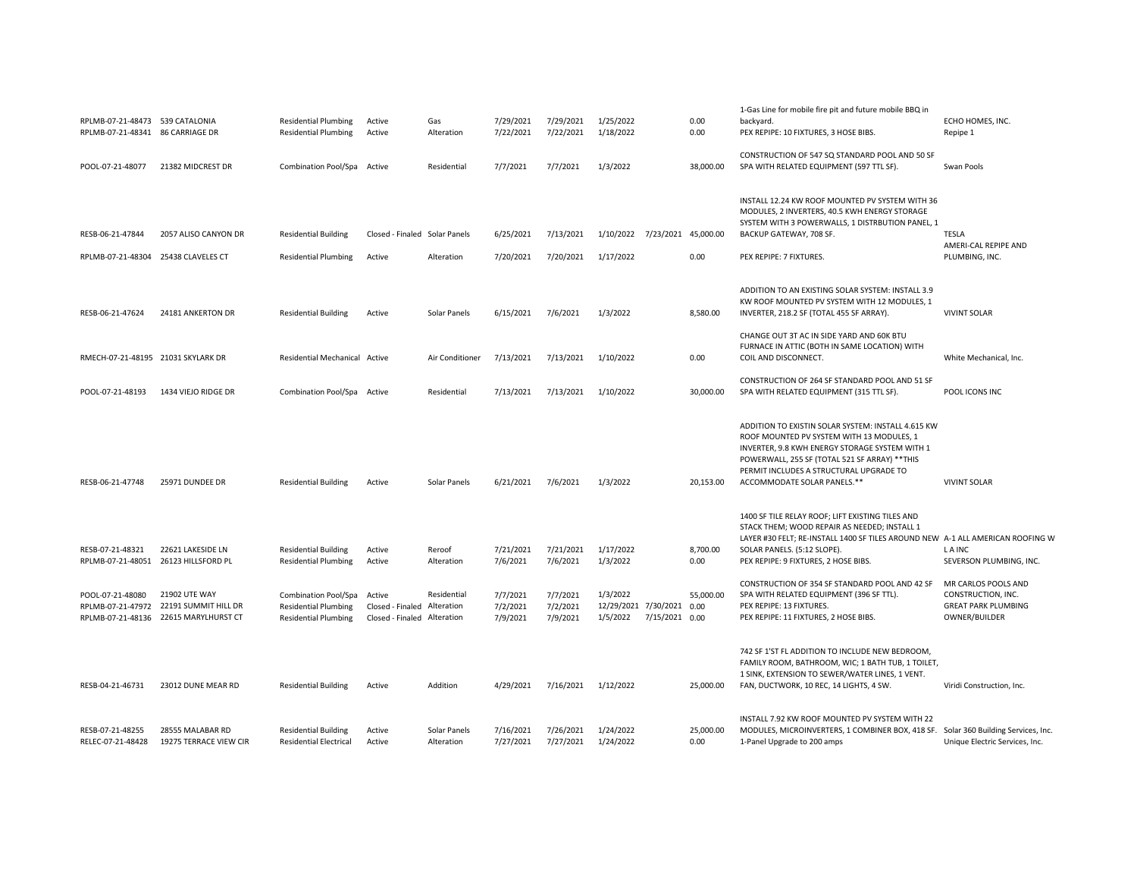| RPLMB-07-21-48473 539 CATALONIA<br>RPLMB-07-21-48341 86 CARRIAGE DR |                                                                                                  | <b>Residential Plumbing</b><br><b>Residential Plumbing</b>                         | Active<br>Active                                                     | Gas<br>Alteration          | 7/29/2021<br>7/22/2021           | 7/29/2021<br>7/22/2021           | 1/25/2022<br>1/18/2022                                              | 0.00<br>0.00      | 1-Gas Line for mobile fire pit and future mobile BBQ in<br>backyard.<br>PEX REPIPE: 10 FIXTURES, 3 HOSE BIBS.                                                                                                                                                                 | ECHO HOMES, INC.<br>Repipe 1                                                             |
|---------------------------------------------------------------------|--------------------------------------------------------------------------------------------------|------------------------------------------------------------------------------------|----------------------------------------------------------------------|----------------------------|----------------------------------|----------------------------------|---------------------------------------------------------------------|-------------------|-------------------------------------------------------------------------------------------------------------------------------------------------------------------------------------------------------------------------------------------------------------------------------|------------------------------------------------------------------------------------------|
| POOL-07-21-48077                                                    | 21382 MIDCREST DR                                                                                | Combination Pool/Spa Active                                                        |                                                                      | Residential                | 7/7/2021                         | 7/7/2021                         | 1/3/2022                                                            | 38,000.00         | CONSTRUCTION OF 547 SQ STANDARD POOL AND 50 SF<br>SPA WITH RELATED EQUIPMENT (597 TTL SF).                                                                                                                                                                                    | Swan Pools                                                                               |
| RESB-06-21-47844<br>RPLMB-07-21-48304 25438 CLAVELES CT             | 2057 ALISO CANYON DR                                                                             | <b>Residential Building</b><br><b>Residential Plumbing</b>                         | Closed - Finaled Solar Panels<br>Active                              | Alteration                 | 6/25/2021<br>7/20/2021           | 7/13/2021<br>7/20/2021           | 1/10/2022 7/23/2021 45,000.00<br>1/17/2022                          | 0.00              | INSTALL 12.24 KW ROOF MOUNTED PV SYSTEM WITH 36<br>MODULES, 2 INVERTERS, 40.5 KWH ENERGY STORAGE<br>SYSTEM WITH 3 POWERWALLS, 1 DISTRBUTION PANEL, 1<br>BACKUP GATEWAY, 708 SF.<br>PEX REPIPE: 7 FIXTURES.                                                                    | <b>TESLA</b><br>AMERI-CAL REPIPE AND<br>PLUMBING, INC.                                   |
| RESB-06-21-47624                                                    | 24181 ANKERTON DR                                                                                | <b>Residential Building</b>                                                        | Active                                                               | Solar Panels               | 6/15/2021                        | 7/6/2021                         | 1/3/2022                                                            | 8,580.00          | ADDITION TO AN EXISTING SOLAR SYSTEM: INSTALL 3.9<br>KW ROOF MOUNTED PV SYSTEM WITH 12 MODULES, 1<br>INVERTER, 218.2 SF (TOTAL 455 SF ARRAY).                                                                                                                                 | <b>VIVINT SOLAR</b>                                                                      |
| RMECH-07-21-48195 21031 SKYLARK DR                                  |                                                                                                  | Residential Mechanical Active                                                      |                                                                      | Air Conditioner            | 7/13/2021                        | 7/13/2021                        | 1/10/2022                                                           | 0.00              | CHANGE OUT 3T AC IN SIDE YARD AND 60K BTU<br>FURNACE IN ATTIC (BOTH IN SAME LOCATION) WITH<br>COIL AND DISCONNECT.                                                                                                                                                            | White Mechanical, Inc.                                                                   |
| POOL-07-21-48193                                                    | 1434 VIEJO RIDGE DR                                                                              | Combination Pool/Spa Active                                                        |                                                                      | Residential                | 7/13/2021                        | 7/13/2021                        | 1/10/2022                                                           | 30,000.00         | CONSTRUCTION OF 264 SF STANDARD POOL AND 51 SF<br>SPA WITH RELATED EQUIPMENT (315 TTL SF).                                                                                                                                                                                    | POOL ICONS INC                                                                           |
| RESB-06-21-47748                                                    | 25971 DUNDEE DR                                                                                  | <b>Residential Building</b>                                                        | Active                                                               | Solar Panels               | 6/21/2021                        | 7/6/2021                         | 1/3/2022                                                            | 20,153.00         | ADDITION TO EXISTIN SOLAR SYSTEM: INSTALL 4.615 KW<br>ROOF MOUNTED PV SYSTEM WITH 13 MODULES, 1<br>INVERTER, 9.8 KWH ENERGY STORAGE SYSTEM WITH 1<br>POWERWALL, 255 SF (TOTAL 521 SF ARRAY) ** THIS<br>PERMIT INCLUDES A STRUCTURAL UPGRADE TO<br>ACCOMMODATE SOLAR PANELS.** | <b>VIVINT SOLAR</b>                                                                      |
| RESB-07-21-48321<br>RPLMB-07-21-48051 26123 HILLSFORD PL            | 22621 LAKESIDE LN                                                                                | <b>Residential Building</b><br><b>Residential Plumbing</b>                         | Active<br>Active                                                     | Reroof<br>Alteration       | 7/21/2021<br>7/6/2021            | 7/21/2021<br>7/6/2021            | 1/17/2022<br>1/3/2022                                               | 8,700.00<br>0.00  | 1400 SF TILE RELAY ROOF; LIFT EXISTING TILES AND<br>STACK THEM; WOOD REPAIR AS NEEDED; INSTALL 1<br>LAYER #30 FELT; RE-INSTALL 1400 SF TILES AROUND NEW A-1 ALL AMERICAN ROOFING W<br>SOLAR PANELS. (5:12 SLOPE).<br>PEX REPIPE: 9 FIXTURES, 2 HOSE BIBS.                     | L A INC<br>SEVERSON PLUMBING, INC.                                                       |
| POOL-07-21-48080                                                    | 21902 UTE WAY<br>RPLMB-07-21-47972 22191 SUMMIT HILL DR<br>RPLMB-07-21-48136 22615 MARYLHURST CT | Combination Pool/Spa<br><b>Residential Plumbing</b><br><b>Residential Plumbing</b> | Active<br>Closed - Finaled Alteration<br>Closed - Finaled Alteration | Residential                | 7/7/2021<br>7/2/2021<br>7/9/2021 | 7/7/2021<br>7/2/2021<br>7/9/2021 | 1/3/2022<br>12/29/2021 7/30/2021 0.00<br>1/5/2022<br>7/15/2021 0.00 | 55,000.00         | CONSTRUCTION OF 354 SF STANDARD POOL AND 42 SF<br>SPA WITH RELATED EQUIPMENT (396 SF TTL).<br>PEX REPIPE: 13 FIXTURES.<br>PEX REPIPE: 11 FIXTURES, 2 HOSE BIBS.                                                                                                               | MR CARLOS POOLS AND<br>CONSTRUCTION, INC.<br><b>GREAT PARK PLUMBING</b><br>OWNER/BUILDER |
| RESB-04-21-46731                                                    | 23012 DUNE MEAR RD                                                                               | <b>Residential Building</b>                                                        | Active                                                               | Addition                   | 4/29/2021                        | 7/16/2021                        | 1/12/2022                                                           | 25,000.00         | 742 SF 1'ST FL ADDITION TO INCLUDE NEW BEDROOM,<br>FAMILY ROOM, BATHROOM, WIC; 1 BATH TUB, 1 TOILET,<br>1 SINK, EXTENSION TO SEWER/WATER LINES, 1 VENT.<br>FAN, DUCTWORK, 10 REC, 14 LIGHTS, 4 SW.                                                                            | Viridi Construction, Inc.                                                                |
| RESB-07-21-48255<br>RELEC-07-21-48428                               | 28555 MALABAR RD<br>19275 TERRACE VIEW CIR                                                       | <b>Residential Building</b><br><b>Residential Electrical</b>                       | Active<br>Active                                                     | Solar Panels<br>Alteration | 7/16/2021<br>7/27/2021           | 7/26/2021<br>7/27/2021           | 1/24/2022<br>1/24/2022                                              | 25,000.00<br>0.00 | INSTALL 7.92 KW ROOF MOUNTED PV SYSTEM WITH 22<br>MODULES, MICROINVERTERS, 1 COMBINER BOX, 418 SF. Solar 360 Building Services, Inc.<br>1-Panel Upgrade to 200 amps                                                                                                           | Unique Electric Services, Inc.                                                           |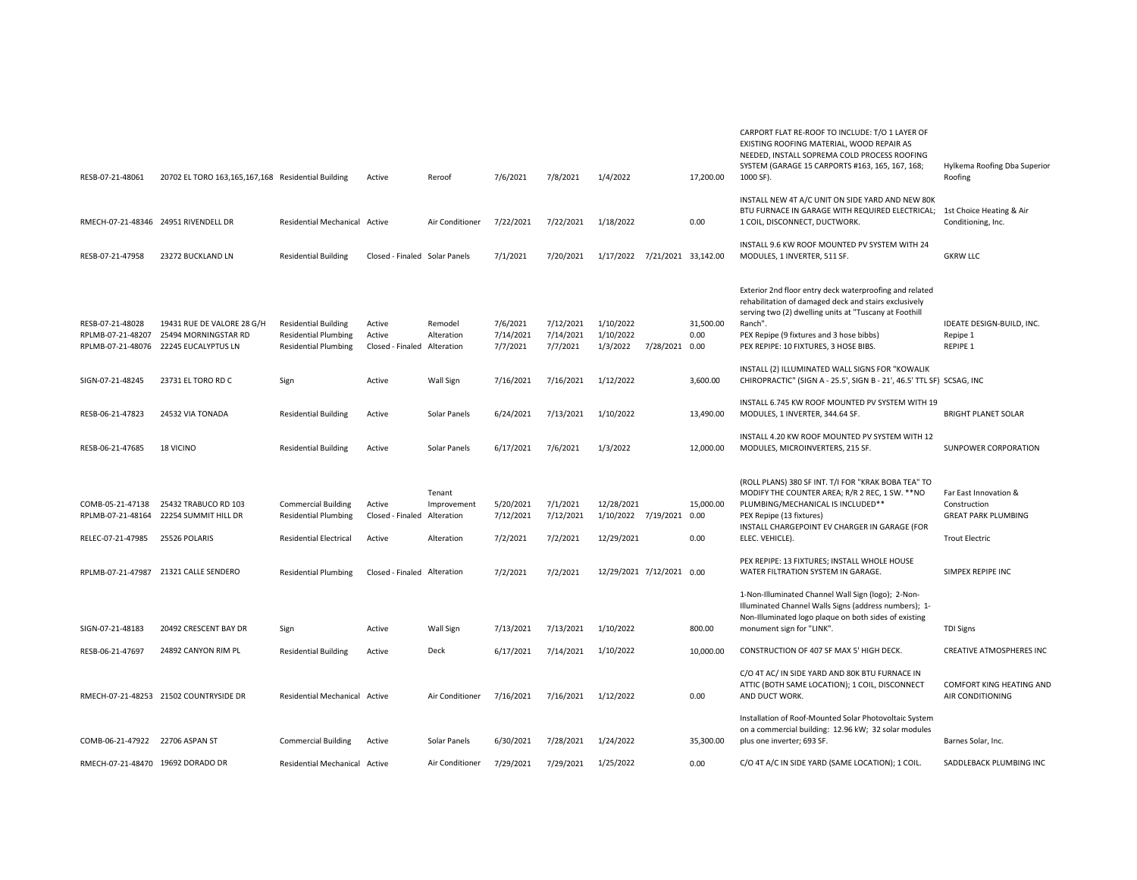| RESB-07-21-48061                      | 20702 EL TORO 163,165,167,168 Residential Building                                          |                                                                                           | Active                                          | Reroof                | 7/6/2021                          | 7/8/2021                           | 1/4/2022                               |                     | 17,200.00         | CARPORT FLAT RE-ROOF TO INCLUDE: T/O 1 LAYER OF<br>EXISTING ROOFING MATERIAL, WOOD REPAIR AS<br>NEEDED, INSTALL SOPREMA COLD PROCESS ROOFING<br>SYSTEM (GARAGE 15 CARPORTS #163, 165, 167, 168;<br>1000 SF).                                                               | Hylkema Roofing Dba Superior<br>Roofing                             |
|---------------------------------------|---------------------------------------------------------------------------------------------|-------------------------------------------------------------------------------------------|-------------------------------------------------|-----------------------|-----------------------------------|------------------------------------|----------------------------------------|---------------------|-------------------|----------------------------------------------------------------------------------------------------------------------------------------------------------------------------------------------------------------------------------------------------------------------------|---------------------------------------------------------------------|
| RMECH-07-21-48346 24951 RIVENDELL DR  |                                                                                             | Residential Mechanical Active                                                             |                                                 | Air Conditioner       | 7/22/2021                         | 7/22/2021                          | 1/18/2022                              |                     | 0.00              | INSTALL NEW 4T A/C UNIT ON SIDE YARD AND NEW 80K<br>BTU FURNACE IN GARAGE WITH REQUIRED ELECTRICAL; 1st Choice Heating & Air<br>1 COIL, DISCONNECT, DUCTWORK.                                                                                                              | Conditioning, Inc.                                                  |
| RESB-07-21-47958                      | 23272 BUCKLAND LN                                                                           | <b>Residential Building</b>                                                               | Closed - Finaled Solar Panels                   |                       | 7/1/2021                          | 7/20/2021                          | 1/17/2022                              | 7/21/2021 33,142.00 |                   | INSTALL 9.6 KW ROOF MOUNTED PV SYSTEM WITH 24<br>MODULES, 1 INVERTER, 511 SF.                                                                                                                                                                                              | <b>GKRW LLC</b>                                                     |
| RESB-07-21-48028<br>RPLMB-07-21-48207 | 19431 RUE DE VALORE 28 G/H<br>25494 MORNINGSTAR RD<br>RPLMB-07-21-48076 22245 EUCALYPTUS LN | <b>Residential Building</b><br><b>Residential Plumbing</b><br><b>Residential Plumbing</b> | Active<br>Active<br>Closed - Finaled Alteration | Remodel<br>Alteration | 7/6/2021<br>7/14/2021<br>7/7/2021 | 7/12/2021<br>7/14/2021<br>7/7/2021 | 1/10/2022<br>1/10/2022<br>1/3/2022     | 7/28/2021 0.00      | 31,500.00<br>0.00 | Exterior 2nd floor entry deck waterproofing and related<br>rehabilitation of damaged deck and stairs exclusively<br>serving two (2) dwelling units at "Tuscany at Foothill<br>Ranch".<br>PEX Repipe (9 fixtures and 3 hose bibbs)<br>PEX REPIPE: 10 FIXTURES, 3 HOSE BIBS. | IDEATE DESIGN-BUILD, INC.<br>Repipe 1<br>REPIPE 1                   |
| SIGN-07-21-48245                      | 23731 EL TORO RD C                                                                          | Sign                                                                                      | Active                                          | <b>Wall Sign</b>      | 7/16/2021                         | 7/16/2021                          | 1/12/2022                              |                     | 3,600.00          | INSTALL (2) ILLUMINATED WALL SIGNS FOR "KOWALIK<br>CHIROPRACTIC" (SIGN A - 25.5', SIGN B - 21', 46.5' TTL SF) SCSAG, INC                                                                                                                                                   |                                                                     |
| RESB-06-21-47823                      | 24532 VIA TONADA                                                                            | <b>Residential Building</b>                                                               | Active                                          | Solar Panels          | 6/24/2021                         | 7/13/2021                          | 1/10/2022                              |                     | 13,490.00         | INSTALL 6.745 KW ROOF MOUNTED PV SYSTEM WITH 19<br>MODULES, 1 INVERTER, 344.64 SF.                                                                                                                                                                                         | <b>BRIGHT PLANET SOLAR</b>                                          |
| RESB-06-21-47685                      | <b>18 VICINO</b>                                                                            | <b>Residential Building</b>                                                               | Active                                          | Solar Panels          | 6/17/2021                         | 7/6/2021                           | 1/3/2022                               |                     | 12,000.00         | INSTALL 4.20 KW ROOF MOUNTED PV SYSTEM WITH 12<br>MODULES, MICROINVERTERS, 215 SF.                                                                                                                                                                                         | SUNPOWER CORPORATION                                                |
| COMB-05-21-47138                      | 25432 TRABUCO RD 103<br>RPLMB-07-21-48164 22254 SUMMIT HILL DR                              | <b>Commercial Building</b><br><b>Residential Plumbing</b>                                 | Active<br>Closed - Finaled Alteration           | Tenant<br>Improvement | 5/20/2021<br>7/12/2021            | 7/1/2021<br>7/12/2021              | 12/28/2021<br>1/10/2022 7/19/2021 0.00 |                     | 15,000.00         | (ROLL PLANS) 380 SF INT. T/I FOR "KRAK BOBA TEA" TO<br>MODIFY THE COUNTER AREA; R/R 2 REC, 1 SW. ** NO<br>PLUMBING/MECHANICAL IS INCLUDED**<br>PEX Repipe (13 fixtures)<br>INSTALL CHARGEPOINT EV CHARGER IN GARAGE (FOR                                                   | Far East Innovation &<br>Construction<br><b>GREAT PARK PLUMBING</b> |
| RELEC-07-21-47985                     | 25526 POLARIS                                                                               | <b>Residential Electrical</b>                                                             | Active                                          | Alteration            | 7/2/2021                          | 7/2/2021                           | 12/29/2021                             |                     | 0.00              | ELEC. VEHICLE).                                                                                                                                                                                                                                                            | <b>Trout Electric</b>                                               |
|                                       | RPLMB-07-21-47987 21321 CALLE SENDERO                                                       | <b>Residential Plumbing</b>                                                               | Closed - Finaled Alteration                     |                       | 7/2/2021                          | 7/2/2021                           | 12/29/2021 7/12/2021 0.00              |                     |                   | PEX REPIPE: 13 FIXTURES; INSTALL WHOLE HOUSE<br>WATER FILTRATION SYSTEM IN GARAGE.                                                                                                                                                                                         | SIMPEX REPIPE INC                                                   |
| SIGN-07-21-48183                      | 20492 CRESCENT BAY DR                                                                       | Sign                                                                                      | Active                                          | <b>Wall Sign</b>      | 7/13/2021                         | 7/13/2021                          | 1/10/2022                              |                     | 800.00            | 1-Non-Illuminated Channel Wall Sign (logo); 2-Non-<br>Illuminated Channel Walls Signs (address numbers); 1-<br>Non-Illuminated logo plaque on both sides of existing<br>monument sign for "LINK".                                                                          | <b>TDI Signs</b>                                                    |
| RESB-06-21-47697                      | 24892 CANYON RIM PL                                                                         | <b>Residential Building</b>                                                               | Active                                          | Deck                  | 6/17/2021                         | 7/14/2021                          | 1/10/2022                              |                     | 10,000.00         | CONSTRUCTION OF 407 SF MAX 5' HIGH DECK.                                                                                                                                                                                                                                   | <b>CREATIVE ATMOSPHERES INC</b>                                     |
|                                       | RMECH-07-21-48253 21502 COUNTRYSIDE DR                                                      | Residential Mechanical Active                                                             |                                                 | Air Conditioner       | 7/16/2021                         | 7/16/2021                          | 1/12/2022                              |                     | 0.00              | C/O 4T AC/ IN SIDE YARD AND 80K BTU FURNACE IN<br>ATTIC (BOTH SAME LOCATION); 1 COIL, DISCONNECT<br>AND DUCT WORK.                                                                                                                                                         | COMFORT KING HEATING AND<br>AIR CONDITIONING                        |
| COMB-06-21-47922 22706 ASPAN ST       |                                                                                             | <b>Commercial Building</b>                                                                | Active                                          | Solar Panels          | 6/30/2021                         | 7/28/2021                          | 1/24/2022                              |                     | 35,300.00         | Installation of Roof-Mounted Solar Photovoltaic System<br>on a commercial building: 12.96 kW; 32 solar modules<br>plus one inverter; 693 SF.                                                                                                                               | Barnes Solar, Inc.                                                  |
| RMECH-07-21-48470 19692 DORADO DR     |                                                                                             | Residential Mechanical Active                                                             |                                                 | Air Conditioner       | 7/29/2021                         | 7/29/2021                          | 1/25/2022                              |                     | 0.00              | C/O 4T A/C IN SIDE YARD (SAME LOCATION); 1 COIL.                                                                                                                                                                                                                           | SADDLEBACK PLUMBING INC                                             |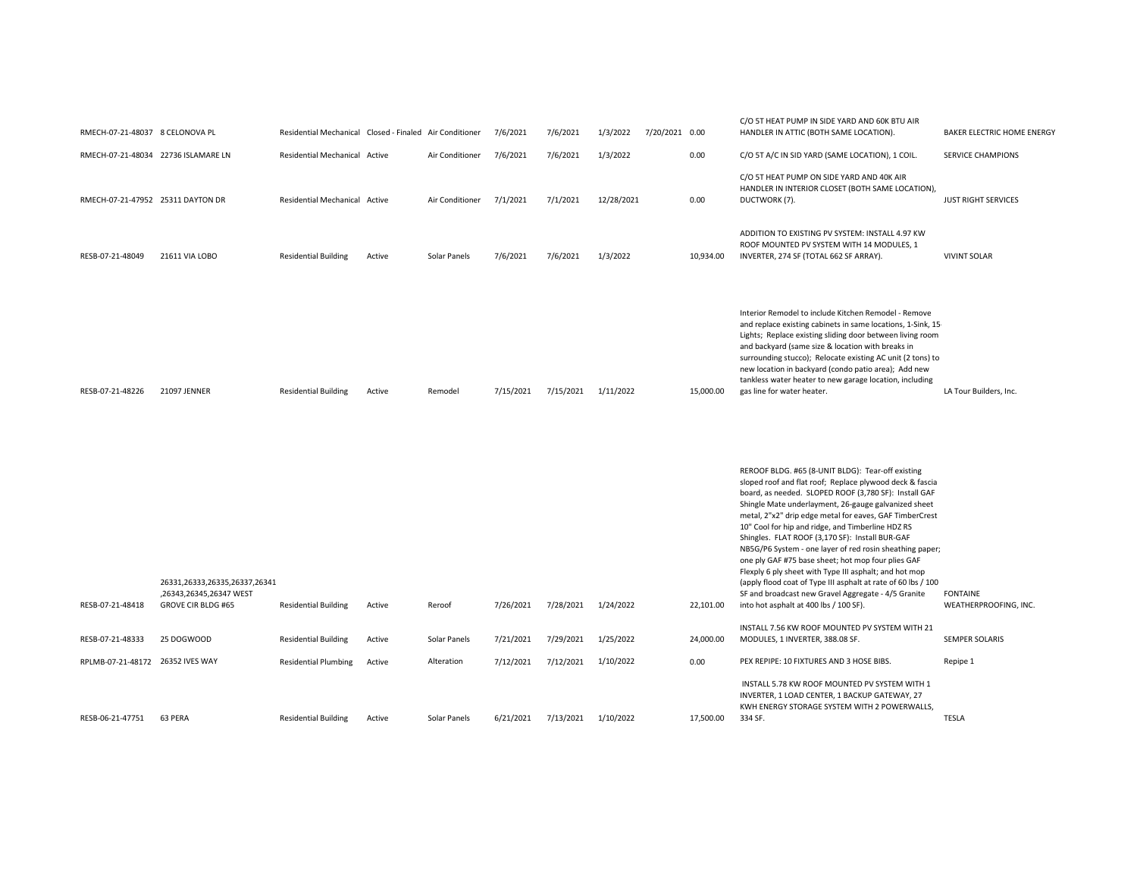| RMECH-07-21-48037 8 CELONOVA PL     |                                                                                       | Residential Mechanical Closed - Finaled Air Conditioner |        |                 | 7/6/2021  | 7/6/2021            | 1/3/2022   | 7/20/2021 0.00 |           | C/O 5T HEAT PUMP IN SIDE YARD AND 60K BTU AIR<br>HANDLER IN ATTIC (BOTH SAME LOCATION).                                                                                                                                                                                                                                                                                                                                                                                                                                                                                                                                                                                                                                                         | <b>BAKER ELECTRIC HOME ENERGY</b>        |
|-------------------------------------|---------------------------------------------------------------------------------------|---------------------------------------------------------|--------|-----------------|-----------|---------------------|------------|----------------|-----------|-------------------------------------------------------------------------------------------------------------------------------------------------------------------------------------------------------------------------------------------------------------------------------------------------------------------------------------------------------------------------------------------------------------------------------------------------------------------------------------------------------------------------------------------------------------------------------------------------------------------------------------------------------------------------------------------------------------------------------------------------|------------------------------------------|
| RMECH-07-21-48034 22736 ISLAMARE LN |                                                                                       | Residential Mechanical Active                           |        | Air Conditioner | 7/6/2021  | 7/6/2021            | 1/3/2022   |                | 0.00      | C/O 5T A/C IN SID YARD (SAME LOCATION), 1 COIL.                                                                                                                                                                                                                                                                                                                                                                                                                                                                                                                                                                                                                                                                                                 | <b>SERVICE CHAMPIONS</b>                 |
| RMECH-07-21-47952 25311 DAYTON DR   |                                                                                       | Residential Mechanical Active                           |        | Air Conditioner | 7/1/2021  | 7/1/2021            | 12/28/2021 |                | 0.00      | C/O 5T HEAT PUMP ON SIDE YARD AND 40K AIR<br>HANDLER IN INTERIOR CLOSET (BOTH SAME LOCATION),<br>DUCTWORK (7).                                                                                                                                                                                                                                                                                                                                                                                                                                                                                                                                                                                                                                  | <b>JUST RIGHT SERVICES</b>               |
| RESB-07-21-48049                    | 21611 VIA LOBO                                                                        | <b>Residential Building</b>                             | Active | Solar Panels    | 7/6/2021  | 7/6/2021            | 1/3/2022   |                | 10,934.00 | ADDITION TO EXISTING PV SYSTEM: INSTALL 4.97 KW<br>ROOF MOUNTED PV SYSTEM WITH 14 MODULES, 1<br>INVERTER, 274 SF (TOTAL 662 SF ARRAY).                                                                                                                                                                                                                                                                                                                                                                                                                                                                                                                                                                                                          | <b>VIVINT SOLAR</b>                      |
| RESB-07-21-48226                    | 21097 JENNER                                                                          | <b>Residential Building</b>                             | Active | Remodel         | 7/15/2021 | 7/15/2021 1/11/2022 |            |                | 15,000.00 | Interior Remodel to include Kitchen Remodel - Remove<br>and replace existing cabinets in same locations, 1-Sink, 15-<br>Lights; Replace existing sliding door between living room<br>and backyard (same size & location with breaks in<br>surrounding stucco); Relocate existing AC unit (2 tons) to<br>new location in backyard (condo patio area); Add new<br>tankless water heater to new garage location, including<br>gas line for water heater.                                                                                                                                                                                                                                                                                           | LA Tour Builders, Inc.                   |
| RESB-07-21-48418                    | 26331,26333,26335,26337,26341<br>,26343,26345,26347 WEST<br><b>GROVE CIR BLDG #65</b> | <b>Residential Building</b>                             | Active | Reroof          | 7/26/2021 | 7/28/2021           | 1/24/2022  |                | 22,101.00 | REROOF BLDG. #65 (8-UNIT BLDG): Tear-off existing<br>sloped roof and flat roof; Replace plywood deck & fascia<br>board, as needed. SLOPED ROOF (3,780 SF): Install GAF<br>Shingle Mate underlayment, 26-gauge galvanized sheet<br>metal, 2"x2" drip edge metal for eaves, GAF TimberCrest<br>10" Cool for hip and ridge, and Timberline HDZ RS<br>Shingles. FLAT ROOF (3,170 SF): Install BUR-GAF<br>NB5G/P6 System - one layer of red rosin sheathing paper;<br>one ply GAF #75 base sheet; hot mop four plies GAF<br>Flexply 6 ply sheet with Type III asphalt; and hot mop<br>(apply flood coat of Type III asphalt at rate of 60 lbs / 100<br>SF and broadcast new Gravel Aggregate - 4/5 Granite<br>into hot asphalt at 400 lbs / 100 SF). | <b>FONTAINE</b><br>WEATHERPROOFING, INC. |
| RESB-07-21-48333                    | 25 DOGWOOD                                                                            | <b>Residential Building</b>                             | Active | Solar Panels    | 7/21/2021 | 7/29/2021           | 1/25/2022  |                | 24,000.00 | INSTALL 7.56 KW ROOF MOUNTED PV SYSTEM WITH 21<br>MODULES, 1 INVERTER, 388.08 SF.                                                                                                                                                                                                                                                                                                                                                                                                                                                                                                                                                                                                                                                               | <b>SEMPER SOLARIS</b>                    |
| RPLMB-07-21-48172 26352 IVES WAY    |                                                                                       | <b>Residential Plumbing</b>                             | Active | Alteration      | 7/12/2021 | 7/12/2021           | 1/10/2022  |                | 0.00      | PEX REPIPE: 10 FIXTURES AND 3 HOSE BIBS.                                                                                                                                                                                                                                                                                                                                                                                                                                                                                                                                                                                                                                                                                                        | Repipe 1                                 |
| RESB-06-21-47751                    | 63 PERA                                                                               | <b>Residential Building</b>                             | Active | Solar Panels    | 6/21/2021 | 7/13/2021           | 1/10/2022  |                | 17,500.00 | INSTALL 5.78 KW ROOF MOUNTED PV SYSTEM WITH 1<br>INVERTER, 1 LOAD CENTER, 1 BACKUP GATEWAY, 27<br>KWH ENERGY STORAGE SYSTEM WITH 2 POWERWALLS,<br>334 SF.                                                                                                                                                                                                                                                                                                                                                                                                                                                                                                                                                                                       | <b>TESLA</b>                             |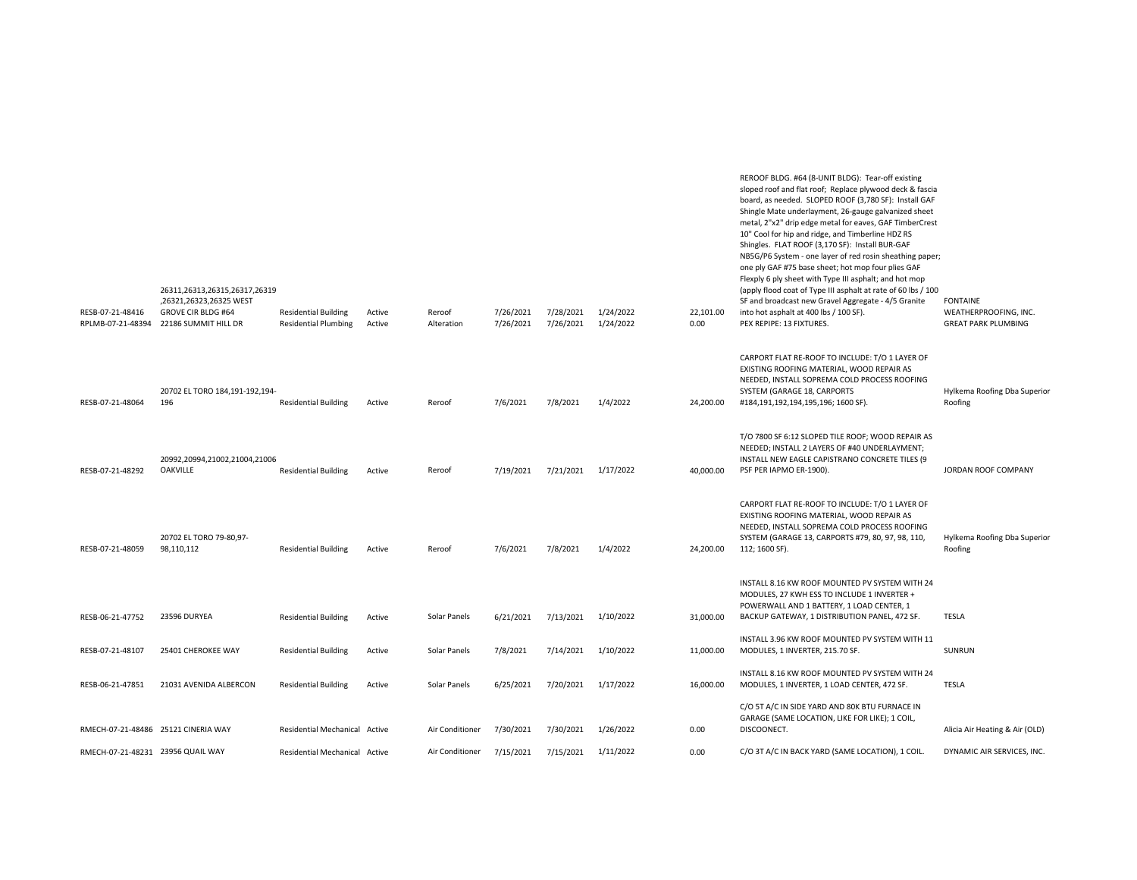| RESB-07-21-48416<br>RPLMB-07-21-48394 | 26311,26313,26315,26317,26319<br>,26321,26323,26325 WEST<br><b>GROVE CIR BLDG #64</b><br>22186 SUMMIT HILL DR | <b>Residential Building</b><br><b>Residential Plumbing</b> | Active<br>Active | Reroof<br>Alteration | 7/26/2021<br>7/26/2021 | 7/28/2021<br>7/26/2021 | 1/24/2022<br>1/24/2022 | 22,101.00<br>0.00 | metal, 2"x2" drip edge metal for eaves, GAF TimberCrest<br>10" Cool for hip and ridge, and Timberline HDZ RS<br>Shingles. FLAT ROOF (3,170 SF): Install BUR-GAF<br>NB5G/P6 System - one layer of red rosin sheathing paper;<br>one ply GAF #75 base sheet; hot mop four plies GAF<br>Flexply 6 ply sheet with Type III asphalt; and hot mop<br>(apply flood coat of Type III asphalt at rate of 60 lbs / 100<br>SF and broadcast new Gravel Aggregate - 4/5 Granite<br>into hot asphalt at 400 lbs / 100 SF).<br>PEX REPIPE: 13 FIXTURES. | <b>FONTAINE</b><br>WEATHERPROOFING, INC.<br><b>GREAT PARK PLUMBING</b> |
|---------------------------------------|---------------------------------------------------------------------------------------------------------------|------------------------------------------------------------|------------------|----------------------|------------------------|------------------------|------------------------|-------------------|-------------------------------------------------------------------------------------------------------------------------------------------------------------------------------------------------------------------------------------------------------------------------------------------------------------------------------------------------------------------------------------------------------------------------------------------------------------------------------------------------------------------------------------------|------------------------------------------------------------------------|
| RESB-07-21-48064                      | 20702 EL TORO 184,191-192,194-<br>196                                                                         | <b>Residential Building</b>                                | Active           | Reroof               | 7/6/2021               | 7/8/2021               | 1/4/2022               | 24,200.00         | CARPORT FLAT RE-ROOF TO INCLUDE: T/O 1 LAYER OF<br>EXISTING ROOFING MATERIAL, WOOD REPAIR AS<br>NEEDED, INSTALL SOPREMA COLD PROCESS ROOFING<br>SYSTEM (GARAGE 18, CARPORTS<br>#184,191,192,194,195,196; 1600 SF).                                                                                                                                                                                                                                                                                                                        | Hylkema Roofing Dba Superior<br>Roofing                                |
| RESB-07-21-48292                      | 20992,20994,21002,21004,21006<br><b>OAKVILLE</b>                                                              | <b>Residential Building</b>                                | Active           | Reroof               | 7/19/2021              | 7/21/2021              | 1/17/2022              | 40.000.00         | T/O 7800 SF 6:12 SLOPED TILE ROOF; WOOD REPAIR AS<br>NEEDED; INSTALL 2 LAYERS OF #40 UNDERLAYMENT;<br>INSTALL NEW EAGLE CAPISTRANO CONCRETE TILES (9<br>PSF PER IAPMO ER-1900).                                                                                                                                                                                                                                                                                                                                                           | JORDAN ROOF COMPANY                                                    |
| RESB-07-21-48059                      | 20702 EL TORO 79-80,97-<br>98,110,112                                                                         | <b>Residential Building</b>                                | Active           | Reroof               | 7/6/2021               | 7/8/2021               | 1/4/2022               | 24,200.00         | CARPORT FLAT RE-ROOF TO INCLUDE: T/O 1 LAYER OF<br>EXISTING ROOFING MATERIAL, WOOD REPAIR AS<br>NEEDED, INSTALL SOPREMA COLD PROCESS ROOFING<br>SYSTEM (GARAGE 13, CARPORTS #79, 80, 97, 98, 110,<br>112; 1600 SF).                                                                                                                                                                                                                                                                                                                       | Hylkema Roofing Dba Superior<br>Roofing                                |
| RESB-06-21-47752                      | 23596 DURYEA                                                                                                  | <b>Residential Building</b>                                | Active           | Solar Panels         | 6/21/2021              | 7/13/2021              | 1/10/2022              | 31.000.00         | INSTALL 8.16 KW ROOF MOUNTED PV SYSTEM WITH 24<br>MODULES, 27 KWH ESS TO INCLUDE 1 INVERTER +<br>POWERWALL AND 1 BATTERY, 1 LOAD CENTER, 1<br>BACKUP GATEWAY, 1 DISTRIBUTION PANEL, 472 SF.                                                                                                                                                                                                                                                                                                                                               | TESLA                                                                  |
| RESB-07-21-48107                      | 25401 CHEROKEE WAY                                                                                            | <b>Residential Building</b>                                | Active           | Solar Panels         | 7/8/2021               | 7/14/2021              | 1/10/2022              | 11,000.00         | INSTALL 3.96 KW ROOF MOUNTED PV SYSTEM WITH 11<br>MODULES, 1 INVERTER, 215.70 SF.                                                                                                                                                                                                                                                                                                                                                                                                                                                         | SUNRUN                                                                 |
| RESB-06-21-47851                      | 21031 AVENIDA ALBERCON                                                                                        | <b>Residential Building</b>                                | Active           | Solar Panels         | 6/25/2021              | 7/20/2021              | 1/17/2022              | 16,000.00         | INSTALL 8.16 KW ROOF MOUNTED PV SYSTEM WITH 24<br>MODULES, 1 INVERTER, 1 LOAD CENTER, 472 SF.                                                                                                                                                                                                                                                                                                                                                                                                                                             | <b>TESLA</b>                                                           |
| RMECH-07-21-48486 25121 CINERIA WAY   |                                                                                                               | Residential Mechanical Active                              |                  | Air Conditioner      | 7/30/2021              | 7/30/2021              | 1/26/2022              | 0.00              | C/O 5T A/C IN SIDE YARD AND 80K BTU FURNACE IN<br>GARAGE (SAME LOCATION, LIKE FOR LIKE); 1 COIL,<br>DISCOONECT.                                                                                                                                                                                                                                                                                                                                                                                                                           | Alicia Air Heating & Air (OLD)                                         |
| RMECH-07-21-48231 23956 QUAIL WAY     |                                                                                                               | Residential Mechanical Active                              |                  | Air Conditioner      | 7/15/2021              | 7/15/2021              | 1/11/2022              | 0.00              | C/O 3T A/C IN BACK YARD (SAME LOCATION), 1 COIL.                                                                                                                                                                                                                                                                                                                                                                                                                                                                                          | DYNAMIC AIR SERVICES, INC.                                             |

REROOF BLDG. #64 (8-UNIT BLDG): Tear-off existing sloped roof and flat roof; Replace plywood deck & fascia board, as needed. SLOPED ROOF (3,780 SF): Install GAF Shingle Mate underlayment, 26-gauge galvanized sheet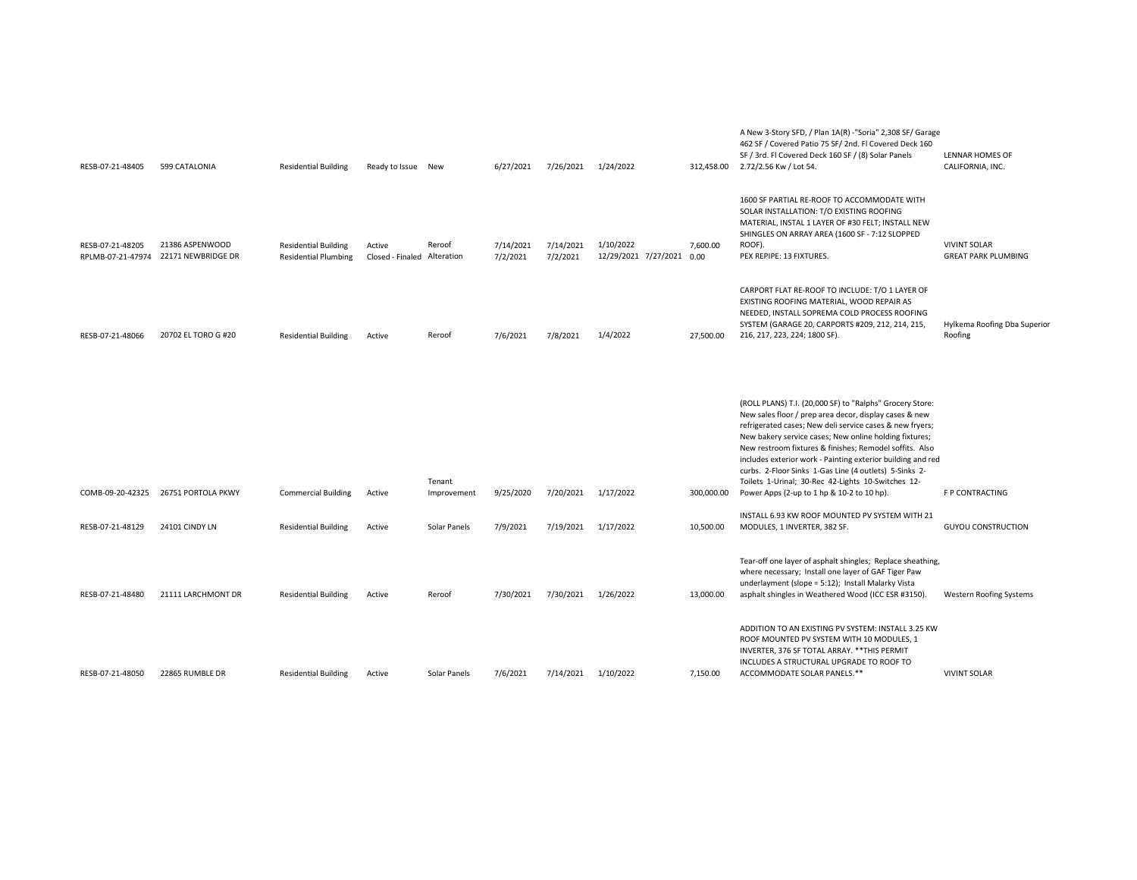| RESB-07-21-48405                      | 599 CATALONIA                         | <b>Residential Building</b>                                | Ready to Issue New                    |              | 6/27/2021             | 7/26/2021             | 1/24/2022                              | 312,458.00 | A New 3-Story SFD, / Plan 1A(R) -"Soria" 2,308 SF/ Garage<br>462 SF / Covered Patio 75 SF/2nd. Fl Covered Deck 160<br>SF / 3rd. Fl Covered Deck 160 SF / (8) Solar Panels<br>2.72/2.56 Kw / Lot 54.                                                                                                                                                                                                                                                                                | LENNAR HOMES OF<br>CALIFORNIA, INC.               |
|---------------------------------------|---------------------------------------|------------------------------------------------------------|---------------------------------------|--------------|-----------------------|-----------------------|----------------------------------------|------------|------------------------------------------------------------------------------------------------------------------------------------------------------------------------------------------------------------------------------------------------------------------------------------------------------------------------------------------------------------------------------------------------------------------------------------------------------------------------------------|---------------------------------------------------|
| RESB-07-21-48205<br>RPLMB-07-21-47974 | 21386 ASPENWOOD<br>22171 NEWBRIDGE DR | <b>Residential Building</b><br><b>Residential Plumbing</b> | Active<br>Closed - Finaled Alteration | Reroof       | 7/14/2021<br>7/2/2021 | 7/14/2021<br>7/2/2021 | 1/10/2022<br>12/29/2021 7/27/2021 0.00 | 7,600.00   | 1600 SF PARTIAL RE-ROOF TO ACCOMMODATE WITH<br>SOLAR INSTALLATION: T/O EXISTING ROOFING<br>MATERIAL, INSTAL 1 LAYER OF #30 FELT; INSTALL NEW<br>SHINGLES ON ARRAY AREA (1600 SF - 7:12 SLOPPED<br>ROOF).<br>PEX REPIPE: 13 FIXTURES.                                                                                                                                                                                                                                               | <b>VIVINT SOLAR</b><br><b>GREAT PARK PLUMBING</b> |
| RESB-07-21-48066                      | 20702 EL TORO G #20                   | <b>Residential Building</b>                                | Active                                | Reroof       | 7/6/2021              | 7/8/2021              | 1/4/2022                               | 27,500.00  | CARPORT FLAT RE-ROOF TO INCLUDE: T/O 1 LAYER OF<br>EXISTING ROOFING MATERIAL, WOOD REPAIR AS<br>NEEDED, INSTALL SOPREMA COLD PROCESS ROOFING<br>SYSTEM (GARAGE 20, CARPORTS #209, 212, 214, 215,<br>216, 217, 223, 224; 1800 SF).                                                                                                                                                                                                                                                  | Hylkema Roofing Dba Superior<br>Roofing           |
|                                       |                                       |                                                            |                                       | Tenant       |                       |                       |                                        |            | (ROLL PLANS) T.I. (20,000 SF) to "Ralphs" Grocery Store:<br>New sales floor / prep area decor, display cases & new<br>refrigerated cases; New deli service cases & new fryers;<br>New bakery service cases; New online holding fixtures;<br>New restroom fixtures & finishes; Remodel soffits. Also<br>includes exterior work - Painting exterior building and red<br>curbs. 2-Floor Sinks 1-Gas Line (4 outlets) 5-Sinks 2-<br>Toilets 1-Urinal; 30-Rec 42-Lights 10-Switches 12- |                                                   |
| COMB-09-20-42325                      | 26751 PORTOLA PKWY                    | <b>Commercial Building</b>                                 | Active                                | Improvement  | 9/25/2020             | 7/20/2021             | 1/17/2022                              | 300,000.00 | Power Apps (2-up to 1 hp & 10-2 to 10 hp).                                                                                                                                                                                                                                                                                                                                                                                                                                         | F P CONTRACTING                                   |
| RESB-07-21-48129                      | 24101 CINDY LN                        | <b>Residential Building</b>                                | Active                                | Solar Panels | 7/9/2021              | 7/19/2021             | 1/17/2022                              | 10,500.00  | INSTALL 6.93 KW ROOF MOUNTED PV SYSTEM WITH 21<br>MODULES, 1 INVERTER, 382 SF.                                                                                                                                                                                                                                                                                                                                                                                                     | <b>GUYOU CONSTRUCTION</b>                         |
| RESB-07-21-48480                      | 21111 LARCHMONT DR                    | <b>Residential Building</b>                                | Active                                | Reroof       | 7/30/2021             | 7/30/2021             | 1/26/2022                              | 13,000.00  | Tear-off one layer of asphalt shingles; Replace sheathing,<br>where necessary; Install one layer of GAF Tiger Paw<br>underlayment (slope = 5:12); Install Malarky Vista<br>asphalt shingles in Weathered Wood (ICC ESR #3150).                                                                                                                                                                                                                                                     | Western Roofing Systems                           |
| RESB-07-21-48050                      | 22865 RUMBLE DR                       | <b>Residential Building</b>                                | Active                                | Solar Panels | 7/6/2021              | 7/14/2021             | 1/10/2022                              | 7.150.00   | ADDITION TO AN EXISTING PV SYSTEM: INSTALL 3.25 KW<br>ROOF MOUNTED PV SYSTEM WITH 10 MODULES, 1<br>INVERTER, 376 SF TOTAL ARRAY. ** THIS PERMIT<br>INCLUDES A STRUCTURAL UPGRADE TO ROOF TO<br>ACCOMMODATE SOLAR PANELS.**                                                                                                                                                                                                                                                         | <b>VIVINT SOLAR</b>                               |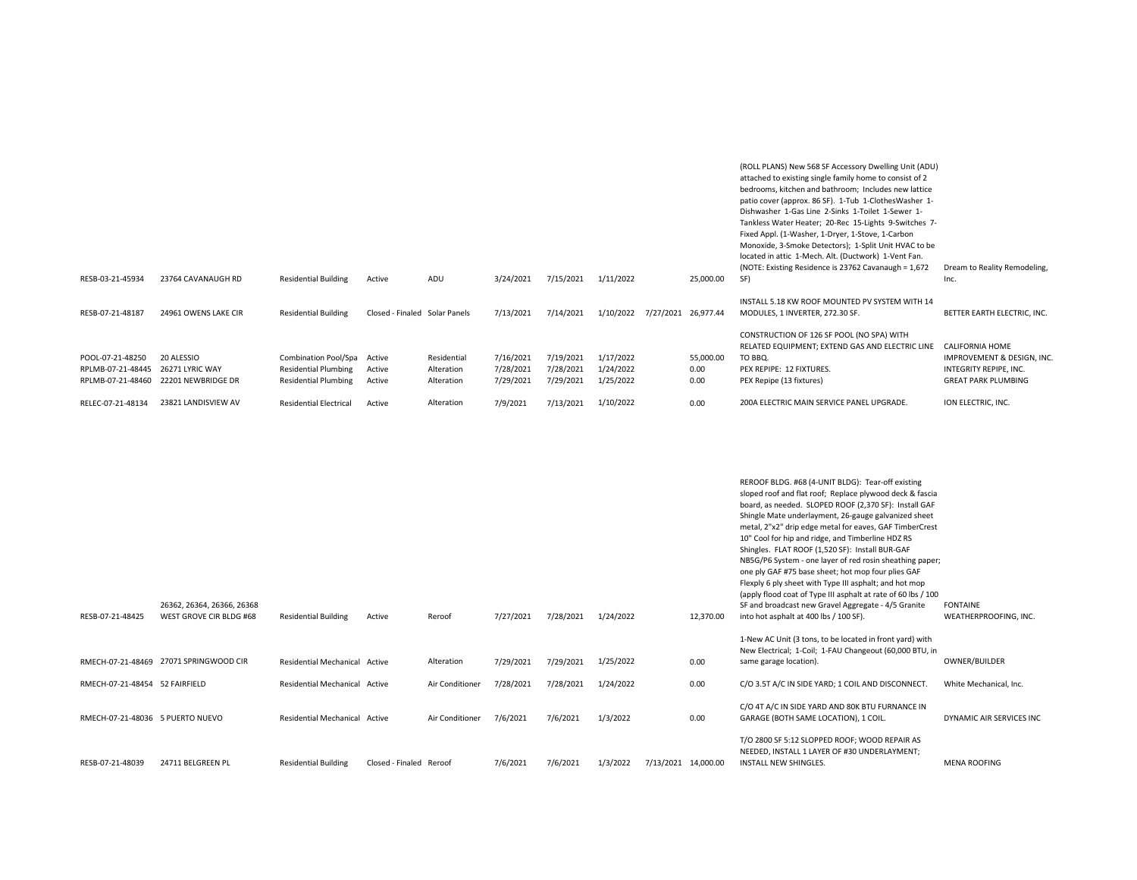| RESB-03-21-45934                                           | 23764 CAVANAUGH RD                                  | <b>Residential Building</b>                                                               | Active                        | ADU                                     | 3/24/2021                           | 7/15/2021                           | 1/11/2022                           |                     | 25,000.00                 | (ROLL PLANS) New 568 SF Accessory Dwelling Unit (ADU)<br>attached to existing single family home to consist of 2<br>bedrooms, kitchen and bathroom; Includes new lattice<br>patio cover (approx. 86 SF). 1-Tub 1-ClothesWasher 1-<br>Dishwasher 1-Gas Line 2-Sinks 1-Toilet 1-Sewer 1-<br>Tankless Water Heater; 20-Rec 15-Lights 9-Switches 7-<br>Fixed Appl. (1-Washer, 1-Dryer, 1-Stove, 1-Carbon<br>Monoxide, 3-Smoke Detectors); 1-Split Unit HVAC to be<br>located in attic 1-Mech. Alt. (Ductwork) 1-Vent Fan.<br>(NOTE: Existing Residence is 23762 Cavanaugh = 1,672)<br>SF) | Dream to Reality Remodeling,<br>Inc.                                                                         |
|------------------------------------------------------------|-----------------------------------------------------|-------------------------------------------------------------------------------------------|-------------------------------|-----------------------------------------|-------------------------------------|-------------------------------------|-------------------------------------|---------------------|---------------------------|---------------------------------------------------------------------------------------------------------------------------------------------------------------------------------------------------------------------------------------------------------------------------------------------------------------------------------------------------------------------------------------------------------------------------------------------------------------------------------------------------------------------------------------------------------------------------------------|--------------------------------------------------------------------------------------------------------------|
| RESB-07-21-48187                                           | 24961 OWENS LAKE CIR                                | <b>Residential Building</b>                                                               | Closed - Finaled Solar Panels |                                         | 7/13/2021                           | 7/14/2021                           | 1/10/2022                           | 7/27/2021 26,977.44 |                           | INSTALL 5.18 KW ROOF MOUNTED PV SYSTEM WITH 14<br>MODULES, 1 INVERTER, 272.30 SF.                                                                                                                                                                                                                                                                                                                                                                                                                                                                                                     | BETTER EARTH ELECTRIC, INC.                                                                                  |
| POOL-07-21-48250<br>RPLMB-07-21-48445<br>RPLMB-07-21-48460 | 20 ALESSIO<br>26271 LYRIC WAY<br>22201 NEWBRIDGE DR | <b>Combination Pool/Spa</b><br><b>Residential Plumbing</b><br><b>Residential Plumbing</b> | Active<br>Active<br>Active    | Residential<br>Alteration<br>Alteration | 7/16/2021<br>7/28/2021<br>7/29/2021 | 7/19/2021<br>7/28/2021<br>7/29/2021 | 1/17/2022<br>1/24/2022<br>1/25/2022 |                     | 55,000.00<br>0.00<br>0.00 | CONSTRUCTION OF 126 SF POOL (NO SPA) WITH<br>RELATED EQUIPMENT; EXTEND GAS AND ELECTRIC LINE<br>TO BBQ.<br>PEX REPIPE: 12 FIXTURES.<br>PEX Repipe (13 fixtures)                                                                                                                                                                                                                                                                                                                                                                                                                       | <b>CALIFORNIA HOME</b><br>IMPROVEMENT & DESIGN, INC.<br>INTEGRITY REPIPE, INC.<br><b>GREAT PARK PLUMBING</b> |
| RELEC-07-21-48134                                          | 23821 LANDISVIEW AV                                 | <b>Residential Electrical</b>                                                             | Active                        | Alteration                              | 7/9/2021                            | 7/13/2021                           | 1/10/2022                           |                     | 0.00                      | 200A ELECTRIC MAIN SERVICE PANEL UPGRADE.                                                                                                                                                                                                                                                                                                                                                                                                                                                                                                                                             | ION ELECTRIC, INC.                                                                                           |

| RESB-07-21-48425                 | 26362, 26364, 26366, 26368<br>WEST GROVE CIR BLDG #68 | <b>Residential Building</b>   | Active                  | Reroof          | 7/27/2021 | 7/28/2021 | 1/24/2022 |                     | 12,370.00 | REROOF BLDG. #68 (4-UNIT BLDG): Tear-off existing<br>sloped roof and flat roof; Replace plywood deck & fascia<br>board, as needed. SLOPED ROOF (2,370 SF): Install GAF<br>Shingle Mate underlayment, 26-gauge galvanized sheet<br>metal, 2"x2" drip edge metal for eaves, GAF TimberCrest<br>10" Cool for hip and ridge, and Timberline HDZ RS<br>Shingles. FLAT ROOF (1,520 SF): Install BUR-GAF<br>NB5G/P6 System - one layer of red rosin sheathing paper;<br>one ply GAF #75 base sheet; hot mop four plies GAF<br>Flexply 6 ply sheet with Type III asphalt; and hot mop<br>(apply flood coat of Type III asphalt at rate of 60 lbs / 100<br>SF and broadcast new Gravel Aggregate - 4/5 Granite<br>into hot asphalt at 400 lbs / 100 SF). | <b>FONTAINE</b><br>WEATHERPROOFING, INC. |
|----------------------------------|-------------------------------------------------------|-------------------------------|-------------------------|-----------------|-----------|-----------|-----------|---------------------|-----------|-------------------------------------------------------------------------------------------------------------------------------------------------------------------------------------------------------------------------------------------------------------------------------------------------------------------------------------------------------------------------------------------------------------------------------------------------------------------------------------------------------------------------------------------------------------------------------------------------------------------------------------------------------------------------------------------------------------------------------------------------|------------------------------------------|
|                                  |                                                       |                               |                         |                 |           |           |           |                     |           |                                                                                                                                                                                                                                                                                                                                                                                                                                                                                                                                                                                                                                                                                                                                                 |                                          |
|                                  |                                                       |                               |                         |                 |           |           |           |                     |           | 1-New AC Unit (3 tons, to be located in front yard) with                                                                                                                                                                                                                                                                                                                                                                                                                                                                                                                                                                                                                                                                                        |                                          |
|                                  | RMECH-07-21-48469 27071 SPRINGWOOD CIR                | Residential Mechanical Active |                         | Alteration      | 7/29/2021 | 7/29/2021 | 1/25/2022 |                     | 0.00      | New Electrical; 1-Coil; 1-FAU Changeout (60,000 BTU, in<br>same garage location).                                                                                                                                                                                                                                                                                                                                                                                                                                                                                                                                                                                                                                                               | OWNER/BUILDER                            |
|                                  |                                                       |                               |                         |                 |           |           |           |                     |           |                                                                                                                                                                                                                                                                                                                                                                                                                                                                                                                                                                                                                                                                                                                                                 |                                          |
| RMECH-07-21-48454 52 FAIRFIELD   |                                                       | Residential Mechanical Active |                         | Air Conditioner | 7/28/2021 | 7/28/2021 | 1/24/2022 |                     | 0.00      | C/O 3.5T A/C IN SIDE YARD; 1 COIL AND DISCONNECT                                                                                                                                                                                                                                                                                                                                                                                                                                                                                                                                                                                                                                                                                                | White Mechanical, Inc.                   |
| RMECH-07-21-48036 5 PUERTO NUEVO |                                                       | Residential Mechanical Active |                         | Air Conditioner | 7/6/2021  | 7/6/2021  | 1/3/2022  |                     | 0.00      | C/O 4T A/C IN SIDE YARD AND 80K BTU FURNANCE IN<br>GARAGE (BOTH SAME LOCATION), 1 COIL.                                                                                                                                                                                                                                                                                                                                                                                                                                                                                                                                                                                                                                                         | DYNAMIC AIR SERVICES INC                 |
| RESB-07-21-48039                 | 24711 BELGREEN PL                                     | <b>Residential Building</b>   | Closed - Finaled Reroof |                 | 7/6/2021  | 7/6/2021  | 1/3/2022  | 7/13/2021 14,000.00 |           | T/O 2800 SF 5:12 SLOPPED ROOF; WOOD REPAIR AS<br>NEEDED. INSTALL 1 LAYER OF #30 UNDERLAYMENT:<br><b>INSTALL NEW SHINGLES.</b>                                                                                                                                                                                                                                                                                                                                                                                                                                                                                                                                                                                                                   | <b>MENA ROOFING</b>                      |
|                                  |                                                       |                               |                         |                 |           |           |           |                     |           |                                                                                                                                                                                                                                                                                                                                                                                                                                                                                                                                                                                                                                                                                                                                                 |                                          |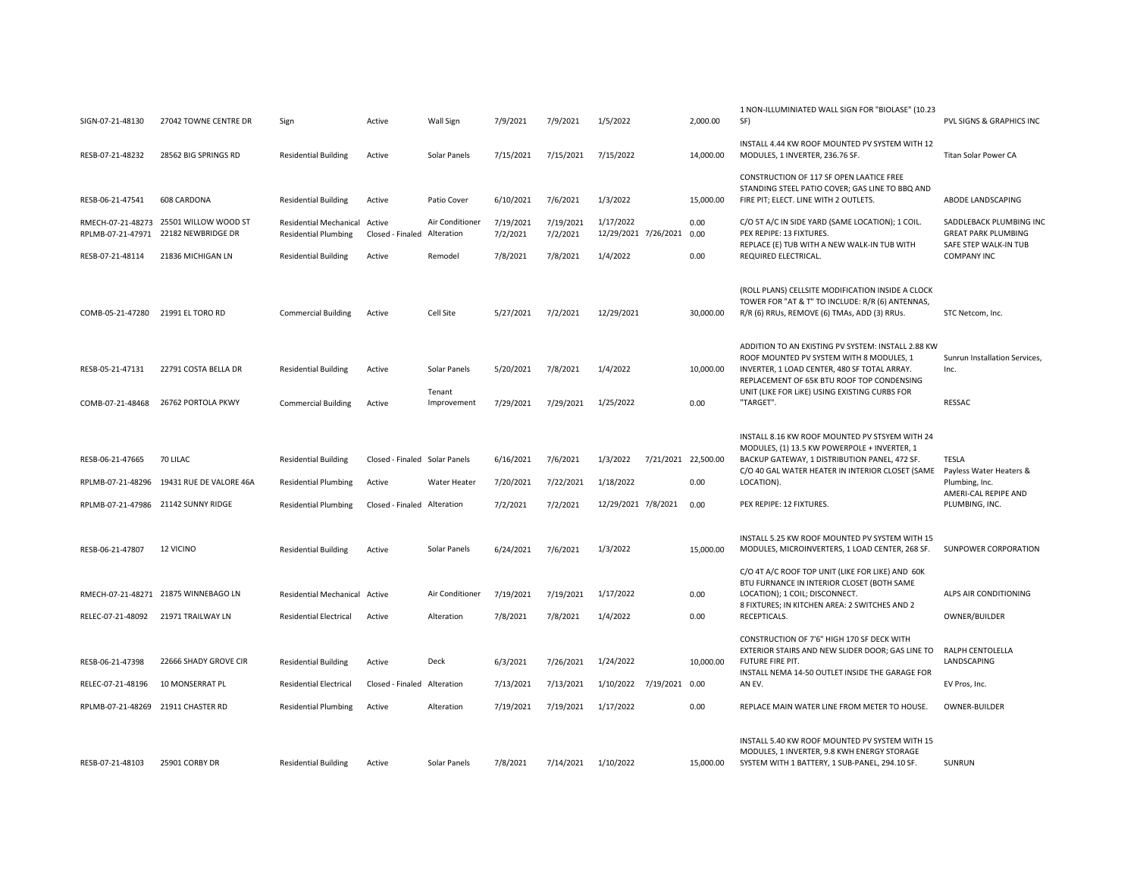| SIGN-07-21-48130                       | 27042 TOWNE CENTRE DR                      | Sign                                                  | Active                        | Wall Sign                     | 7/9/2021              | 7/9/2021              | 1/5/2022                               | 2,000.00            | 1 NON-ILLUMINIATED WALL SIGN FOR "BIOLASE" (10.23<br>SF)                                                                                                                                     | PVL SIGNS & GRAPHICS INC                                                       |
|----------------------------------------|--------------------------------------------|-------------------------------------------------------|-------------------------------|-------------------------------|-----------------------|-----------------------|----------------------------------------|---------------------|----------------------------------------------------------------------------------------------------------------------------------------------------------------------------------------------|--------------------------------------------------------------------------------|
| RESB-07-21-48232                       | 28562 BIG SPRINGS RD                       | <b>Residential Building</b>                           | Active                        | Solar Panels                  | 7/15/2021             | 7/15/2021             | 7/15/2022                              | 14,000.00           | INSTALL 4.44 KW ROOF MOUNTED PV SYSTEM WITH 12<br>MODULES, 1 INVERTER, 236.76 SF.                                                                                                            | Titan Solar Power CA                                                           |
| RESB-06-21-47541                       | 608 CARDONA                                | <b>Residential Building</b>                           | Active                        | Patio Cover                   | 6/10/2021             | 7/6/2021              | 1/3/2022                               | 15,000.00           | CONSTRUCTION OF 117 SF OPEN LAATICE FREE<br>STANDING STEEL PATIO COVER; GAS LINE TO BBQ AND<br>FIRE PIT; ELECT. LINE WITH 2 OUTLETS.                                                         | ABODE LANDSCAPING                                                              |
| RMECH-07-21-48273<br>RPLMB-07-21-47971 | 25501 WILLOW WOOD ST<br>22182 NEWBRIDGE DR | Residential Mechanical<br><b>Residential Plumbing</b> | Active<br>Closed - Finaled    | Air Conditioner<br>Alteration | 7/19/2021<br>7/2/2021 | 7/19/2021<br>7/2/2021 | 1/17/2022<br>12/29/2021 7/26/2021 0.00 | 0.00                | C/O 5T A/C IN SIDE YARD (SAME LOCATION); 1 COIL.<br>PEX REPIPE: 13 FIXTURES.<br>REPLACE (E) TUB WITH A NEW WALK-IN TUB WITH                                                                  | SADDLEBACK PLUMBING INC<br><b>GREAT PARK PLUMBING</b><br>SAFE STEP WALK-IN TUB |
| RESB-07-21-48114                       | 21836 MICHIGAN LN                          | <b>Residential Building</b>                           | Active                        | Remodel                       | 7/8/2021              | 7/8/2021              | 1/4/2022                               | 0.00                | REQUIRED ELECTRICAL.                                                                                                                                                                         | <b>COMPANY INC</b>                                                             |
| COMB-05-21-47280                       | 21991 EL TORO RD                           | <b>Commercial Building</b>                            | Active                        | Cell Site                     | 5/27/2021             | 7/2/2021              | 12/29/2021                             | 30,000.00           | (ROLL PLANS) CELLSITE MODIFICATION INSIDE A CLOCK<br>TOWER FOR "AT & T" TO INCLUDE: R/R (6) ANTENNAS,<br>R/R (6) RRUs, REMOVE (6) TMAs, ADD (3) RRUs.                                        | STC Netcom, Inc.                                                               |
| RESB-05-21-47131                       | 22791 COSTA BELLA DR                       | <b>Residential Building</b>                           | Active                        | Solar Panels                  | 5/20/2021             | 7/8/2021              | 1/4/2022                               | 10,000.00           | ADDITION TO AN EXISTING PV SYSTEM: INSTALL 2.88 KW<br>ROOF MOUNTED PV SYSTEM WITH 8 MODULES, 1<br>INVERTER, 1 LOAD CENTER, 480 SF TOTAL ARRAY.<br>REPLACEMENT OF 65K BTU ROOF TOP CONDENSING | Sunrun Installation Services,<br>Inc.                                          |
| COMB-07-21-48468                       | 26762 PORTOLA PKWY                         | <b>Commercial Building</b>                            | Active                        | Tenant<br>Improvement         | 7/29/2021             | 7/29/2021             | 1/25/2022                              | 0.00                | UNIT (LIKE FOR LIKE) USING EXISTING CURBS FOR<br>"TARGET".                                                                                                                                   | RESSAC                                                                         |
|                                        |                                            |                                                       |                               |                               |                       |                       |                                        |                     | INSTALL 8.16 KW ROOF MOUNTED PV STSYEM WITH 24<br>MODULES, (1) 13.5 KW POWERPOLE + INVERTER, 1                                                                                               |                                                                                |
| RESB-06-21-47665                       | 70 LILAC                                   | <b>Residential Building</b>                           | Closed - Finaled Solar Panels |                               | 6/16/2021             | 7/6/2021              | 1/3/2022                               | 7/21/2021 22,500.00 | BACKUP GATEWAY, 1 DISTRIBUTION PANEL, 472 SF.<br>C/O 40 GAL WATER HEATER IN INTERIOR CLOSET (SAME Payless Water Heaters &                                                                    | <b>TESLA</b>                                                                   |
|                                        | RPLMB-07-21-48296 19431 RUE DE VALORE 46A  | <b>Residential Plumbing</b>                           | Active                        | Water Heater                  | 7/20/2021             | 7/22/2021             | 1/18/2022                              | 0.00                | LOCATION).                                                                                                                                                                                   | Plumbing, Inc.<br>AMERI-CAL REPIPE AND                                         |
|                                        | RPLMB-07-21-47986 21142 SUNNY RIDGE        | <b>Residential Plumbing</b>                           | Closed - Finaled Alteration   |                               | 7/2/2021              | 7/2/2021              | 12/29/2021 7/8/2021                    | 0.00                | PEX REPIPE: 12 FIXTURES.                                                                                                                                                                     | PLUMBING, INC.                                                                 |
| RESB-06-21-47807                       | <b>12 VICINO</b>                           | <b>Residential Building</b>                           | Active                        | Solar Panels                  | 6/24/2021             | 7/6/2021              | 1/3/2022                               | 15,000.00           | INSTALL 5.25 KW ROOF MOUNTED PV SYSTEM WITH 15<br>MODULES, MICROINVERTERS, 1 LOAD CENTER, 268 SF.                                                                                            | SUNPOWER CORPORATION                                                           |
|                                        | RMECH-07-21-48271 21875 WINNEBAGO LN       | Residential Mechanical Active                         |                               | Air Conditioner               | 7/19/2021             | 7/19/2021             | 1/17/2022                              | 0.00                | C/O 4T A/C ROOF TOP UNIT (LIKE FOR LIKE) AND 60K<br>BTU FURNANCE IN INTERIOR CLOSET (BOTH SAME<br>LOCATION); 1 COIL; DISCONNECT.<br>8 FIXTURES; IN KITCHEN AREA: 2 SWITCHES AND 2            | ALPS AIR CONDITIONING                                                          |
|                                        | RELEC-07-21-48092 21971 TRAILWAY LN        | <b>Residential Electrical</b>                         | Active                        | Alteration                    | 7/8/2021              | 7/8/2021              | 1/4/2022                               | 0.00                | RECEPTICALS.                                                                                                                                                                                 | OWNER/BUILDER                                                                  |
| RESB-06-21-47398                       | 22666 SHADY GROVE CIR                      | <b>Residential Building</b>                           | Active                        | Deck                          | 6/3/2021              | 7/26/2021             | 1/24/2022                              | 10,000.00           | CONSTRUCTION OF 7'6" HIGH 170 SF DECK WITH<br>EXTERIOR STAIRS AND NEW SLIDER DOOR; GAS LINE TO<br>FUTURE FIRE PIT.<br>INSTALL NEMA 14-50 OUTLET INSIDE THE GARAGE FOR                        | RALPH CENTOLELLA<br>LANDSCAPING                                                |
| RELEC-07-21-48196                      | 10 MONSERRAT PL                            | <b>Residential Electrical</b>                         | Closed - Finaled Alteration   |                               | 7/13/2021             | 7/13/2021             | 1/10/2022 7/19/2021 0.00               |                     | AN EV.                                                                                                                                                                                       | EV Pros, Inc.                                                                  |
| RPLMB-07-21-48269 21911 CHASTER RD     |                                            | <b>Residential Plumbing</b>                           | Active                        | Alteration                    | 7/19/2021             | 7/19/2021             | 1/17/2022                              | 0.00                | REPLACE MAIN WATER LINE FROM METER TO HOUSE.                                                                                                                                                 | OWNER-BUILDER                                                                  |
| RESB-07-21-48103                       | 25901 CORBY DR                             | <b>Residential Building</b>                           | Active                        | Solar Panels                  | 7/8/2021              | 7/14/2021             | 1/10/2022                              | 15,000.00           | INSTALL 5.40 KW ROOF MOUNTED PV SYSTEM WITH 15<br>MODULES, 1 INVERTER, 9.8 KWH ENERGY STORAGE<br>SYSTEM WITH 1 BATTERY, 1 SUB-PANEL, 294.10 SF.                                              | SUNRUN                                                                         |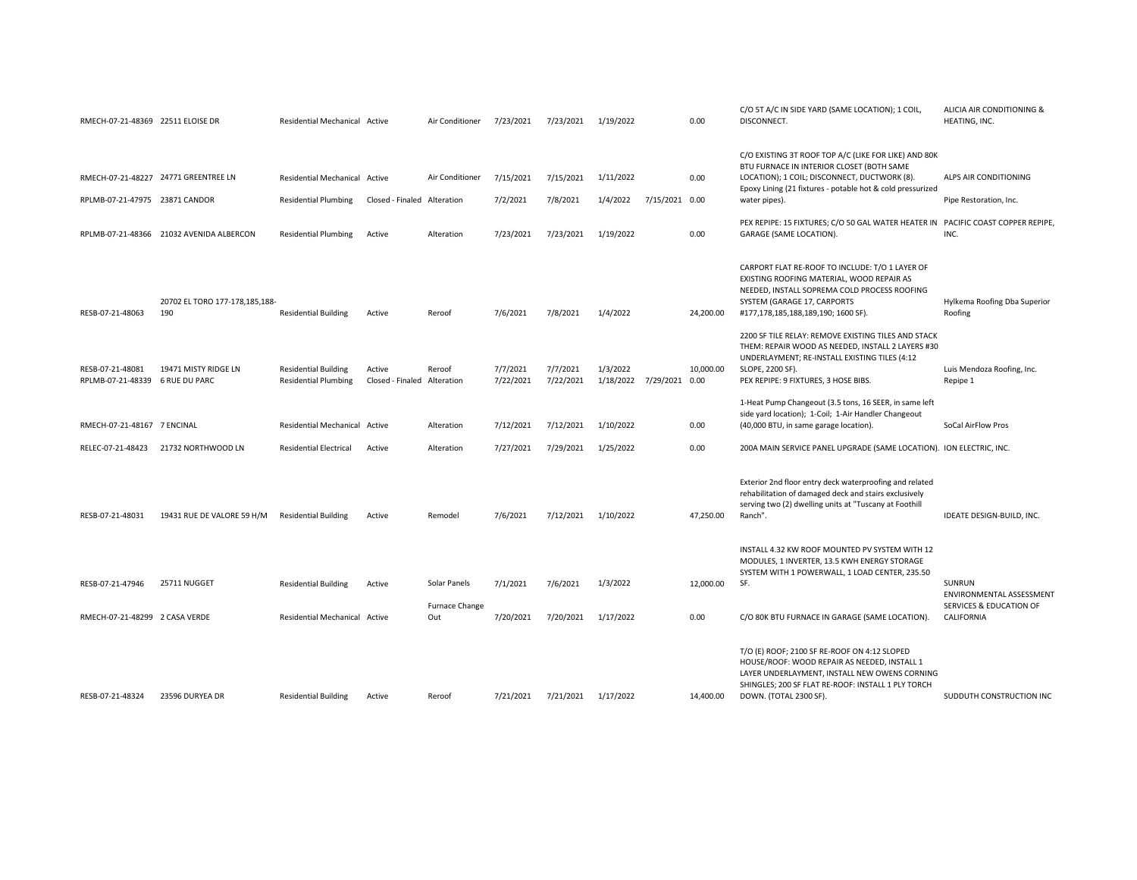| RMECH-07-21-48369 22511 ELOISE DR                   |                                          | Residential Mechanical Active                              |                                       | Air Conditioner       | 7/23/2021             | 7/23/2021             | 1/19/2022                            |                | 0.00      | C/O 5T A/C IN SIDE YARD (SAME LOCATION); 1 COIL,<br>DISCONNECT.                                                                                                                                                               | ALICIA AIR CONDITIONING &<br>HEATING, INC. |
|-----------------------------------------------------|------------------------------------------|------------------------------------------------------------|---------------------------------------|-----------------------|-----------------------|-----------------------|--------------------------------------|----------------|-----------|-------------------------------------------------------------------------------------------------------------------------------------------------------------------------------------------------------------------------------|--------------------------------------------|
|                                                     | RMECH-07-21-48227 24771 GREENTREE LN     | <b>Residential Mechanical Active</b>                       |                                       | Air Conditioner       | 7/15/2021             | 7/15/2021             | 1/11/2022                            |                | 0.00      | C/O EXISTING 3T ROOF TOP A/C (LIKE FOR LIKE) AND 80K<br>BTU FURNACE IN INTERIOR CLOSET (BOTH SAME<br>LOCATION); 1 COIL; DISCONNECT, DUCTWORK (8).<br>Epoxy Lining (21 fixtures - potable hot & cold pressurized               | ALPS AIR CONDITIONING                      |
| RPLMB-07-21-47975 23871 CANDOR                      |                                          | <b>Residential Plumbing</b>                                | Closed - Finaled Alteration           |                       | 7/2/2021              | 7/8/2021              | 1/4/2022                             | 7/15/2021 0.00 |           | water pipes).                                                                                                                                                                                                                 | Pipe Restoration, Inc.                     |
|                                                     | RPLMB-07-21-48366 21032 AVENIDA ALBERCON | <b>Residential Plumbing</b>                                | Active                                | Alteration            | 7/23/2021             | 7/23/2021             | 1/19/2022                            |                | 0.00      | PEX REPIPE: 15 FIXTURES; C/O 50 GAL WATER HEATER IN PACIFIC COAST COPPER REPIPE,<br>GARAGE (SAME LOCATION).                                                                                                                   | INC.                                       |
| RESB-07-21-48063                                    | 20702 EL TORO 177-178,185,188-<br>190    | <b>Residential Building</b>                                | Active                                | Reroof                | 7/6/2021              | 7/8/2021              | 1/4/2022                             |                | 24,200.00 | CARPORT FLAT RE-ROOF TO INCLUDE: T/O 1 LAYER OF<br>EXISTING ROOFING MATERIAL, WOOD REPAIR AS<br>NEEDED, INSTALL SOPREMA COLD PROCESS ROOFING<br>SYSTEM (GARAGE 17, CARPORTS<br>#177,178,185,188,189,190; 1600 SF).            | Hylkema Roofing Dba Superior<br>Roofing    |
| RESB-07-21-48081<br>RPLMB-07-21-48339 6 RUE DU PARC | 19471 MISTY RIDGE LN                     | <b>Residential Building</b><br><b>Residential Plumbing</b> | Active<br>Closed - Finaled Alteration | Reroof                | 7/7/2021<br>7/22/2021 | 7/7/2021<br>7/22/2021 | 1/3/2022<br>1/18/2022 7/29/2021 0.00 |                | 10,000.00 | 2200 SF TILE RELAY: REMOVE EXISTING TILES AND STACK<br>THEM: REPAIR WOOD AS NEEDED, INSTALL 2 LAYERS #30<br>UNDERLAYMENT; RE-INSTALL EXISTING TILES (4:12<br>SLOPE, 2200 SF).<br>PEX REPIPE: 9 FIXTURES, 3 HOSE BIBS.         | Luis Mendoza Roofing, Inc.<br>Repipe 1     |
| RMECH-07-21-48167 7 ENCINAL                         |                                          | Residential Mechanical Active                              |                                       | Alteration            | 7/12/2021             | 7/12/2021             | 1/10/2022                            |                | 0.00      | 1-Heat Pump Changeout (3.5 tons, 16 SEER, in same left<br>side yard location); 1-Coil; 1-Air Handler Changeout<br>(40,000 BTU, in same garage location).                                                                      | SoCal AirFlow Pros                         |
| RELEC-07-21-48423                                   | 21732 NORTHWOOD LN                       | <b>Residential Electrical</b>                              | Active                                | Alteration            | 7/27/2021             | 7/29/2021             | 1/25/2022                            |                | 0.00      | 200A MAIN SERVICE PANEL UPGRADE (SAME LOCATION). ION ELECTRIC, INC.                                                                                                                                                           |                                            |
| RESB-07-21-48031                                    | 19431 RUE DE VALORE 59 H/M               | <b>Residential Building</b>                                | Active                                | Remodel               | 7/6/2021              | 7/12/2021             | 1/10/2022                            |                | 47,250.00 | Exterior 2nd floor entry deck waterproofing and related<br>rehabilitation of damaged deck and stairs exclusively<br>serving two (2) dwelling units at "Tuscany at Foothill<br>Ranch".                                         | IDEATE DESIGN-BUILD, INC.                  |
| RESB-07-21-47946                                    | 25711 NUGGET                             | <b>Residential Building</b>                                | Active                                | Solar Panels          | 7/1/2021              | 7/6/2021              | 1/3/2022                             |                | 12,000.00 | INSTALL 4.32 KW ROOF MOUNTED PV SYSTEM WITH 12<br>MODULES, 1 INVERTER, 13.5 KWH ENERGY STORAGE<br>SYSTEM WITH 1 POWERWALL, 1 LOAD CENTER, 235.50<br>SF.                                                                       | SUNRUN<br><b>ENVIRONMENTAL ASSESSMENT</b>  |
| RMECH-07-21-48299 2 CASA VERDE                      |                                          | Residential Mechanical Active                              |                                       | Furnace Change<br>Out | 7/20/2021             | 7/20/2021             | 1/17/2022                            |                | 0.00      | C/O 80K BTU FURNACE IN GARAGE (SAME LOCATION).                                                                                                                                                                                | SERVICES & EDUCATION OF<br>CALIFORNIA      |
| RESB-07-21-48324                                    | 23596 DURYEA DR                          | <b>Residential Building</b>                                | Active                                | Reroof                | 7/21/2021             | 7/21/2021             | 1/17/2022                            |                | 14,400.00 | T/O (E) ROOF; 2100 SF RE-ROOF ON 4:12 SLOPED<br>HOUSE/ROOF: WOOD REPAIR AS NEEDED, INSTALL 1<br>LAYER UNDERLAYMENT, INSTALL NEW OWENS CORNING<br>SHINGLES; 200 SF FLAT RE-ROOF: INSTALL 1 PLY TORCH<br>DOWN. (TOTAL 2300 SF). | SUDDUTH CONSTRUCTION INC                   |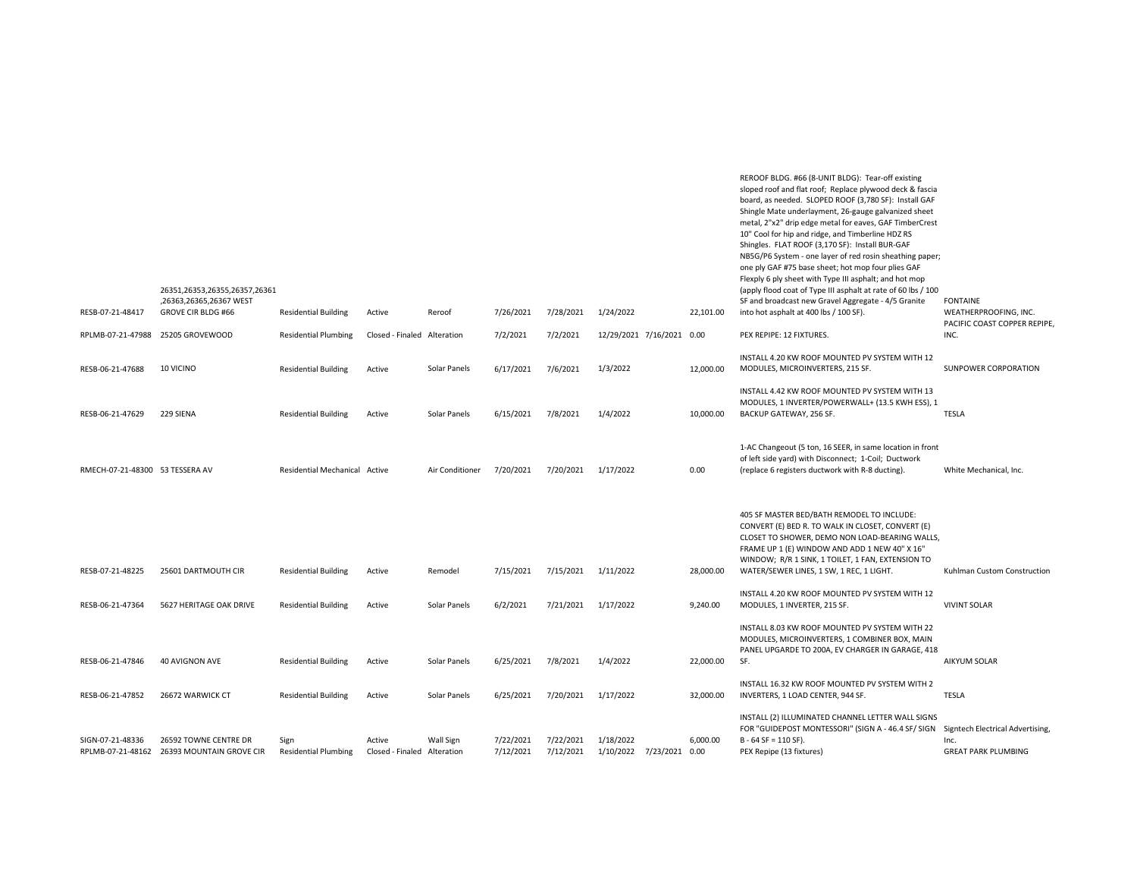| RESB-07-21-48417                | 26351,26353,26355,26357,26361<br>,26363,26365,26367 WEST<br>GROVE CIR BLDG #66 | <b>Residential Building</b>         | Active                                | Reroof           | 7/26/2021              | 7/28/2021              | 1/24/2022                             | 22,101.00 | sloped roof and flat roof; Replace plywood deck & fascia<br>board, as needed. SLOPED ROOF (3,780 SF): Install GAF<br>Shingle Mate underlayment, 26-gauge galvanized sheet<br>metal, 2"x2" drip edge metal for eaves, GAF TimberCrest<br>10" Cool for hip and ridge, and Timberline HDZ RS<br>Shingles. FLAT ROOF (3,170 SF): Install BUR-GAF<br>NB5G/P6 System - one layer of red rosin sheathing paper;<br>one ply GAF #75 base sheet; hot mop four plies GAF<br>Flexply 6 ply sheet with Type III asphalt; and hot mop<br>(apply flood coat of Type III asphalt at rate of 60 lbs / 100<br>SF and broadcast new Gravel Aggregate - 4/5 Granite<br>into hot asphalt at 400 lbs / 100 SF). | <b>FONTAINE</b><br>WEATHERPROOFING, INC.<br>PACIFIC COAST COPPER REPIPE, |
|---------------------------------|--------------------------------------------------------------------------------|-------------------------------------|---------------------------------------|------------------|------------------------|------------------------|---------------------------------------|-----------|--------------------------------------------------------------------------------------------------------------------------------------------------------------------------------------------------------------------------------------------------------------------------------------------------------------------------------------------------------------------------------------------------------------------------------------------------------------------------------------------------------------------------------------------------------------------------------------------------------------------------------------------------------------------------------------------|--------------------------------------------------------------------------|
| RPLMB-07-21-47988               | 25205 GROVEWOOD                                                                | <b>Residential Plumbing</b>         | Closed - Finaled Alteration           |                  | 7/2/2021               | 7/2/2021               | 12/29/2021 7/16/2021 0.00             |           | PEX REPIPE: 12 FIXTURES.                                                                                                                                                                                                                                                                                                                                                                                                                                                                                                                                                                                                                                                                   | INC.                                                                     |
| RESB-06-21-47688                | 10 VICINO                                                                      | <b>Residential Building</b>         | Active                                | Solar Panels     | 6/17/2021              | 7/6/2021               | 1/3/2022                              | 12,000.00 | INSTALL 4.20 KW ROOF MOUNTED PV SYSTEM WITH 12<br>MODULES, MICROINVERTERS, 215 SF.                                                                                                                                                                                                                                                                                                                                                                                                                                                                                                                                                                                                         | SUNPOWER CORPORATION                                                     |
| RESB-06-21-47629                | 229 SIENA                                                                      | <b>Residential Building</b>         | Active                                | Solar Panels     | 6/15/2021              | 7/8/2021               | 1/4/2022                              | 10,000.00 | INSTALL 4.42 KW ROOF MOUNTED PV SYSTEM WITH 13<br>MODULES, 1 INVERTER/POWERWALL+ (13.5 KWH ESS), 1<br>BACKUP GATEWAY, 256 SF.                                                                                                                                                                                                                                                                                                                                                                                                                                                                                                                                                              | <b>TESLA</b>                                                             |
| RMECH-07-21-48300 53 TESSERA AV |                                                                                | Residential Mechanical Active       |                                       | Air Conditioner  | 7/20/2021              | 7/20/2021              | 1/17/2022                             | 0.00      | 1-AC Changeout (5 ton, 16 SEER, in same location in front<br>of left side yard) with Disconnect; 1-Coil; Ductwork<br>(replace 6 registers ductwork with R-8 ducting).                                                                                                                                                                                                                                                                                                                                                                                                                                                                                                                      | White Mechanical, Inc.                                                   |
| RESB-07-21-48225                | 25601 DARTMOUTH CIR                                                            | <b>Residential Building</b>         | Active                                | Remodel          | 7/15/2021              | 7/15/2021              | 1/11/2022                             | 28,000.00 | 405 SF MASTER BED/BATH REMODEL TO INCLUDE:<br>CONVERT (E) BED R. TO WALK IN CLOSET, CONVERT (E)<br>CLOSET TO SHOWER, DEMO NON LOAD-BEARING WALLS,<br>FRAME UP 1 (E) WINDOW AND ADD 1 NEW 40" X 16"<br>WINDOW; R/R 1 SINK, 1 TOILET, 1 FAN, EXTENSION TO<br>WATER/SEWER LINES, 1 SW, 1 REC, 1 LIGHT.                                                                                                                                                                                                                                                                                                                                                                                        | Kuhlman Custom Construction                                              |
| RESB-06-21-47364                | 5627 HERITAGE OAK DRIVE                                                        | <b>Residential Building</b>         | Active                                | Solar Panels     | 6/2/2021               | 7/21/2021              | 1/17/2022                             | 9,240.00  | INSTALL 4.20 KW ROOF MOUNTED PV SYSTEM WITH 12<br>MODULES, 1 INVERTER, 215 SF.                                                                                                                                                                                                                                                                                                                                                                                                                                                                                                                                                                                                             | <b>VIVINT SOLAR</b>                                                      |
| RESB-06-21-47846                | 40 AVIGNON AVE                                                                 | <b>Residential Building</b>         | Active                                | Solar Panels     | 6/25/2021              | 7/8/2021               | 1/4/2022                              | 22,000.00 | INSTALL 8.03 KW ROOF MOUNTED PV SYSTEM WITH 22<br>MODULES, MICROINVERTERS, 1 COMBINER BOX, MAIN<br>PANEL UPGARDE TO 200A, EV CHARGER IN GARAGE, 418<br>SF.                                                                                                                                                                                                                                                                                                                                                                                                                                                                                                                                 | AIKYUM SOLAR                                                             |
| RESB-06-21-47852                | 26672 WARWICK CT                                                               | <b>Residential Building</b>         | Active                                | Solar Panels     | 6/25/2021              | 7/20/2021              | 1/17/2022                             | 32,000.00 | INSTALL 16.32 KW ROOF MOUNTED PV SYSTEM WITH 2<br>INVERTERS, 1 LOAD CENTER, 944 SF.                                                                                                                                                                                                                                                                                                                                                                                                                                                                                                                                                                                                        | <b>TESLA</b>                                                             |
| SIGN-07-21-48336                | 26592 TOWNE CENTRE DR<br>RPLMB-07-21-48162 26393 MOUNTAIN GROVE CIR            | Sign<br><b>Residential Plumbing</b> | Active<br>Closed - Finaled Alteration | <b>Wall Sign</b> | 7/22/2021<br>7/12/2021 | 7/22/2021<br>7/12/2021 | 1/18/2022<br>1/10/2022 7/23/2021 0.00 | 6,000.00  | INSTALL (2) ILLUMINATED CHANNEL LETTER WALL SIGNS<br>FOR "GUIDEPOST MONTESSORI" (SIGN A - 46.4 SF/ SIGN Signtech Electrical Advertising,<br>$B - 64 SF = 110 SF$ ).<br>PEX Repipe (13 fixtures)                                                                                                                                                                                                                                                                                                                                                                                                                                                                                            | Inc.<br><b>GREAT PARK PLUMBING</b>                                       |

REROOF BLDG. #66 (8-UNIT BLDG): Tear-off existing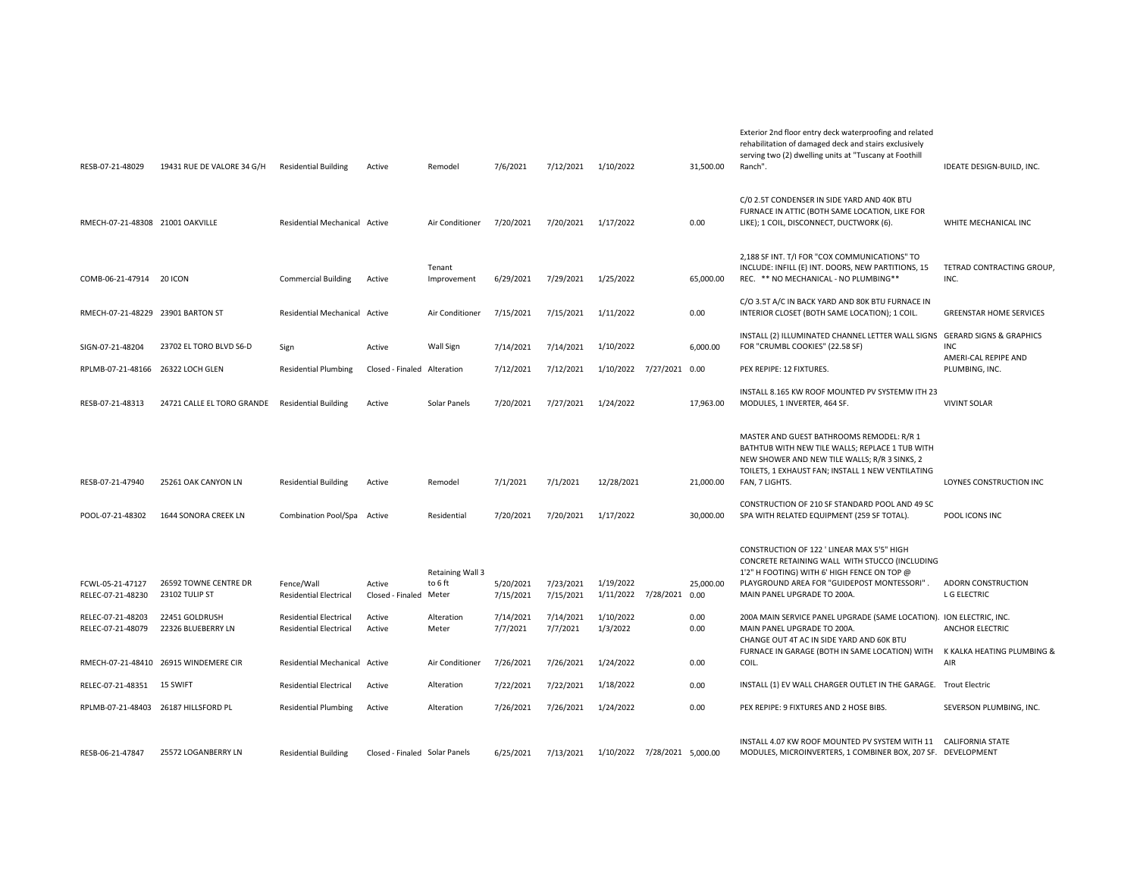| RESB-07-21-48029                       | 19431 RUE DE VALORE 34 G/H              | <b>Residential Building</b>                                    | Active                        | Remodel                              | 7/6/2021               | 7/12/2021              | 1/10/2022                             | 31,500.00    | Exterior 2nd floor entry deck waterproofing and related<br>rehabilitation of damaged deck and stairs exclusively<br>serving two (2) dwelling units at "Tuscany at Foothill<br>Ranch".                                     | IDEATE DESIGN-BUILD, INC.              |
|----------------------------------------|-----------------------------------------|----------------------------------------------------------------|-------------------------------|--------------------------------------|------------------------|------------------------|---------------------------------------|--------------|---------------------------------------------------------------------------------------------------------------------------------------------------------------------------------------------------------------------------|----------------------------------------|
| RMECH-07-21-48308 21001 OAKVILLE       |                                         | Residential Mechanical Active                                  |                               | Air Conditioner                      | 7/20/2021              | 7/20/2021              | 1/17/2022                             | 0.00         | C/0 2.5T CONDENSER IN SIDE YARD AND 40K BTU<br>FURNACE IN ATTIC (BOTH SAME LOCATION, LIKE FOR<br>LIKE); 1 COIL, DISCONNECT, DUCTWORK (6).                                                                                 | WHITE MECHANICAL INC                   |
| COMB-06-21-47914 20 ICON               |                                         | <b>Commercial Building</b>                                     | Active                        | Tenant<br>Improvement                | 6/29/2021              | 7/29/2021              | 1/25/2022                             | 65,000.00    | 2,188 SF INT. T/I FOR "COX COMMUNICATIONS" TO<br>INCLUDE: INFILL (E) INT. DOORS, NEW PARTITIONS, 15<br>REC. ** NO MECHANICAL - NO PLUMBING**                                                                              | TETRAD CONTRACTING GROUP,<br>INC.      |
| RMECH-07-21-48229 23901 BARTON ST      |                                         | Residential Mechanical Active                                  |                               | Air Conditioner                      | 7/15/2021              | 7/15/2021              | 1/11/2022                             | 0.00         | C/O 3.5T A/C IN BACK YARD AND 80K BTU FURNACE IN<br>INTERIOR CLOSET (BOTH SAME LOCATION); 1 COIL.                                                                                                                         | <b>GREENSTAR HOME SERVICES</b>         |
| SIGN-07-21-48204                       | 23702 EL TORO BLVD S6-D                 | Sign                                                           | Active                        | Wall Sign                            | 7/14/2021              | 7/14/2021              | 1/10/2022                             | 6,000.00     | INSTALL (2) ILLUMINATED CHANNEL LETTER WALL SIGNS GERARD SIGNS & GRAPHICS<br>FOR "CRUMBL COOKIES" (22.58 SF)                                                                                                              | <b>INC</b>                             |
| RPLMB-07-21-48166 26322 LOCH GLEN      |                                         | <b>Residential Plumbing</b>                                    | Closed - Finaled Alteration   |                                      | 7/12/2021              | 7/12/2021              | 1/10/2022 7/27/2021 0.00              |              | PEX REPIPE: 12 FIXTURES.                                                                                                                                                                                                  | AMERI-CAL REPIPE AND<br>PLUMBING, INC. |
| RESB-07-21-48313                       | 24721 CALLE EL TORO GRANDE              | <b>Residential Building</b>                                    | Active                        | Solar Panels                         | 7/20/2021              | 7/27/2021              | 1/24/2022                             | 17,963.00    | INSTALL 8.165 KW ROOF MOUNTED PV SYSTEMW ITH 23<br>MODULES, 1 INVERTER, 464 SF.                                                                                                                                           | <b>VIVINT SOLAR</b>                    |
| RESB-07-21-47940                       | 25261 OAK CANYON LN                     | <b>Residential Building</b>                                    | Active                        | Remodel                              | 7/1/2021               | 7/1/2021               | 12/28/2021                            | 21,000.00    | MASTER AND GUEST BATHROOMS REMODEL: R/R 1<br>BATHTUB WITH NEW TILE WALLS; REPLACE 1 TUB WITH<br>NEW SHOWER AND NEW TILE WALLS; R/R 3 SINKS, 2<br>TOILETS, 1 EXHAUST FAN; INSTALL 1 NEW VENTILATING<br>FAN, 7 LIGHTS.      | LOYNES CONSTRUCTION INC                |
| POOL-07-21-48302                       | 1644 SONORA CREEK LN                    | Combination Pool/Spa Active                                    |                               | Residential                          | 7/20/2021              | 7/20/2021              | 1/17/2022                             | 30,000.00    | CONSTRUCTION OF 210 SF STANDARD POOL AND 49 SC<br>SPA WITH RELATED EQUIPMENT (259 SF TOTAL).                                                                                                                              | POOL ICONS INC                         |
| FCWL-05-21-47127<br>RELEC-07-21-48230  | 26592 TOWNE CENTRE DR<br>23102 TULIP ST | Fence/Wall<br><b>Residential Electrical</b>                    | Active<br>Closed - Finaled    | Retaining Wall 3<br>to 6 ft<br>Meter | 5/20/2021<br>7/15/2021 | 7/23/2021<br>7/15/2021 | 1/19/2022<br>1/11/2022 7/28/2021 0.00 | 25,000.00    | CONSTRUCTION OF 122 ' LINEAR MAX 5'5" HIGH<br>CONCRETE RETAINING WALL WITH STUCCO (INCLUDING<br>1'2" H FOOTING) WITH 6' HIGH FENCE ON TOP @<br>PLAYGROUND AREA FOR "GUIDEPOST MONTESSORI".<br>MAIN PANEL UPGRADE TO 200A. | ADORN CONSTRUCTION<br>L G ELECTRIC     |
| RELEC-07-21-48203<br>RELEC-07-21-48079 | 22451 GOLDRUSH<br>22326 BLUEBERRY LN    | <b>Residential Electrical</b><br><b>Residential Electrical</b> | Active<br>Active              | Alteration<br>Meter                  | 7/14/2021<br>7/7/2021  | 7/14/2021<br>7/7/2021  | 1/10/2022<br>1/3/2022                 | 0.00<br>0.00 | 200A MAIN SERVICE PANEL UPGRADE (SAME LOCATION). ION ELECTRIC, INC.<br>MAIN PANEL UPGRADE TO 200A.<br>CHANGE OUT 4T AC IN SIDE YARD AND 60K BTU                                                                           | ANCHOR ELECTRIC                        |
|                                        | RMECH-07-21-48410 26915 WINDEMERE CIR   | Residential Mechanical Active                                  |                               | Air Conditioner                      | 7/26/2021              | 7/26/2021              | 1/24/2022                             | 0.00         | FURNACE IN GARAGE (BOTH IN SAME LOCATION) WITH<br>COIL.                                                                                                                                                                   | K KALKA HEATING PLUMBING &<br>AIR      |
| RELEC-07-21-48351                      | 15 SWIFT                                | <b>Residential Electrical</b>                                  | Active                        | Alteration                           | 7/22/2021              | 7/22/2021              | 1/18/2022                             | 0.00         | INSTALL (1) EV WALL CHARGER OUTLET IN THE GARAGE. Trout Electric                                                                                                                                                          |                                        |
|                                        | RPLMB-07-21-48403 26187 HILLSFORD PL    | <b>Residential Plumbing</b>                                    | Active                        | Alteration                           | 7/26/2021              | 7/26/2021              | 1/24/2022                             | 0.00         | PEX REPIPE: 9 FIXTURES AND 2 HOSE BIBS.                                                                                                                                                                                   | SEVERSON PLUMBING, INC.                |
| RESB-06-21-47847                       | 25572 LOGANBERRY LN                     | <b>Residential Building</b>                                    | Closed - Finaled Solar Panels |                                      | 6/25/2021              | 7/13/2021              | 1/10/2022 7/28/2021 5,000.00          |              | INSTALL 4.07 KW ROOF MOUNTED PV SYSTEM WITH 11<br>MODULES, MICROINVERTERS, 1 COMBINER BOX, 207 SF. DEVELOPMENT                                                                                                            | <b>CALIFORNIA STATE</b>                |